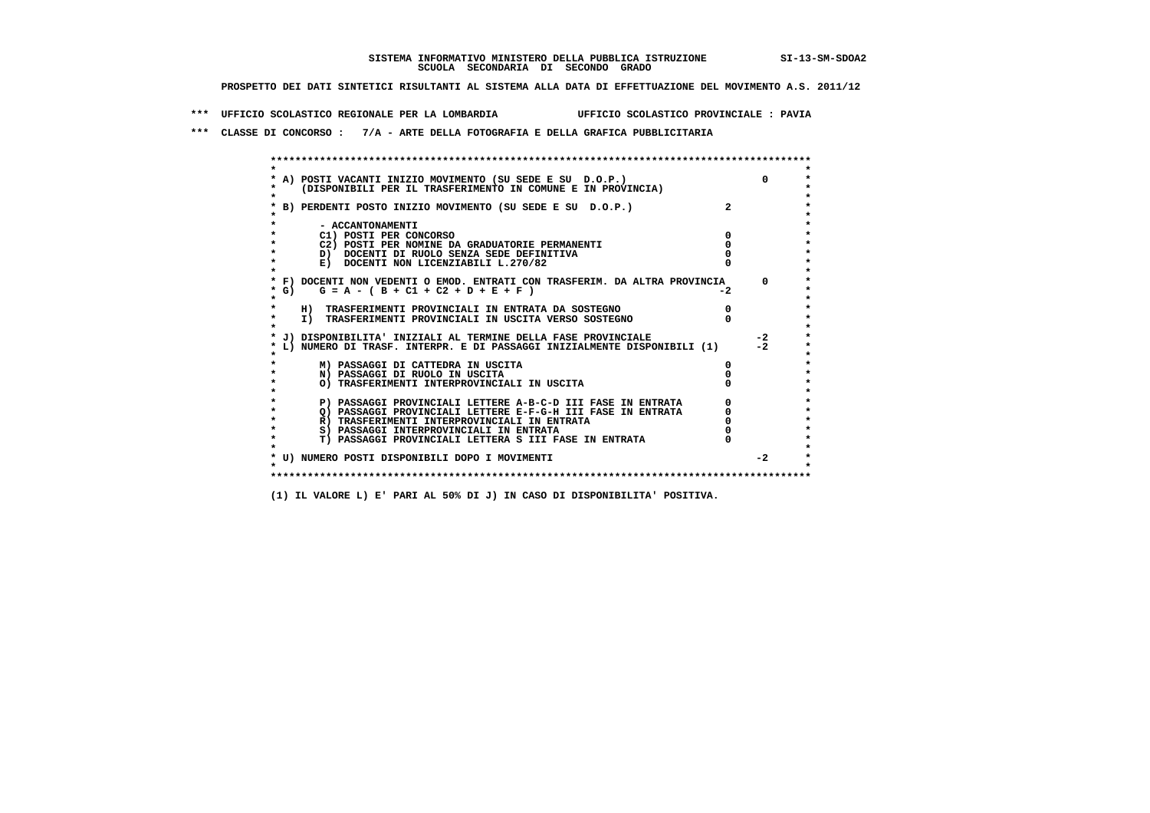## **SISTEMA INFORMATIVO MINISTERO DELLA PUBBLICA ISTRUZIONE SI-13-SM-SDOA2 SCUOLA SECONDARIA DI SECONDO GRADO**

 **PROSPETTO DEI DATI SINTETICI RISULTANTI AL SISTEMA ALLA DATA DI EFFETTUAZIONE DEL MOVIMENTO A.S. 2011/12**

 **\*\*\* UFFICIO SCOLASTICO REGIONALE PER LA LOMBARDIA UFFICIO SCOLASTICO PROVINCIALE : PAVIA**

 **\*\*\* CLASSE DI CONCORSO : 7/A - ARTE DELLA FOTOGRAFIA E DELLA GRAFICA PUBBLICITARIA**

|        | A) POSTI VACANTI INIZIO MOVIMENTO (SU SEDE E SU D.O.P.)                    |      |      |
|--------|----------------------------------------------------------------------------|------|------|
|        | (DISPONIBILI PER IL TRASFERIMENTO IN COMUNE E IN PROVINCIA)                |      |      |
|        |                                                                            |      |      |
|        | B) PERDENTI POSTO INIZIO MOVIMENTO (SU SEDE E SU D.O.P.)                   |      |      |
|        |                                                                            |      |      |
|        | - ACCANTONAMENTI                                                           |      |      |
|        | C1) POSTI PER CONCORSO                                                     |      |      |
|        | C2) POSTI PER NOMINE DA GRADUATORIE PERMANENTI                             |      |      |
|        | D) DOCENTI DI RUOLO SENZA SEDE DEFINITIVA                                  |      |      |
|        | E) DOCENTI NON LICENZIABILI L.270/82                                       |      |      |
|        |                                                                            |      |      |
|        | * F) DOCENTI NON VEDENTI O EMOD. ENTRATI CON TRASFERIM. DA ALTRA PROVINCIA |      |      |
| $*$ G) | $G = A - (B + C1 + C2 + D + E + F)$                                        | $-2$ |      |
|        |                                                                            |      |      |
|        | H) TRASFERIMENTI PROVINCIALI IN ENTRATA DA SOSTEGNO                        |      |      |
|        | I) TRASFERIMENTI PROVINCIALI IN USCITA VERSO SOSTEGNO                      |      |      |
|        | J) DISPONIBILITA' INIZIALI AL TERMINE DELLA FASE PROVINCIALE               |      | $-2$ |
|        | L) NUMERO DI TRASF. INTERPR. E DI PASSAGGI INIZIALMENTE DISPONIBILI (1)    |      | $-2$ |
|        |                                                                            |      |      |
|        | M) PASSAGGI DI CATTEDRA IN USCITA                                          |      |      |
|        | N) PASSAGGI DI RUOLO IN USCITA                                             |      |      |
|        | O) TRASFERIMENTI INTERPROVINCIALI IN USCITA                                |      |      |
|        |                                                                            |      |      |
|        | P) PASSAGGI PROVINCIALI LETTERE A-B-C-D III FASE IN ENTRATA                |      |      |
|        | O) PASSAGGI PROVINCIALI LETTERE E-F-G-H III FASE IN ENTRATA                |      |      |
|        | R) TRASFERIMENTI INTERPROVINCIALI IN ENTRATA                               |      |      |
|        | S) PASSAGGI INTERPROVINCIALI IN ENTRATA                                    |      |      |
|        | T) PASSAGGI PROVINCIALI LETTERA S III FASE IN ENTRATA                      |      |      |
|        |                                                                            |      |      |
|        | * U) NUMERO POSTI DISPONIBILI DOPO I MOVIMENTI                             |      | $-2$ |
|        |                                                                            |      |      |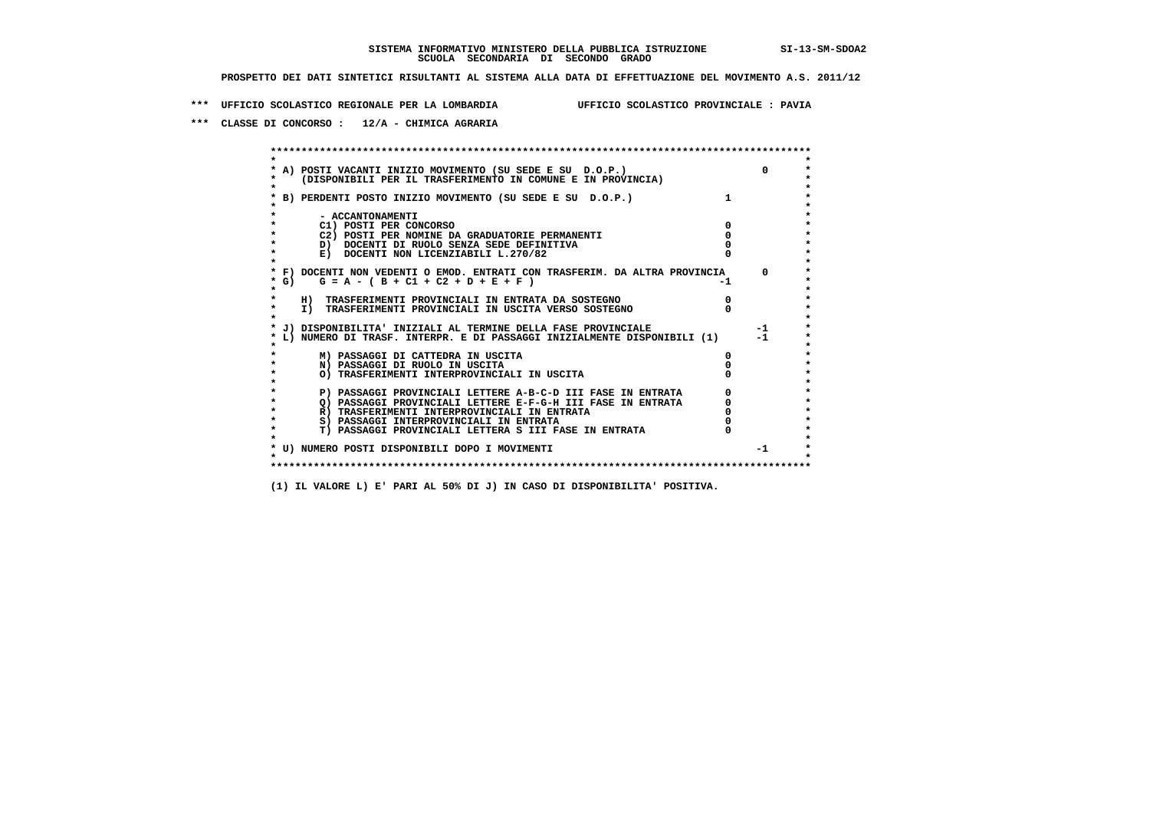**\*\*\* UFFICIO SCOLASTICO REGIONALE PER LA LOMBARDIA UFFICIO SCOLASTICO PROVINCIALE : PAVIA**

 **\*\*\* CLASSE DI CONCORSO : 12/A - CHIMICA AGRARIA**

 **\*\*\*\*\*\*\*\*\*\*\*\*\*\*\*\*\*\*\*\*\*\*\*\*\*\*\*\*\*\*\*\*\*\*\*\*\*\*\*\*\*\*\*\*\*\*\*\*\*\*\*\*\*\*\*\*\*\*\*\*\*\*\*\*\*\*\*\*\*\*\*\*\*\*\*\*\*\*\*\*\*\*\*\*\*\*\*\* \* \*** $\bullet$  **\* A) POSTI VACANTI INIZIO MOVIMENTO (SU SEDE E SU D.O.P.) 0 \* \* (DISPONIBILI PER IL TRASFERIMENTO IN COMUNE E IN PROVINCIA) \* \* \* \* B) PERDENTI POSTO INIZIO MOVIMENTO (SU SEDE E SU D.O.P.) 1 \* \* \* \* - ACCANTONAMENTI \* \* C1) POSTI PER CONCORSO 0 \* \* C2) POSTI PER NOMINE DA GRADUATORIE PERMANENTI 0 \*D)** DOCENTI DI RUOLO SENZA SEDE DEFINITIVA  $\overline{a}$  0  $\overline{b}$  0  $\overline{c}$  0  $\overline{c}$  0  $\overline{c}$  0  $\overline{a}$  0  $\overline{b}$ **E) DOCENTI NON LICENZIABILI L.270/82 \* \* \* F) DOCENTI NON VEDENTI O EMOD. ENTRATI CON TRASFERIM. DA ALTRA PROVINCIA 0 \***  $\star$  **G)** G = A - ( B + C1 + C2 + D + E + F)  **\* \* \* H) TRASFERIMENTI PROVINCIALI IN ENTRATA DA SOSTEGNO 0 \*The CONSTRUCTION CONSTRUCTED IN CONSTRUCTION CONSTRUES.**<br> **T**) TRASFERIMENTI PROVINCIALI IN USCITA VERSO SOSTEGNO  **\* \* \* J) DISPONIBILITA' INIZIALI AL TERMINE DELLA FASE PROVINCIALE -1 \* \* L) NUMERO DI TRASF. INTERPR. E DI PASSAGGI INIZIALMENTE DISPONIBILI (1) -1 \* \* \* \* M) PASSAGGI DI CATTEDRA IN USCITA 0 \* \* N) PASSAGGI DI RUOLO IN USCITA 0 \* \* O) TRASFERIMENTI INTERPROVINCIALI IN USCITA 0 \* \* \* P) PASSAGGI PROVINCIALI LETTERE A-B-C-D III FASE IN ENTRATA** 0 <sup>0</sup> **DASSAGGI PROVINCIALI LETTERE E-F-G-H** III FASE IN ENTRATA 0 <sup>0</sup>  $\star$  **\* Q) PASSAGGI PROVINCIALI LETTERE E-F-G-H III FASE IN ENTRATA 0 \*R)** TRASFERIMENTI INTERPROVINCIALI IN ENTRATA  $\begin{bmatrix} 0 & 0 \\ 0 & 0 \\ 0 & 0 \end{bmatrix}$  PASSAGGI INTERPROVINCIALI IN ENTRATA  $\begin{bmatrix} 0 & 0 \\ 0 & 0 \\ 0 & 0 \end{bmatrix}$  **\* S) PASSAGGI INTERPROVINCIALI IN ENTRATA 0 \*** $\ddot{\phantom{1}}$  **\* T) PASSAGGI PROVINCIALI LETTERA S III FASE IN ENTRATA 0 \*** $\star$  **\* \* \* U) NUMERO POSTI DISPONIBILI DOPO I MOVIMENTI -1 \* \* \* \*\*\*\*\*\*\*\*\*\*\*\*\*\*\*\*\*\*\*\*\*\*\*\*\*\*\*\*\*\*\*\*\*\*\*\*\*\*\*\*\*\*\*\*\*\*\*\*\*\*\*\*\*\*\*\*\*\*\*\*\*\*\*\*\*\*\*\*\*\*\*\*\*\*\*\*\*\*\*\*\*\*\*\*\*\*\*\***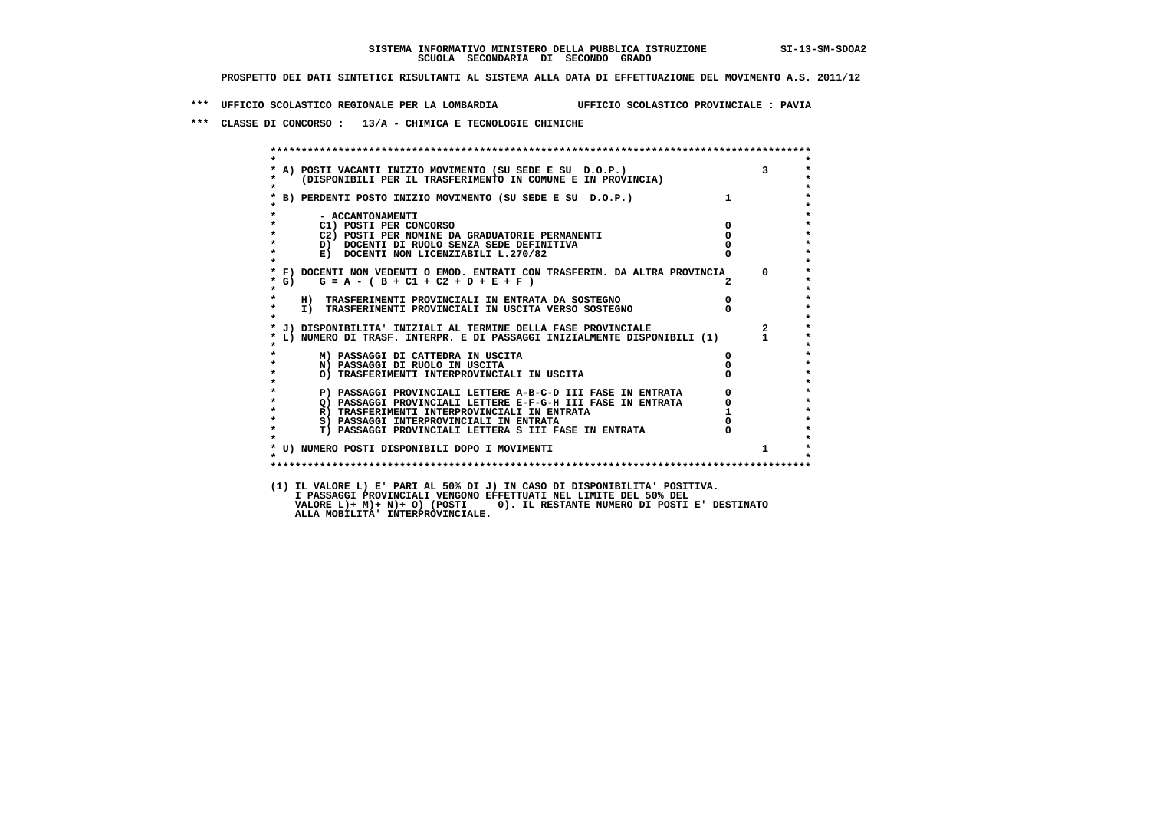**\*\*\* UFFICIO SCOLASTICO REGIONALE PER LA LOMBARDIA UFFICIO SCOLASTICO PROVINCIALE : PAVIA**

 **\*\*\* CLASSE DI CONCORSO : 13/A - CHIMICA E TECNOLOGIE CHIMICHE**

|                      | * A) POSTI VACANTI INIZIO MOVIMENTO (SU SEDE E SU D.O.P.)<br>* (DISPONIBILI PER IL TRASFERIMENTO IN COMUNE E IN PROVINCIA)                                                                                                                |                                  |                         |
|----------------------|-------------------------------------------------------------------------------------------------------------------------------------------------------------------------------------------------------------------------------------------|----------------------------------|-------------------------|
|                      | * B) PERDENTI POSTO INIZIO MOVIMENTO (SU SEDE E SU D.O.P.)                                                                                                                                                                                | $1 \quad \cdots$                 |                         |
| $\star$              | - ACCANTONAMENTI                                                                                                                                                                                                                          |                                  |                         |
| $\star$<br>$\star$   | $\overline{\mathbf{0}}$<br>C1) POSTI PER CONCORSO                                                                                                                                                                                         |                                  |                         |
| $\star$              | C2) POSTI PER NOMINE DA GRADUATORIE PERMANENTI<br>D) DOCENTI DI RUOLO SENZA SEDE DEFINITIVA                                                                                                                                               | $\mathbf 0$                      |                         |
| $\star$              | E) DOCENTI NON LICENZIABILI L.270/82                                                                                                                                                                                                      |                                  |                         |
|                      | * F) DOCENTI NON VEDENTI O EMOD. ENTRATI CON TRASFERIM. DA ALTRA PROVINCIA 0                                                                                                                                                              |                                  |                         |
| $*$ G)<br>$\star$    | $G = A - (B + C1 + C2 + D + E + F)$                                                                                                                                                                                                       |                                  |                         |
| *                    | H) TRASFERIMENTI PROVINCIALI IN ENTRATA DA SOSTEGNO                                                                                                                                                                                       | $\begin{matrix}0\\0\end{matrix}$ |                         |
| $\star$<br>$\bullet$ | I) TRASFERIMENTI PROVINCIALI IN USCITA VERSO SOSTEGNO                                                                                                                                                                                     |                                  |                         |
|                      | * J) DISPONIBILITA' INIZIALI AL TERMINE DELLA FASE PROVINCIALE                                                                                                                                                                            |                                  | $\overline{\mathbf{2}}$ |
|                      | * L) NUMERO DI TRASF. INTERPR. E DI PASSAGGI INIZIALMENTE DISPONIBILI (1) 1                                                                                                                                                               |                                  |                         |
|                      | M) PASSAGGI DI CATTEDRA IN USCITA                                                                                                                                                                                                         |                                  |                         |
| $\star$              | N) PASSAGGI DI RUOLO IN USCITA                                                                                                                                                                                                            |                                  |                         |
| $\star$<br>$\star$   | O) TRASFERIMENTI INTERPROVINCIALI IN USCITA                                                                                                                                                                                               |                                  |                         |
| $\star$              |                                                                                                                                                                                                                                           |                                  |                         |
| $\star$              |                                                                                                                                                                                                                                           |                                  |                         |
| $\star$              |                                                                                                                                                                                                                                           |                                  |                         |
| $\star$              |                                                                                                                                                                                                                                           |                                  |                         |
| $\star$              | ן, נוסטמטים באמטיבות LETTERE A-B-C-D III FASE IN ENTRATA (2)<br>2) PASSAGGI PROVINCIALI LETTERE E-F-G-H III FASE IN ENTRATA (2)<br>3) PASSERIMENTI INTERPROVINCIALI IN ENTRATA (2)<br>3) PASSAGGI INTERPROVINCIALI IN ENTRATA (2)<br>2) P |                                  |                         |
|                      | * U) NUMERO POSTI DISPONIBILI DOPO I MOVIMENTI                                                                                                                                                                                            |                                  | $\mathbf{1}$            |
| $\cdot$              |                                                                                                                                                                                                                                           |                                  |                         |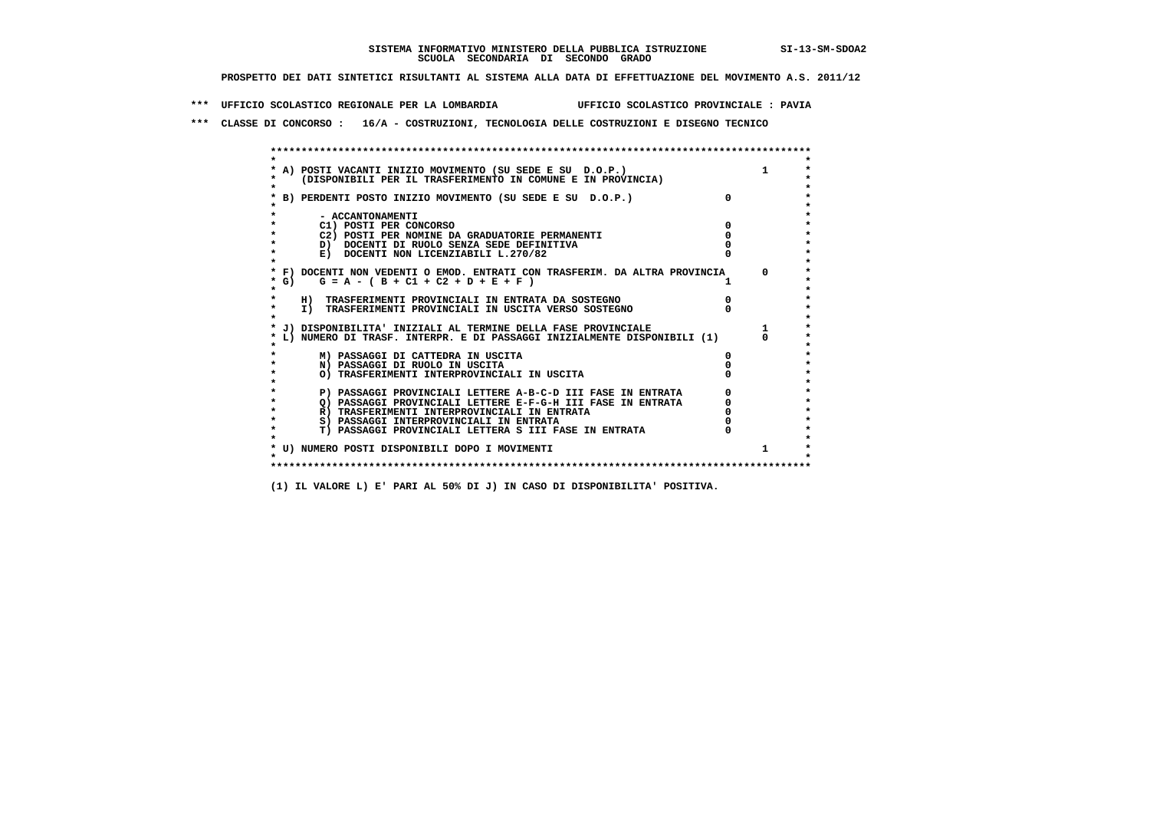**\*\*\* UFFICIO SCOLASTICO REGIONALE PER LA LOMBARDIA UFFICIO SCOLASTICO PROVINCIALE : PAVIA**

 **\*\*\* CLASSE DI CONCORSO : 16/A - COSTRUZIONI, TECNOLOGIA DELLE COSTRUZIONI E DISEGNO TECNICO**

 **\*\*\*\*\*\*\*\*\*\*\*\*\*\*\*\*\*\*\*\*\*\*\*\*\*\*\*\*\*\*\*\*\*\*\*\*\*\*\*\*\*\*\*\*\*\*\*\*\*\*\*\*\*\*\*\*\*\*\*\*\*\*\*\*\*\*\*\*\*\*\*\*\*\*\*\*\*\*\*\*\*\*\*\*\*\*\*\* \* \*** $\ddot{\phantom{0}}$  **\* A) POSTI VACANTI INIZIO MOVIMENTO (SU SEDE E SU D.O.P.) 1 \*** $\star$  **\* (DISPONIBILI PER IL TRASFERIMENTO IN COMUNE E IN PROVINCIA) \*** $\bullet$  **\* \* \* B) PERDENTI POSTO INIZIO MOVIMENTO (SU SEDE E SU D.O.P.) 0 \* \* \* \* - ACCANTONAMENTI \* \* C1) POSTI PER CONCORSO 0 \* \* C2) POSTI PER NOMINE DA GRADUATORIE PERMANENTI 0 \*b**  $\overline{D}$  **docenti di RUOLO SENZA SEDE DEFINITIVA**  $\overline{D}$  **0**  $\overline{D}$  **0**  $\overline{D}$  **0**  $\overline{D}$  **0**  $\overline{D}$  **0**  $\overline{D}$  **0**  $\overline{D}$  **0**  $\overline{D}$  **0**  $\overline{D}$  **0**  $\overline{D}$  **0**  $\overline{D}$  **0**  $\overline{D}$  **0**  $\overline{D}$  **0 E) DOCENTI NON LICENZIABILI L.270/82 \* \* \* F) DOCENTI NON VEDENTI O EMOD. ENTRATI CON TRASFERIM. DA ALTRA PROVINCIA 0 \***  $\star$  **G)** G = A - ( B + C1 + C2 + D + E + F )  **\* \* \* H) TRASFERIMENTI PROVINCIALI IN ENTRATA DA SOSTEGNO 0 \* \* I) TRASFERIMENTI PROVINCIALI IN USCITA VERSO SOSTEGNO 0 \* \* \* \* J) DISPONIBILITA' INIZIALI AL TERMINE DELLA FASE PROVINCIALE 1 \* \* L) NUMERO DI TRASF. INTERPR. E DI PASSAGGI INIZIALMENTE DISPONIBILI (1) 0 \* \* \* \* M) PASSAGGI DI CATTEDRA IN USCITA 0 \* \* N) PASSAGGI DI RUOLO IN USCITA 0 \* \* O) TRASFERIMENTI INTERPROVINCIALI IN USCITA 0 \* \* \* \* P) PASSAGGI PROVINCIALI LETTERE A-B-C-D III FASE IN ENTRATA 0 \*** $\star$  **\* Q) PASSAGGI PROVINCIALI LETTERE E-F-G-H III FASE IN ENTRATA 0 \*R)** TRASFERIMENTI INTERPROVINCIALI IN ENTRATA  $\begin{bmatrix} 0 & 0 \\ 0 & 0 \\ 0 & 0 \end{bmatrix}$  PASSAGGI INTERPROVINCIALI IN ENTRATA  $\begin{bmatrix} 0 & 0 \\ 0 & 0 \\ 0 & 0 \end{bmatrix}$  **\* S) PASSAGGI INTERPROVINCIALI IN ENTRATA 0 \*** $\ddot{\phantom{1}}$  **\* T) PASSAGGI PROVINCIALI LETTERA S III FASE IN ENTRATA 0 \*** $\star$  **\* \* \* U) NUMERO POSTI DISPONIBILI DOPO I MOVIMENTI 1 \* \* \* \*\*\*\*\*\*\*\*\*\*\*\*\*\*\*\*\*\*\*\*\*\*\*\*\*\*\*\*\*\*\*\*\*\*\*\*\*\*\*\*\*\*\*\*\*\*\*\*\*\*\*\*\*\*\*\*\*\*\*\*\*\*\*\*\*\*\*\*\*\*\*\*\*\*\*\*\*\*\*\*\*\*\*\*\*\*\*\***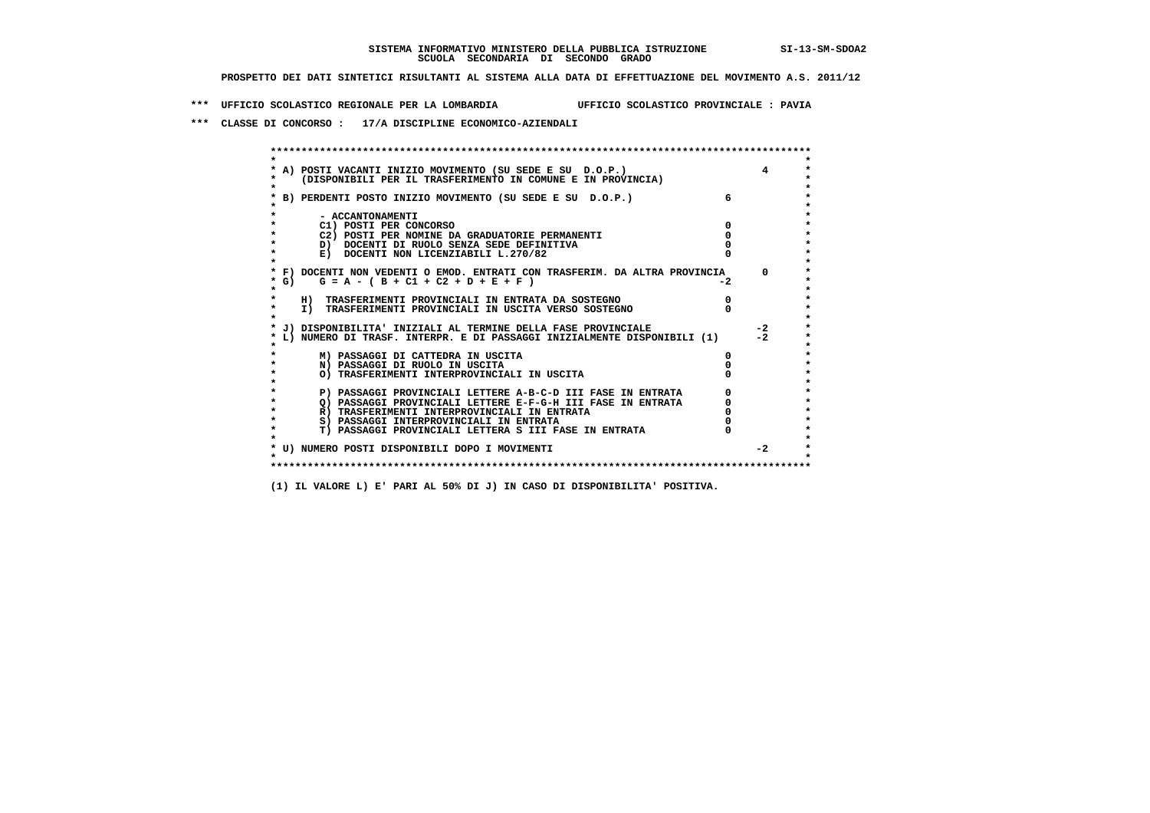**\*\*\* UFFICIO SCOLASTICO REGIONALE PER LA LOMBARDIA UFFICIO SCOLASTICO PROVINCIALE : PAVIA**

 **\*\*\* CLASSE DI CONCORSO : 17/A DISCIPLINE ECONOMICO-AZIENDALI**

| A) POSTI VACANTI INIZIO MOVIMENTO (SU SEDE E SU D.O.P.)<br>(DISPONIBILI PER IL TRASFERIMENTO IN COMUNE E IN PROVINCIA) |    |      |
|------------------------------------------------------------------------------------------------------------------------|----|------|
| B) PERDENTI POSTO INIZIO MOVIMENTO (SU SEDE E SU D.O.P.)                                                               |    |      |
| - ACCANTONAMENTI                                                                                                       |    |      |
| C1) POSTI PER CONCORSO                                                                                                 |    |      |
| C2) POSTI PER NOMINE DA GRADUATORIE PERMANENTI                                                                         |    |      |
| D) DOCENTI DI RUOLO SENZA SEDE DEFINITIVA                                                                              |    |      |
| E) DOCENTI NON LICENZIABILI L.270/82                                                                                   |    |      |
| * F) DOCENTI NON VEDENTI O EMOD. ENTRATI CON TRASFERIM. DA ALTRA PROVINCIA                                             |    | 0    |
| * G) $G = A - (B + C1 + C2 + D + E + F)$                                                                               | -2 |      |
| H) TRASFERIMENTI PROVINCIALI IN ENTRATA DA SOSTEGNO                                                                    |    |      |
| I) TRASFERIMENTI PROVINCIALI IN USCITA VERSO SOSTEGNO                                                                  |    |      |
| J) DISPONIBILITA' INIZIALI AL TERMINE DELLA FASE PROVINCIALE                                                           |    | -2   |
| L) NUMERO DI TRASF. INTERPR. E DI PASSAGGI INIZIALMENTE DISPONIBILI (1)                                                |    | $-2$ |
| M) PASSAGGI DI CATTEDRA IN USCITA                                                                                      |    |      |
| N) PASSAGGI DI RUOLO IN USCITA                                                                                         |    |      |
| O) TRASFERIMENTI INTERPROVINCIALI IN USCITA                                                                            |    |      |
| P) PASSAGGI PROVINCIALI LETTERE A-B-C-D III FASE IN ENTRATA                                                            |    |      |
| O) PASSAGGI PROVINCIALI LETTERE E-F-G-H III FASE IN ENTRATA                                                            |    |      |
| R) TRASFERIMENTI INTERPROVINCIALI IN ENTRATA                                                                           |    |      |
| S) PASSAGGI INTERPROVINCIALI IN ENTRATA                                                                                |    |      |
| T) PASSAGGI PROVINCIALI LETTERA S III FASE IN ENTRATA                                                                  |    |      |
| * U) NUMERO POSTI DISPONIBILI DOPO I MOVIMENTI                                                                         |    | $-2$ |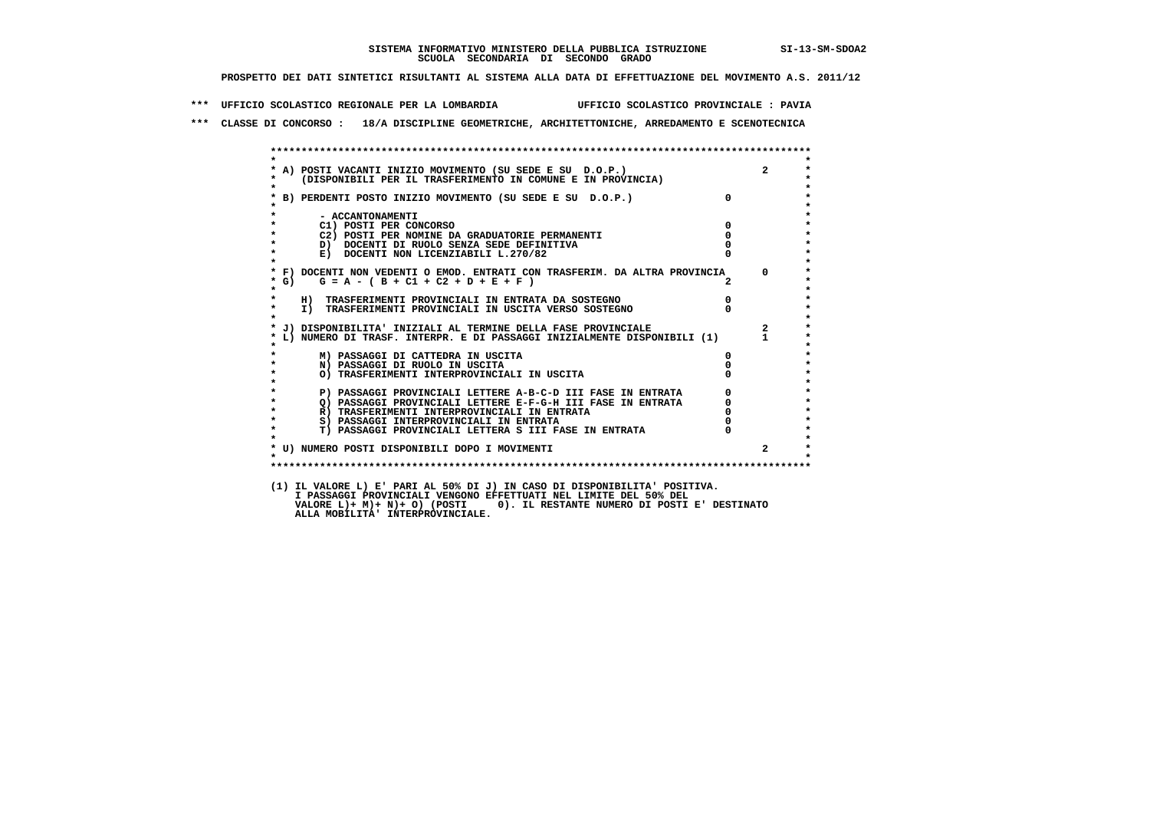**\*\*\* UFFICIO SCOLASTICO REGIONALE PER LA LOMBARDIA UFFICIO SCOLASTICO PROVINCIALE : PAVIA**

 **\*\*\* CLASSE DI CONCORSO : 18/A DISCIPLINE GEOMETRICHE, ARCHITETTONICHE, ARREDAMENTO E SCENOTECNICA**

|                    | * A) POSTI VACANTI INIZIO MOVIMENTO (SU SEDE E SU D.O.P.) 2<br>* (DISPONIBILI PER IL TRASFERIMENTO IN COMUNE E IN PROVINCIA)                            |                                  |             |
|--------------------|---------------------------------------------------------------------------------------------------------------------------------------------------------|----------------------------------|-------------|
|                    | * B) PERDENTI POSTO INIZIO MOVIMENTO (SU SEDE E SU D.O.P.)                                                                                              | $\mathbf{0}$                     |             |
| $\star$            | - ACCANTONAMENTI                                                                                                                                        |                                  |             |
| $\star$            | C1) POSTI PER CONCORSO                                                                                                                                  | $\mathbf 0$                      |             |
| $\star$            | C2) POSTI PER NOMINE DA GRADUATORIE PERMANENTI                                                                                                          | $\Omega$                         |             |
| $\star$            | D) DOCENTI DI RUOLO SENZA SEDE DEFINITIVA                                                                                                               |                                  |             |
| $\star$            | E) DOCENTI NON LICENZIABILI L.270/82                                                                                                                    |                                  |             |
| $*$ G)<br>$\star$  | * F) DOCENTI NON VEDENTI O EMOD. ENTRATI CON TRASFERIM. DA ALTRA PROVINCIA 0<br>$G = A - (B + C1 + C2 + D + E + F)$                                     | $2^{\circ}$                      |             |
| $\star$            | H) TRASFERIMENTI PROVINCIALI IN ENTRATA DA SOSTEGNO                                                                                                     |                                  |             |
| $\star$<br>$\star$ | I) TRASFERIMENTI PROVINCIALI IN USCITA VERSO SOSTEGNO                                                                                                   | $\begin{matrix}0\\0\end{matrix}$ |             |
|                    |                                                                                                                                                         |                                  |             |
|                    | * L) NUMERO DI TRASF. INTERPR. E DI PASSAGGI INIZIALMENTE DISPONIBILI (1) 1<br>* MUMERO DI TRASF. INTERPR. E DI PASSAGGI INIZIALMENTE DISPONIBILI (1) 1 |                                  |             |
|                    | M) PASSAGGI DI CATTEDRA IN USCITA                                                                                                                       | $^{\circ}$                       |             |
| $\star$            | N) PASSAGGI DI RUOLO IN USCITA                                                                                                                          |                                  |             |
| $\star$            | O) TRASFERIMENTI INTERPROVINCIALI IN USCITA                                                                                                             |                                  |             |
| $\star$            | P) PASSAGGI PROVINCIALI LETTERE A-B-C-D III FASE IN ENTRATA                                                                                             | $\mathbf{0}$                     |             |
| $\star$            | Q) PASSAGGI PROVINCIALI LETTERE E-F-G-H III FASE IN ENTRATA                                                                                             |                                  |             |
| $\star$            | R) TRASFERIMENTI INTERPROVINCIALI IN ENTRATA                                                                                                            |                                  |             |
| $\star$            | S) PASSAGGI INTERPROVINCIALI IN ENTRATA                                                                                                                 |                                  |             |
| $\star$            | T) PASSAGGI PROVINCIALI LETTERA S III FASE IN ENTRATA                                                                                                   |                                  |             |
|                    | * U) NUMERO POSTI DISPONIBILI DOPO I MOVIMENTI                                                                                                          |                                  | $2^{\circ}$ |
| $\star$            |                                                                                                                                                         |                                  |             |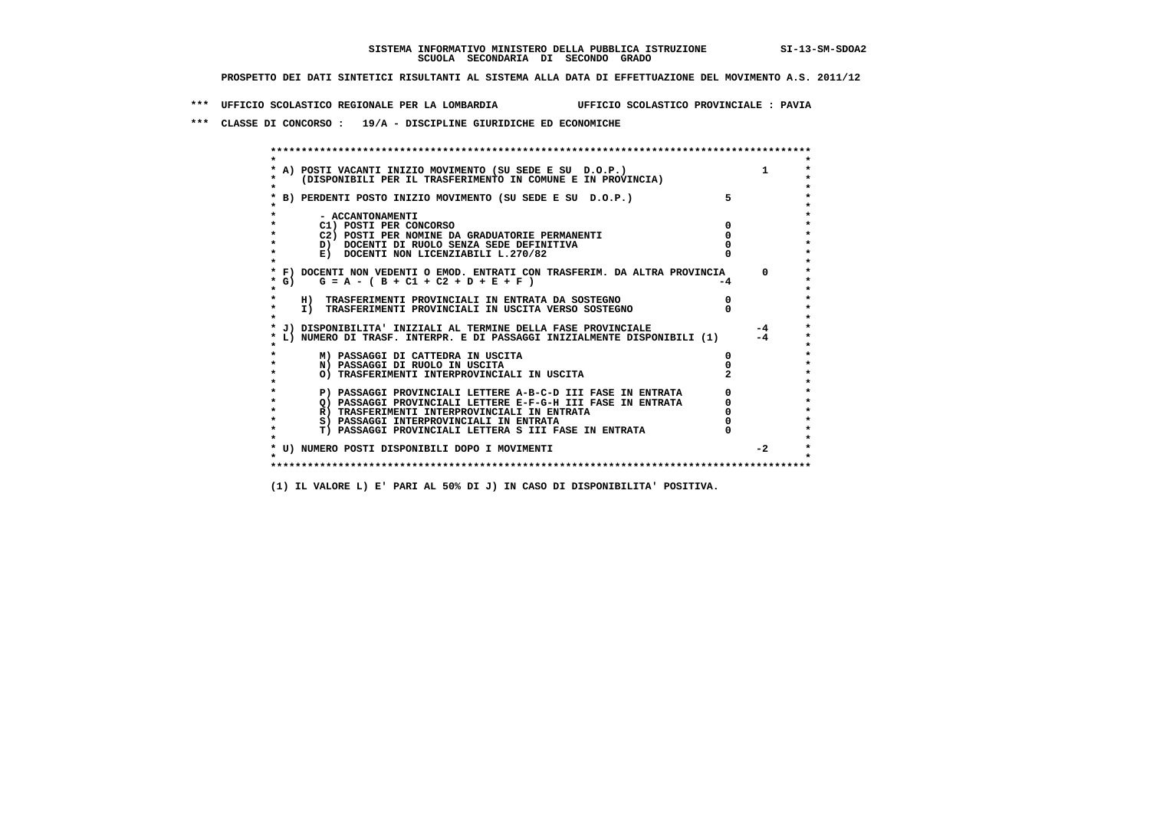**\*\*\* UFFICIO SCOLASTICO REGIONALE PER LA LOMBARDIA UFFICIO SCOLASTICO PROVINCIALE : PAVIA**

 **\*\*\* CLASSE DI CONCORSO : 19/A - DISCIPLINE GIURIDICHE ED ECONOMICHE**

| A) POSTI VACANTI INIZIO MOVIMENTO (SU SEDE E SU D.O.P.)                    |    |          |
|----------------------------------------------------------------------------|----|----------|
| (DISPONIBILI PER IL TRASFERIMENTO IN COMUNE E IN PROVINCIA)                |    |          |
|                                                                            |    |          |
| B) PERDENTI POSTO INIZIO MOVIMENTO (SU SEDE E SU D.O.P.)                   |    |          |
|                                                                            |    |          |
| - ACCANTONAMENTI                                                           |    |          |
| C1) POSTI PER CONCORSO                                                     |    |          |
| C2) POSTI PER NOMINE DA GRADUATORIE PERMANENTI                             |    |          |
| D) DOCENTI DI RUOLO SENZA SEDE DEFINITIVA                                  |    |          |
| E) DOCENTI NON LICENZIABILI L.270/82                                       |    |          |
| * F) DOCENTI NON VEDENTI O EMOD. ENTRATI CON TRASFERIM. DA ALTRA PROVINCIA |    | $\Omega$ |
| G) $G = A - (B + C1 + C2 + D + E + F)$                                     | -4 |          |
|                                                                            |    |          |
| H) TRASFERIMENTI PROVINCIALI IN ENTRATA DA SOSTEGNO                        |    |          |
| I) TRASFERIMENTI PROVINCIALI IN USCITA VERSO SOSTEGNO                      |    |          |
|                                                                            |    |          |
| J) DISPONIBILITA' INIZIALI AL TERMINE DELLA FASE PROVINCIALE               |    | $-4$     |
| L) NUMERO DI TRASF. INTERPR. E DI PASSAGGI INIZIALMENTE DISPONIBILI (1)    |    | $-4$     |
|                                                                            |    |          |
| M) PASSAGGI DI CATTEDRA IN USCITA                                          |    |          |
| N) PASSAGGI DI RUOLO IN USCITA                                             |    |          |
| O) TRASFERIMENTI INTERPROVINCIALI IN USCITA                                |    |          |
| P) PASSAGGI PROVINCIALI LETTERE A-B-C-D III FASE IN ENTRATA                |    |          |
| O) PASSAGGI PROVINCIALI LETTERE E-F-G-H III FASE IN ENTRATA                |    |          |
| R) TRASFERIMENTI INTERPROVINCIALI IN ENTRATA                               |    |          |
| S) PASSAGGI INTERPROVINCIALI IN ENTRATA                                    |    |          |
| T) PASSAGGI PROVINCIALI LETTERA S III FASE IN ENTRATA                      |    |          |
|                                                                            |    |          |
| * U) NUMERO POSTI DISPONIBILI DOPO I MOVIMENTI                             |    | $-2$     |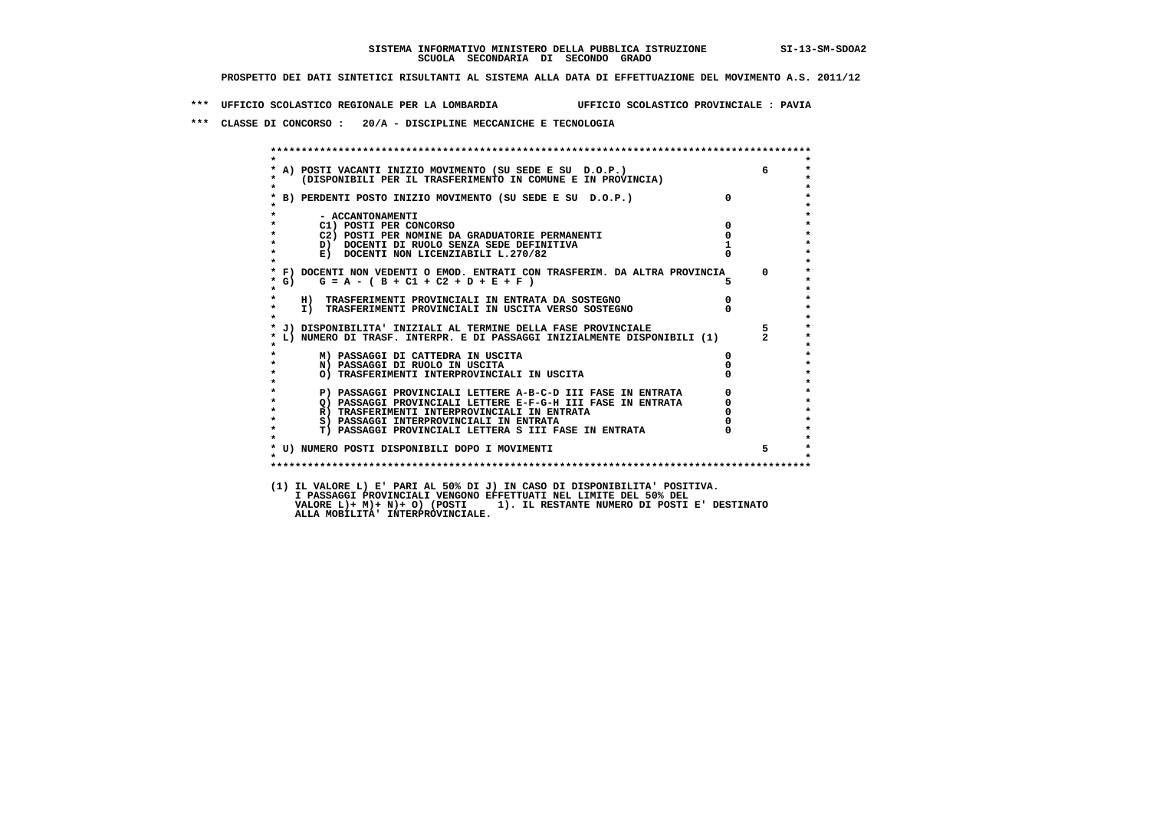**\*\*\* UFFICIO SCOLASTICO REGIONALE PER LA LOMBARDIA UFFICIO SCOLASTICO PROVINCIALE : PAVIA**

 **\*\*\* CLASSE DI CONCORSO : 20/A - DISCIPLINE MECCANICHE E TECNOLOGIA**

| $\star$            |                                                                                                                                                                                    |                                  |             |
|--------------------|------------------------------------------------------------------------------------------------------------------------------------------------------------------------------------|----------------------------------|-------------|
|                    | * A) POSTI VACANTI INIZIO MOVIMENTO (SU SEDE E SU D.O.P.)<br>* (DISPONIBILI PER IL TRASFERIMENTO IN COMUNE E IN PROVINCIA)                                                         |                                  | 6           |
|                    |                                                                                                                                                                                    |                                  |             |
|                    | * B) PERDENTI POSTO INIZIO MOVIMENTO (SU SEDE E SU D.O.P.)                                                                                                                         | $\Omega$                         |             |
|                    |                                                                                                                                                                                    |                                  |             |
| $\star$<br>$\star$ | - ACCANTONAMENTI<br>C1) POSTI PER CONCORSO                                                                                                                                         | $\mathbf 0$                      |             |
| $\star$            | C2) POSTI PER NOMINE DA GRADUATORIE PERMANENTI                                                                                                                                     | $\mathbf 0$                      |             |
| $\star$            | D) DOCENTI DI RUOLO SENZA SEDE DEFINITIVA                                                                                                                                          |                                  |             |
| $\star$            | E) DOCENTI NON LICENZIABILI L.270/82                                                                                                                                               |                                  |             |
| $\star$            |                                                                                                                                                                                    |                                  |             |
|                    | * F) DOCENTI NON VEDENTI O EMOD. ENTRATI CON TRASFERIM. DA ALTRA PROVINCIA 0                                                                                                       |                                  |             |
| * G)               | $G = A - (B + C1 + C2 + D + E + F)$                                                                                                                                                |                                  |             |
| $\star$<br>$\star$ |                                                                                                                                                                                    |                                  |             |
| $\star$            | H) TRASFERIMENTI PROVINCIALI IN ENTRATA DA SOSTEGNO<br>I) TRASFERIMENTI PROVINCIALI IN USCITA VERSO SOSTEGNO                                                                       | $\begin{matrix}0\\0\end{matrix}$ |             |
| $\star$            |                                                                                                                                                                                    |                                  |             |
|                    | * J) DISPONIBILITA' INIZIALI AL TERMINE DELLA FASE PROVINCIALE                                                                                                                     |                                  | $5^{\circ}$ |
|                    | * L) NUMERO DI TRASF. INTERPR. E DI PASSAGGI INIZIALMENTE DISPONIBILI (1) 2                                                                                                        |                                  |             |
|                    | M) PASSAGGI DI CATTEDRA IN USCITA                                                                                                                                                  | 0                                |             |
| $\star$            | N) PASSAGGI DI RUOLO IN USCITA                                                                                                                                                     |                                  |             |
| $\star$            | O) TRASFERIMENTI INTERPROVINCIALI IN USCITA                                                                                                                                        |                                  |             |
| $\star$            |                                                                                                                                                                                    |                                  |             |
| $\star$            | P)<br>P) PASSAGGI PROVINCIALI LETTERE A-B-C-D III FASE IN ENTRATA<br>Q) PASSAGGI PROVINCIALI LETTERE E-F-G-H III FASE IN ENTRATA<br>MITRATA DI LITTERE E-F-G-H III FASE IN ENTRATA |                                  |             |
| $\star$            |                                                                                                                                                                                    |                                  |             |
| $\star$<br>$\star$ | R) TRASFERIMENTI INTERPROVINCIALI IN ENTRATA                                                                                                                                       |                                  |             |
|                    | S) PASSAGGI INTERPROVINCIALI IN ENTRATA                                                                                                                                            |                                  |             |
| $\star$            | T) PASSAGGI PROVINCIALI LETTERA S III FASE IN ENTRATA                                                                                                                              |                                  |             |
|                    | * U) NUMERO POSTI DISPONIBILI DOPO I MOVIMENTI                                                                                                                                     |                                  | 5           |
|                    |                                                                                                                                                                                    |                                  |             |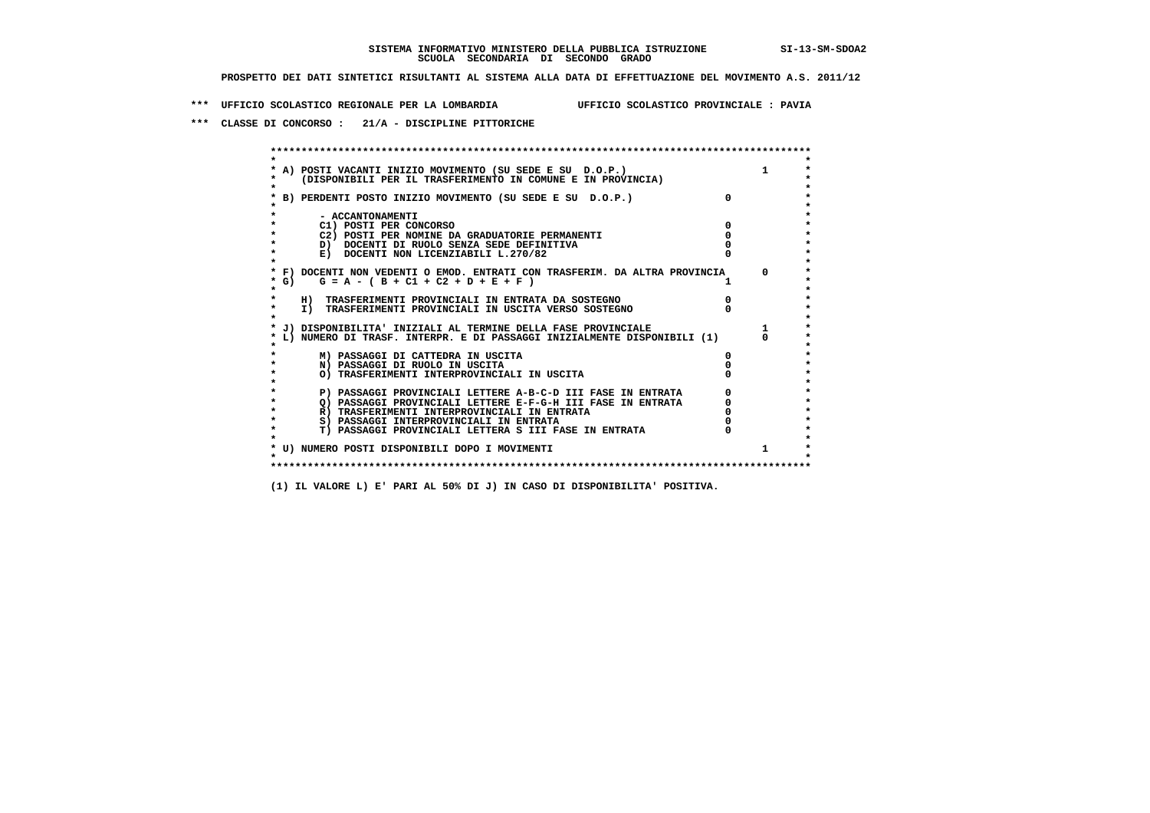**\*\*\* UFFICIO SCOLASTICO REGIONALE PER LA LOMBARDIA UFFICIO SCOLASTICO PROVINCIALE : PAVIA**

 **\*\*\* CLASSE DI CONCORSO : 21/A - DISCIPLINE PITTORICHE**

| A) POSTI VACANTI INIZIO MOVIMENTO (SU SEDE E SU D.O.P.)<br>(DISPONIBILI PER IL TRASFERIMENTO IN COMUNE E IN PROVINCIA) | $\mathbf{1}$ |
|------------------------------------------------------------------------------------------------------------------------|--------------|
| B) PERDENTI POSTO INIZIO MOVIMENTO (SU SEDE E SU D.O.P.)                                                               |              |
| - ACCANTONAMENTI                                                                                                       |              |
| C1) POSTI PER CONCORSO                                                                                                 |              |
| C2) POSTI PER NOMINE DA GRADUATORIE PERMANENTI                                                                         |              |
| D) DOCENTI DI RUOLO SENZA SEDE DEFINITIVA                                                                              |              |
| E) DOCENTI NON LICENZIABILI L.270/82                                                                                   |              |
| * F) DOCENTI NON VEDENTI O EMOD. ENTRATI CON TRASFERIM. DA ALTRA PROVINCIA<br>* G) $G = A - (B + C1 + C2 + D + E + F)$ | $^{\circ}$   |
| H) TRASFERIMENTI PROVINCIALI IN ENTRATA DA SOSTEGNO                                                                    |              |
| I) TRASFERIMENTI PROVINCIALI IN USCITA VERSO SOSTEGNO                                                                  |              |
| * J) DISPONIBILITA' INIZIALI AL TERMINE DELLA FASE PROVINCIALE                                                         |              |
| L) NUMERO DI TRASF. INTERPR. E DI PASSAGGI INIZIALMENTE DISPONIBILI (1)                                                |              |
| M) PASSAGGI DI CATTEDRA IN USCITA                                                                                      |              |
| N) PASSAGGI DI RUOLO IN USCITA                                                                                         |              |
| O) TRASFERIMENTI INTERPROVINCIALI IN USCITA                                                                            |              |
| P) PASSAGGI PROVINCIALI LETTERE A-B-C-D III FASE IN ENTRATA                                                            |              |
| O) PASSAGGI PROVINCIALI LETTERE E-F-G-H III FASE IN ENTRATA                                                            |              |
| R) TRASFERIMENTI INTERPROVINCIALI IN ENTRATA                                                                           |              |
| S) PASSAGGI INTERPROVINCIALI IN ENTRATA                                                                                |              |
| T) PASSAGGI PROVINCIALI LETTERA S III FASE IN ENTRATA                                                                  |              |
|                                                                                                                        |              |
| * U) NUMERO POSTI DISPONIBILI DOPO I MOVIMENTI                                                                         |              |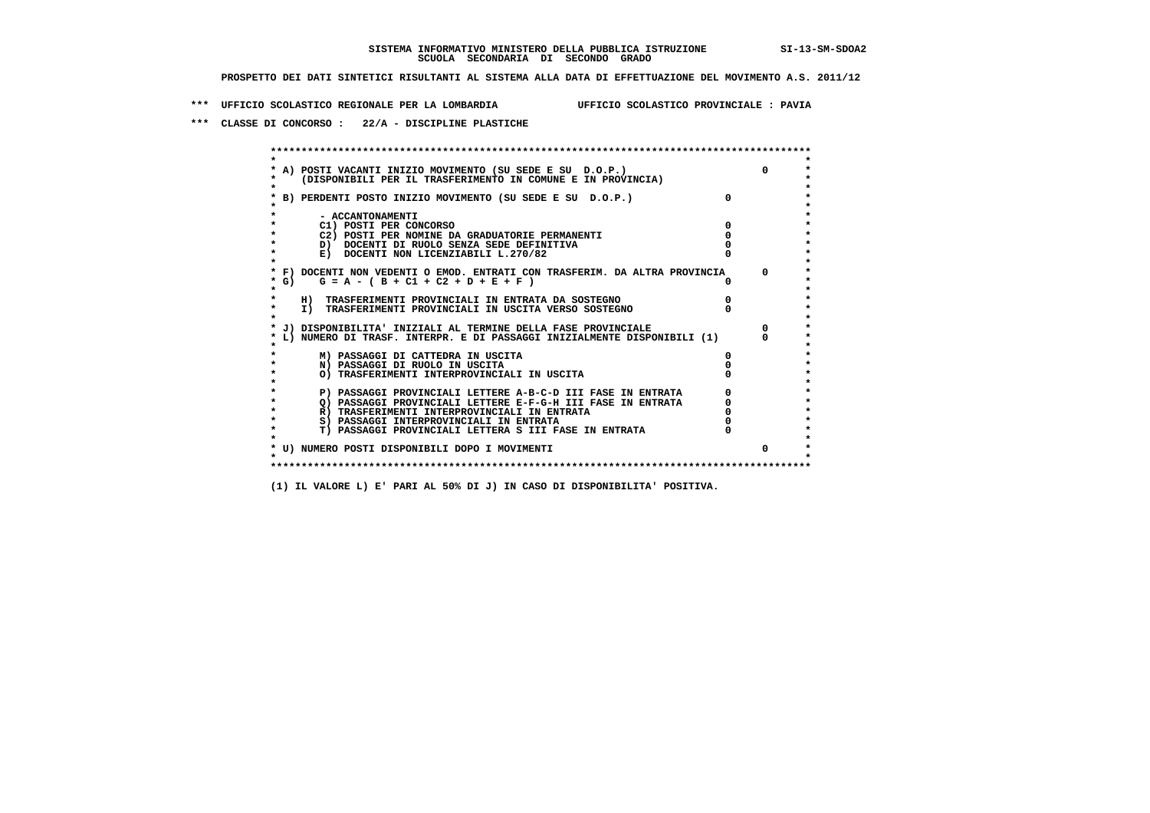**\*\*\* UFFICIO SCOLASTICO REGIONALE PER LA LOMBARDIA UFFICIO SCOLASTICO PROVINCIALE : PAVIA**

 **\*\*\* CLASSE DI CONCORSO : 22/A - DISCIPLINE PLASTICHE**

 **\*\*\*\*\*\*\*\*\*\*\*\*\*\*\*\*\*\*\*\*\*\*\*\*\*\*\*\*\*\*\*\*\*\*\*\*\*\*\*\*\*\*\*\*\*\*\*\*\*\*\*\*\*\*\*\*\*\*\*\*\*\*\*\*\*\*\*\*\*\*\*\*\*\*\*\*\*\*\*\*\*\*\*\*\*\*\*\* \* \*** $\bullet$  **\* A) POSTI VACANTI INIZIO MOVIMENTO (SU SEDE E SU D.O.P.) 0 \*** $\star$  **\* (DISPONIBILI PER IL TRASFERIMENTO IN COMUNE E IN PROVINCIA) \*** $\bullet$  **\* \* \* B) PERDENTI POSTO INIZIO MOVIMENTO (SU SEDE E SU D.O.P.) 0 \* \* \* \* - ACCANTONAMENTI \* \* C1) POSTI PER CONCORSO 0 \* \* C2) POSTI PER NOMINE DA GRADUATORIE PERMANENTI 0 \*D)** DOCENTI DI RUOLO SENZA SEDE DEFINITIVA  $\overline{a}$  0  $\overline{b}$  0  $\overline{c}$  0  $\overline{c}$  0  $\overline{c}$  0  $\overline{a}$  0  $\overline{c}$ **E) DOCENTI NON LICENZIABILI L.270/82 \* \* \* F) DOCENTI NON VEDENTI O EMOD. ENTRATI CON TRASFERIM. DA ALTRA PROVINCIA 0 \* \* G) G = A - ( B + C1 + C2 + D + E + F ) 0 \* \* \* \* H) TRASFERIMENTI PROVINCIALI IN ENTRATA DA SOSTEGNO 0 \* \* I) TRASFERIMENTI PROVINCIALI IN USCITA VERSO SOSTEGNO 0 \* \* \* \* J) DISPONIBILITA' INIZIALI AL TERMINE DELLA FASE PROVINCIALE 0 \* \* L) NUMERO DI TRASF. INTERPR. E DI PASSAGGI INIZIALMENTE DISPONIBILI (1) 0 \* \* \* \* M) PASSAGGI DI CATTEDRA IN USCITA 0 \* \* N) PASSAGGI DI RUOLO IN USCITA 0 \* \* O) TRASFERIMENTI INTERPROVINCIALI IN USCITA 0 \* \* \* P) PASSAGGI PROVINCIALI LETTERE A-B-C-D III FASE IN ENTRATA 0 \*\*\***<br>0 passaggi provinciali lettere e-f-G-H iii fase in entrata \*\*\*\*\*\*\*\*\*\*\*\*\*\*\*\*\*\*\*\*\*  $\star$  **\* Q) PASSAGGI PROVINCIALI LETTERE E-F-G-H III FASE IN ENTRATA 0 \*R)** TRASFERIMENTI INTERPROVINCIALI IN ENTRATA  $\begin{bmatrix} 0 & 0 \\ 0 & 0 \\ 0 & 0 \end{bmatrix}$  PASSAGGI INTERPROVINCIALI IN ENTRATA  $\begin{bmatrix} 0 & 0 \\ 0 & 0 \\ 0 & 0 \end{bmatrix}$  **\* S) PASSAGGI INTERPROVINCIALI IN ENTRATA 0 \*** $\ddot{\phantom{1}}$  **\* T) PASSAGGI PROVINCIALI LETTERA S III FASE IN ENTRATA 0 \*** $\star$  **\* \* \* U) NUMERO POSTI DISPONIBILI DOPO I MOVIMENTI 0 \* \* \* \*\*\*\*\*\*\*\*\*\*\*\*\*\*\*\*\*\*\*\*\*\*\*\*\*\*\*\*\*\*\*\*\*\*\*\*\*\*\*\*\*\*\*\*\*\*\*\*\*\*\*\*\*\*\*\*\*\*\*\*\*\*\*\*\*\*\*\*\*\*\*\*\*\*\*\*\*\*\*\*\*\*\*\*\*\*\*\***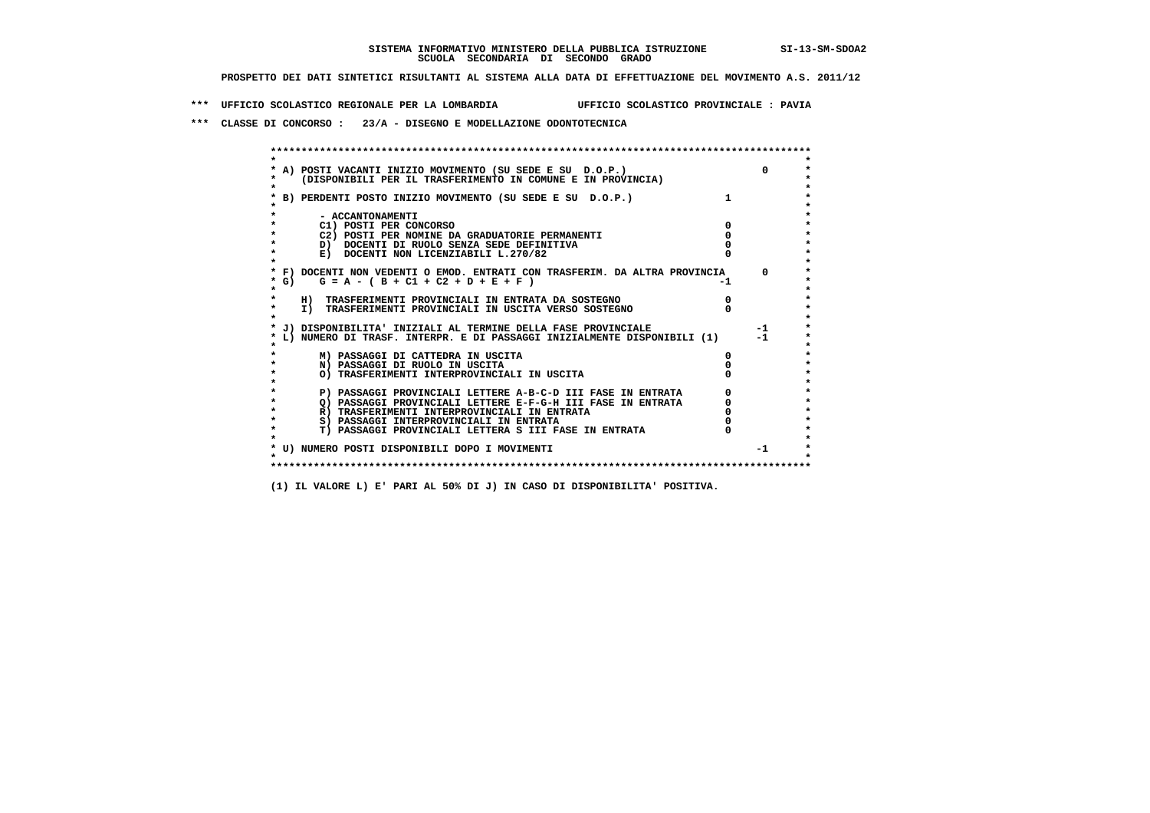**\*\*\* UFFICIO SCOLASTICO REGIONALE PER LA LOMBARDIA UFFICIO SCOLASTICO PROVINCIALE : PAVIA**

 **\*\*\* CLASSE DI CONCORSO : 23/A - DISEGNO E MODELLAZIONE ODONTOTECNICA**

| A) POSTI VACANTI INIZIO MOVIMENTO (SU SEDE E SU D.O.P.)<br>(DISPONIBILI PER IL TRASFERIMENTO IN COMUNE E IN PROVINCIA) |    |          |
|------------------------------------------------------------------------------------------------------------------------|----|----------|
|                                                                                                                        |    |          |
| B) PERDENTI POSTO INIZIO MOVIMENTO (SU SEDE E SU D.O.P.)                                                               |    |          |
| - ACCANTONAMENTI                                                                                                       |    |          |
| C1) POSTI PER CONCORSO                                                                                                 |    |          |
| C2) POSTI PER NOMINE DA GRADUATORIE PERMANENTI                                                                         |    |          |
| D) DOCENTI DI RUOLO SENZA SEDE DEFINITIVA                                                                              |    |          |
| E) DOCENTI NON LICENZIABILI L.270/82                                                                                   |    |          |
| * F) DOCENTI NON VEDENTI O EMOD. ENTRATI CON TRASFERIM. DA ALTRA PROVINCIA                                             |    | $\Omega$ |
| G) $G = A - (B + C1 + C2 + D + E + F)$                                                                                 | -1 |          |
| H) TRASFERIMENTI PROVINCIALI IN ENTRATA DA SOSTEGNO                                                                    |    |          |
| I) TRASFERIMENTI PROVINCIALI IN USCITA VERSO SOSTEGNO                                                                  |    |          |
| J) DISPONIBILITA' INIZIALI AL TERMINE DELLA FASE PROVINCIALE                                                           |    | $-1$     |
| L) NUMERO DI TRASF. INTERPR. E DI PASSAGGI INIZIALMENTE DISPONIBILI (1)                                                |    | $-1$     |
| M) PASSAGGI DI CATTEDRA IN USCITA                                                                                      |    |          |
| N) PASSAGGI DI RUOLO IN USCITA                                                                                         |    |          |
| O) TRASFERIMENTI INTERPROVINCIALI IN USCITA                                                                            |    |          |
| P) PASSAGGI PROVINCIALI LETTERE A-B-C-D III FASE IN ENTRATA                                                            |    |          |
| O) PASSAGGI PROVINCIALI LETTERE E-F-G-H III FASE IN ENTRATA                                                            |    |          |
| R) TRASFERIMENTI INTERPROVINCIALI IN ENTRATA                                                                           |    |          |
| S) PASSAGGI INTERPROVINCIALI IN ENTRATA                                                                                |    |          |
| T) PASSAGGI PROVINCIALI LETTERA S III FASE IN ENTRATA                                                                  |    |          |
| * U) NUMERO POSTI DISPONIBILI DOPO I MOVIMENTI                                                                         |    | $-1$     |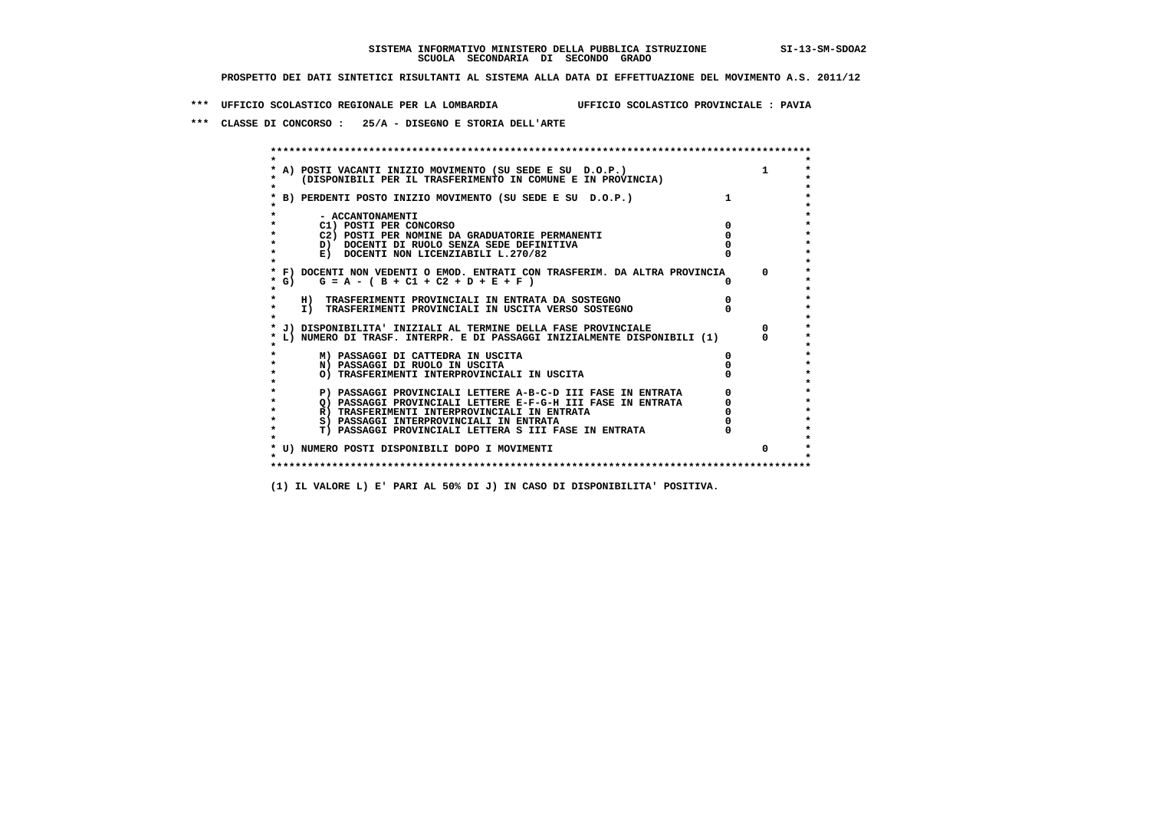**\*\*\* UFFICIO SCOLASTICO REGIONALE PER LA LOMBARDIA UFFICIO SCOLASTICO PROVINCIALE : PAVIA**

 **\*\*\* CLASSE DI CONCORSO : 25/A - DISEGNO E STORIA DELL'ARTE**

|        | A) POSTI VACANTI INIZIO MOVIMENTO (SU SEDE E SU D.O.P.)<br>(DISPONIBILI PER IL TRASFERIMENTO IN COMUNE E IN PROVINCIA) |              |
|--------|------------------------------------------------------------------------------------------------------------------------|--------------|
|        | B) PERDENTI POSTO INIZIO MOVIMENTO (SU SEDE E SU D.O.P.)                                                               |              |
|        | - ACCANTONAMENTI                                                                                                       |              |
|        | C1) POSTI PER CONCORSO                                                                                                 |              |
|        | C2) POSTI PER NOMINE DA GRADUATORIE PERMANENTI                                                                         |              |
|        | D) DOCENTI DI RUOLO SENZA SEDE DEFINITIVA                                                                              |              |
|        | E) DOCENTI NON LICENZIABILI L.270/82                                                                                   |              |
|        | * F) DOCENTI NON VEDENTI O EMOD. ENTRATI CON TRASFERIM. DA ALTRA PROVINCIA                                             | <sup>n</sup> |
| $*$ G) | $G = A - (B + C1 + C2 + D + E + F)$                                                                                    |              |
|        | H) TRASFERIMENTI PROVINCIALI IN ENTRATA DA SOSTEGNO                                                                    |              |
|        | I) TRASFERIMENTI PROVINCIALI IN USCITA VERSO SOSTEGNO                                                                  |              |
|        | J) DISPONIBILITA' INIZIALI AL TERMINE DELLA FASE PROVINCIALE                                                           |              |
|        | L) NUMERO DI TRASF. INTERPR. E DI PASSAGGI INIZIALMENTE DISPONIBILI (1)                                                |              |
|        | M) PASSAGGI DI CATTEDRA IN USCITA                                                                                      |              |
|        | N) PASSAGGI DI RUOLO IN USCITA                                                                                         |              |
|        | O) TRASFERIMENTI INTERPROVINCIALI IN USCITA                                                                            |              |
|        | P) PASSAGGI PROVINCIALI LETTERE A-B-C-D III FASE IN ENTRATA                                                            |              |
|        | O) PASSAGGI PROVINCIALI LETTERE E-F-G-H III FASE IN ENTRATA                                                            |              |
|        | R) TRASFERIMENTI INTERPROVINCIALI IN ENTRATA                                                                           |              |
|        | S) PASSAGGI INTERPROVINCIALI IN ENTRATA                                                                                |              |
|        | T) PASSAGGI PROVINCIALI LETTERA S III FASE IN ENTRATA                                                                  |              |
|        | * U) NUMERO POSTI DISPONIBILI DOPO I MOVIMENTI                                                                         | $\Omega$     |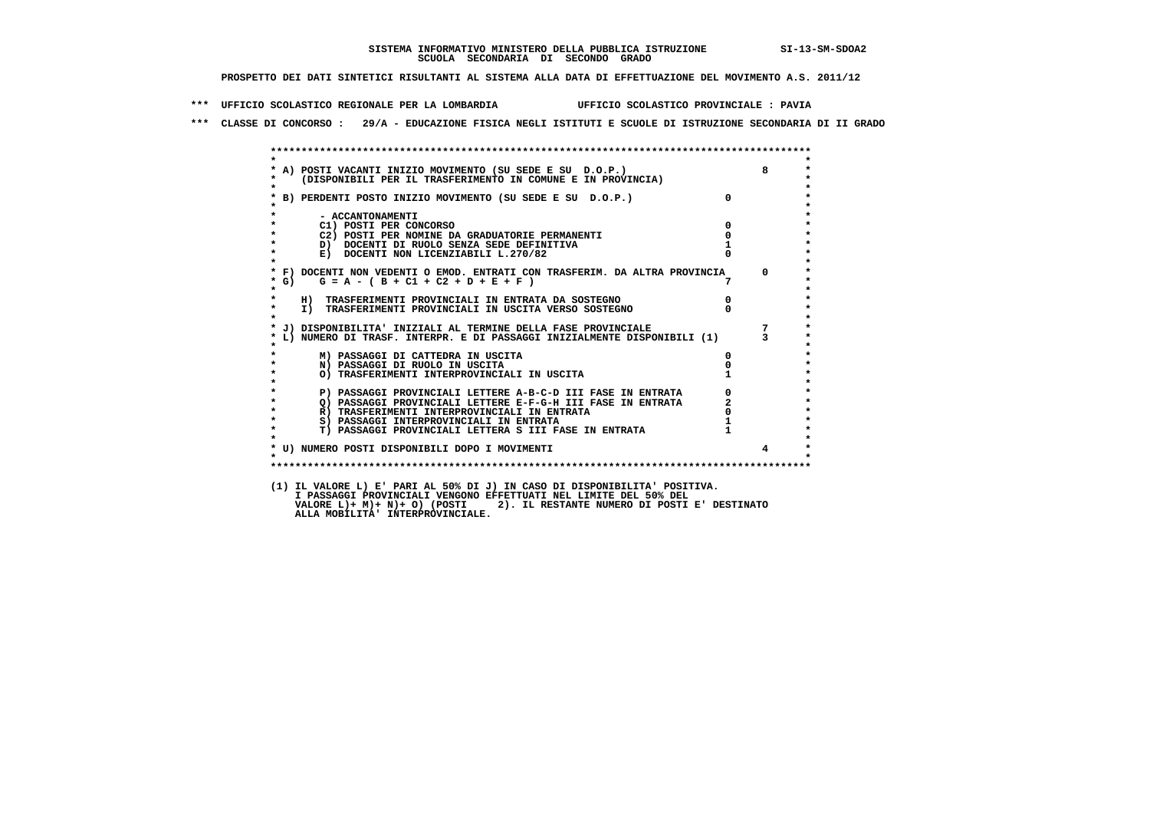**\*\*\* UFFICIO SCOLASTICO REGIONALE PER LA LOMBARDIA UFFICIO SCOLASTICO PROVINCIALE : PAVIA**

 **\*\*\* CLASSE DI CONCORSO : 29/A - EDUCAZIONE FISICA NEGLI ISTITUTI E SCUOLE DI ISTRUZIONE SECONDARIA DI II GRADO**

| * A) POSTI VACANTI INIZIO MOVIMENTO (SU SEDE E SU D.O.P.)                        |                |
|----------------------------------------------------------------------------------|----------------|
| (DISPONIBILI PER IL TRASFERIMENTO IN COMUNE E IN PROVINCIA) (2015)<br>$\bullet$  |                |
| * B) PERDENTI POSTO INIZIO MOVIMENTO (SU SEDE E SU D.O.P.)                       | $\overline{0}$ |
| - ACCANTONAMENTI                                                                 |                |
| C1) POSTI PER CONCORSO                                                           | $\Omega$       |
| C2) POSTI PER NOMINE DA GRADUATORIE PERMANENTI                                   |                |
| $\star$<br>D) DOCENTI DI RUOLO SENZA SEDE DEFINITIVA                             |                |
| $\star$<br>E) DOCENTI NON LICENZIABILI L.270/82<br>$\mathbf{r}$                  |                |
| * F) DOCENTI NON VEDENTI O EMOD. ENTRATI CON TRASFERIM. DA ALTRA PROVINCIA       | $\Omega$       |
| $G = A - (B + C1 + C2 + D + E + F)$<br>$\star$ G)                                |                |
| $\star$<br>H) TRASFERIMENTI PROVINCIALI IN ENTRATA DA SOSTEGNO                   | $\overline{0}$ |
| $\star$<br>I) TRASFERIMENTI PROVINCIALI IN USCITA VERSO SOSTEGNO<br>$\star$      |                |
|                                                                                  |                |
| * L) NUMERO DI TRASF. INTERPR. E DI PASSAGGI INIZIALMENTE DISPONIBILI (1) 3<br>* |                |
| M) PASSAGGI DI CATTEDRA IN USCITA                                                |                |
| N) PASSAGGI DI RUOLO IN USCITA                                                   |                |
| O) TRASFERIMENTI INTERPROVINCIALI IN USCITA                                      |                |
| P) PASSAGGI PROVINCIALI LETTERE A-B-C-D III FASE IN ENTRATA                      |                |
| Q) PASSAGGI PROVINCIALI LETTERE E-F-G-H III FASE IN ENTRATA                      | $\overline{a}$ |
| $\star$<br>R) TRASFERIMENTI INTERPROVINCIALI IN ENTRATA                          |                |
| $\star$<br>S) PASSAGGI INTERPROVINCIALI IN ENTRATA                               |                |
| T) PASSAGGI PROVINCIALI LETTERA S III FASE IN ENTRATA<br>$\star$                 |                |
|                                                                                  |                |
| * U) NUMERO POSTI DISPONIBILI DOPO I MOVIMENTI                                   | $\overline{4}$ |
|                                                                                  |                |

 **I PASSAGGI PROVINCIALI VENGONO EFFETTUATI NEL LIMITE DEL 50% DEL VALORE L)+ M)+ N)+ O) (POSTI 2). IL RESTANTE NUMERO DI POSTI E' DESTINATO ALLA MOBILITA' INTERPROVINCIALE.**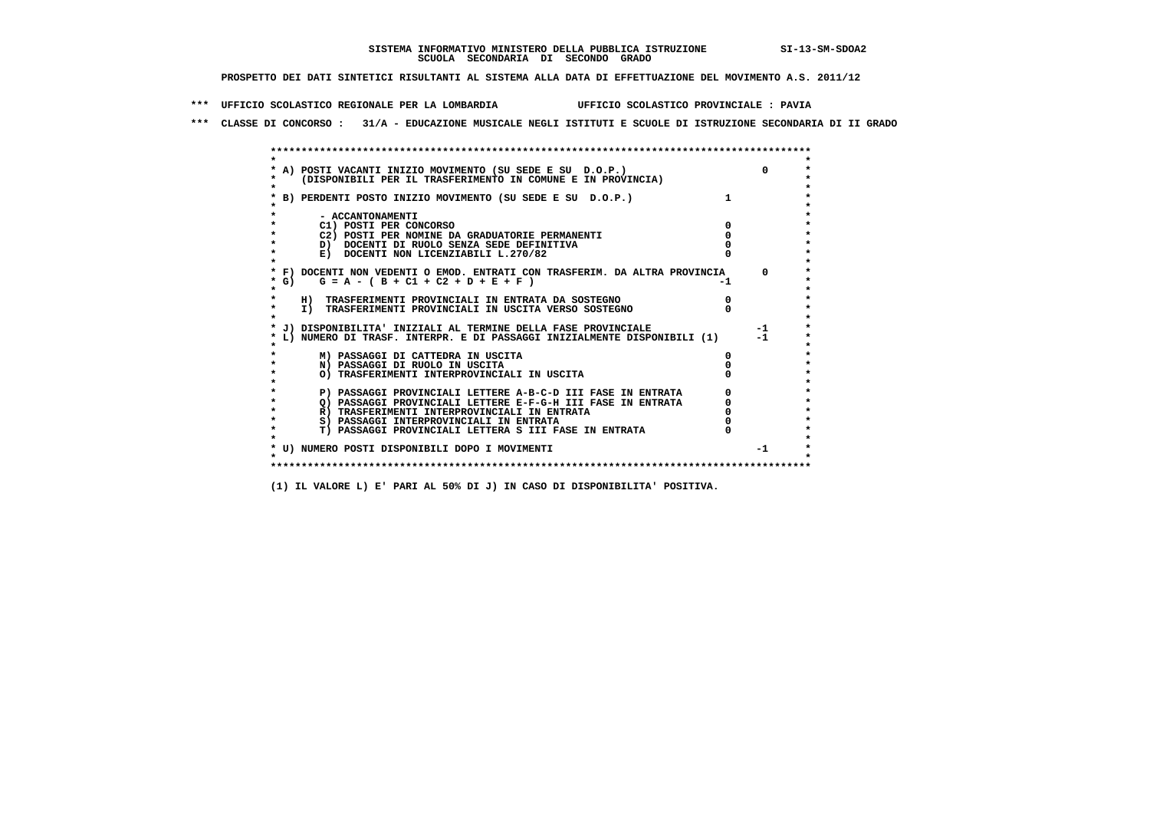**\*\*\* UFFICIO SCOLASTICO REGIONALE PER LA LOMBARDIA UFFICIO SCOLASTICO PROVINCIALE : PAVIA**

 **\*\*\* CLASSE DI CONCORSO : 31/A - EDUCAZIONE MUSICALE NEGLI ISTITUTI E SCUOLE DI ISTRUZIONE SECONDARIA DI II GRADO**

| A) POSTI VACANTI INIZIO MOVIMENTO (SU SEDE E SU D.O.P.)                                                                     | $\Omega$ |
|-----------------------------------------------------------------------------------------------------------------------------|----------|
| (DISPONIBILI PER IL TRASFERIMENTO IN COMUNE E IN PROVINCIA)                                                                 |          |
|                                                                                                                             |          |
| B) PERDENTI POSTO INIZIO MOVIMENTO (SU SEDE E SU D.O.P.)                                                                    |          |
|                                                                                                                             |          |
| - ACCANTONAMENTI                                                                                                            |          |
| C1) POSTI PER CONCORSO                                                                                                      |          |
| C2) POSTI PER NOMINE DA GRADUATORIE PERMANENTI                                                                              |          |
| D) DOCENTI DI RUOLO SENZA SEDE DEFINITIVA                                                                                   |          |
| E) DOCENTI NON LICENZIABILI L.270/82                                                                                        |          |
|                                                                                                                             | $\Omega$ |
| * F) DOCENTI NON VEDENTI O EMOD. ENTRATI CON TRASFERIM. DA ALTRA PROVINCIA<br>$G = A - (B + C1 + C2 + D + E + F)$<br>* G) + |          |
|                                                                                                                             |          |
| H) TRASFERIMENTI PROVINCIALI IN ENTRATA DA SOSTEGNO                                                                         |          |
| I) TRASFERIMENTI PROVINCIALI IN USCITA VERSO SOSTEGNO                                                                       |          |
|                                                                                                                             |          |
| J) DISPONIBILITA' INIZIALI AL TERMINE DELLA FASE PROVINCIALE                                                                | $-1$     |
| L) NUMERO DI TRASF. INTERPR. E DI PASSAGGI INIZIALMENTE DISPONIBILI (1)                                                     | $-1$     |
|                                                                                                                             |          |
| M) PASSAGGI DI CATTEDRA IN USCITA                                                                                           |          |
| N) PASSAGGI DI RUOLO IN USCITA                                                                                              |          |
| O) TRASFERIMENTI INTERPROVINCIALI IN USCITA                                                                                 |          |
|                                                                                                                             |          |
| P) PASSAGGI PROVINCIALI LETTERE A-B-C-D III FASE IN ENTRATA                                                                 |          |
| O) PASSAGGI PROVINCIALI LETTERE E-F-G-H III FASE IN ENTRATA                                                                 |          |
| R) TRASFERIMENTI INTERPROVINCIALI IN ENTRATA                                                                                |          |
| S) PASSAGGI INTERPROVINCIALI IN ENTRATA                                                                                     |          |
| T) PASSAGGI PROVINCIALI LETTERA S III FASE IN ENTRATA                                                                       |          |
|                                                                                                                             |          |
| * U) NUMERO POSTI DISPONIBILI DOPO I MOVIMENTI                                                                              | $-1$     |
|                                                                                                                             |          |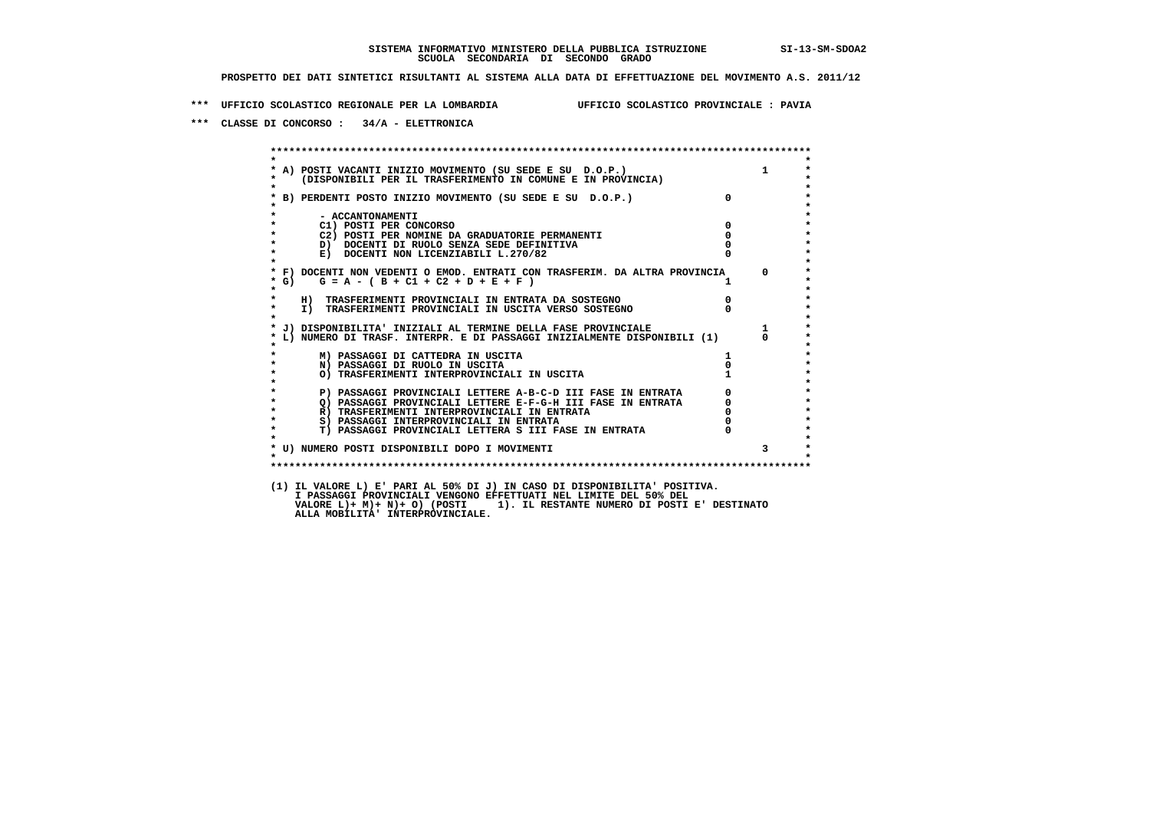**\*\*\* UFFICIO SCOLASTICO REGIONALE PER LA LOMBARDIA UFFICIO SCOLASTICO PROVINCIALE : PAVIA**

 **\*\*\* CLASSE DI CONCORSO : 34/A - ELETTRONICA**

 **\*\*\*\*\*\*\*\*\*\*\*\*\*\*\*\*\*\*\*\*\*\*\*\*\*\*\*\*\*\*\*\*\*\*\*\*\*\*\*\*\*\*\*\*\*\*\*\*\*\*\*\*\*\*\*\*\*\*\*\*\*\*\*\*\*\*\*\*\*\*\*\*\*\*\*\*\*\*\*\*\*\*\*\*\*\*\*\* \* \*** $\bullet$  **\* A) POSTI VACANTI INIZIO MOVIMENTO (SU SEDE E SU D.O.P.) 1 \* \* (DISPONIBILI PER IL TRASFERIMENTO IN COMUNE E IN PROVINCIA) \* \* \* \* B) PERDENTI POSTO INIZIO MOVIMENTO (SU SEDE E SU D.O.P.) 0 \* \* \* \* - ACCANTONAMENTI \* \* C1) POSTI PER CONCORSO 0 \* \* C2) POSTI PER NOMINE DA GRADUATORIE PERMANENTI 0 \*b b** docenti di RUOLO SENZA SEDE DEFINITIVA  $\overline{D}$  **b**  $\overline{D}$  0  $\overline{D}$  0  $\overline{D}$  0  $\overline{D}$  0  $\overline{D}$  0  $\overline{D}$  0  $\overline{D}$  0  $\overline{D}$  0  $\overline{D}$  0  $\overline{D}$  0  $\overline{D}$  0  $\overline{D}$  0  $\overline{D}$  0  $\overline{D}$  0  $\overline{D}$ **E) DOCENTI NON LICENZIABILI L.270/82 \* \* \* F) DOCENTI NON VEDENTI O EMOD. ENTRATI CON TRASFERIM. DA ALTRA PROVINCIA 0 \***  $\star$  **G)** G = A - ( B + C1 + C2 + D + E + F )  **\* \* \* H) TRASFERIMENTI PROVINCIALI IN ENTRATA DA SOSTEGNO 0 \* \* I) TRASFERIMENTI PROVINCIALI IN USCITA VERSO SOSTEGNO 0 \* \* \* \* J) DISPONIBILITA' INIZIALI AL TERMINE DELLA FASE PROVINCIALE 1 \* \* L) NUMERO DI TRASF. INTERPR. E DI PASSAGGI INIZIALMENTE DISPONIBILI (1) 0 \* \* \* \* M) PASSAGGI DI CATTEDRA IN USCITA 1 \* \* N) PASSAGGI DI RUOLO IN USCITA 0 \*O) TRASFERIMENTI INTERPROVINCIALI IN USCITA \* \* P) PASSAGGI PROVINCIALI LETTERE A-B-C-D III FASE IN ENTRATA** 0 <sup>0</sup> **DASSAGGI PROVINCIALI LETTERE E-F-G-H** III FASE IN ENTRATA 0 <sup>0</sup> **2) PASSAGGI PROVINCIALI LETTERE E-F-G-H III FASE IN ENTRATA 6 0 R**) TRASFERIMENTI INTERPROVINCIALI IN ENTRATA 6 **0 R)** TRASFERIMENTI INTERPROVINCIALI IN ENTRATA  $\begin{bmatrix} 0 & 0 \\ 0 & 0 \\ 0 & 0 \end{bmatrix}$  PASSAGGI INTERPROVINCIALI IN ENTRATA  $\begin{bmatrix} 0 & 0 \\ 0 & 0 \\ 0 & 0 \end{bmatrix}$  **\* S) PASSAGGI INTERPROVINCIALI IN ENTRATA 0 \*** $\ddot{\phantom{1}}$  **\* T) PASSAGGI PROVINCIALI LETTERA S III FASE IN ENTRATA 0 \*** $\star$  **\* \* \* U) NUMERO POSTI DISPONIBILI DOPO I MOVIMENTI 3 \* \* \* \*\*\*\*\*\*\*\*\*\*\*\*\*\*\*\*\*\*\*\*\*\*\*\*\*\*\*\*\*\*\*\*\*\*\*\*\*\*\*\*\*\*\*\*\*\*\*\*\*\*\*\*\*\*\*\*\*\*\*\*\*\*\*\*\*\*\*\*\*\*\*\*\*\*\*\*\*\*\*\*\*\*\*\*\*\*\*\* (1) IL VALORE L) E' PARI AL 50% DI J) IN CASO DI DISPONIBILITA' POSITIVA. I PASSAGGI PROVINCIALI VENGONO EFFETTUATI NEL LIMITE DEL 50% DEL VALORE L)+ M)+ N)+ O) (POSTI 1). IL RESTANTE NUMERO DI POSTI E' DESTINATO ALLA MOBILITA' INTERPROVINCIALE.**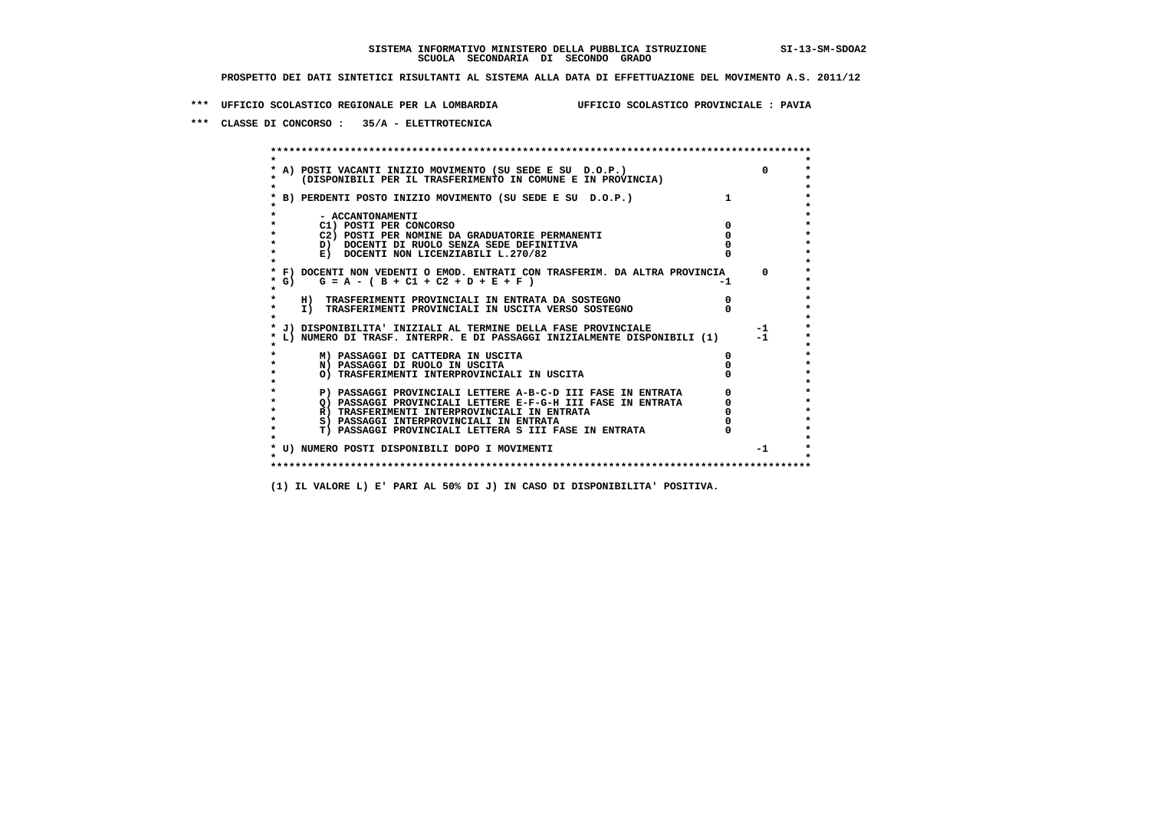**\*\*\* UFFICIO SCOLASTICO REGIONALE PER LA LOMBARDIA UFFICIO SCOLASTICO PROVINCIALE : PAVIA**

 **\*\*\* CLASSE DI CONCORSO : 35/A - ELETTROTECNICA**

 **\*\*\*\*\*\*\*\*\*\*\*\*\*\*\*\*\*\*\*\*\*\*\*\*\*\*\*\*\*\*\*\*\*\*\*\*\*\*\*\*\*\*\*\*\*\*\*\*\*\*\*\*\*\*\*\*\*\*\*\*\*\*\*\*\*\*\*\*\*\*\*\*\*\*\*\*\*\*\*\*\*\*\*\*\*\*\*\* \* \*** $\bullet$  **\* A) POSTI VACANTI INIZIO MOVIMENTO (SU SEDE E SU D.O.P.) 0 \* \* (DISPONIBILI PER IL TRASFERIMENTO IN COMUNE E IN PROVINCIA) \* \* \* \* B) PERDENTI POSTO INIZIO MOVIMENTO (SU SEDE E SU D.O.P.) 1 \* \* \* \* - ACCANTONAMENTI \* \* C1) POSTI PER CONCORSO 0 \* \* C2) POSTI PER NOMINE DA GRADUATORIE PERMANENTI 0 \*D)** DOCENTI DI RUOLO SENZA SEDE DEFINITIVA  $\overline{a}$  0  $\overline{b}$  0  $\overline{c}$  0  $\overline{c}$  0  $\overline{c}$  0  $\overline{a}$  0  $\overline{b}$ **E) DOCENTI NON LICENZIABILI L.270/82 \* \* \* F) DOCENTI NON VEDENTI O EMOD. ENTRATI CON TRASFERIM. DA ALTRA PROVINCIA 0 \***  $\star$  **G)** G = A - ( B + C1 + C2 + D + E + F)  **\* \* \* H) TRASFERIMENTI PROVINCIALI IN ENTRATA DA SOSTEGNO 0 \*The CONSTRUCTION CONSTRUCTED IN CONSTRUCTION CONSTRUES.**<br> **T**) TRASFERIMENTI PROVINCIALI IN USCITA VERSO SOSTEGNO  **\* \* \* J) DISPONIBILITA' INIZIALI AL TERMINE DELLA FASE PROVINCIALE -1 \* \* L) NUMERO DI TRASF. INTERPR. E DI PASSAGGI INIZIALMENTE DISPONIBILI (1) -1 \* \* \* \* M) PASSAGGI DI CATTEDRA IN USCITA 0 \* \* N) PASSAGGI DI RUOLO IN USCITA 0 \* \* O) TRASFERIMENTI INTERPROVINCIALI IN USCITA 0 \* \* \* P) PASSAGGI PROVINCIALI LETTERE A-B-C-D III FASE IN ENTRATA** 0 <sup>0</sup> **DASSAGGI PROVINCIALI LETTERE E-F-G-H** III FASE IN ENTRATA 0 <sup>0</sup>  $\star$  **\* Q) PASSAGGI PROVINCIALI LETTERE E-F-G-H III FASE IN ENTRATA 0 \*R)** TRASFERIMENTI INTERPROVINCIALI IN ENTRATA  $\begin{bmatrix} 0 & 0 \\ 0 & 0 \\ 0 & 0 \end{bmatrix}$  PASSAGGI INTERPROVINCIALI IN ENTRATA  $\begin{bmatrix} 0 & 0 \\ 0 & 0 \\ 0 & 0 \end{bmatrix}$  **\* S) PASSAGGI INTERPROVINCIALI IN ENTRATA 0 \*** $\ddot{\phantom{1}}$  **\* T) PASSAGGI PROVINCIALI LETTERA S III FASE IN ENTRATA 0 \*** $\star$  **\* \* \* U) NUMERO POSTI DISPONIBILI DOPO I MOVIMENTI -1 \* \* \* \*\*\*\*\*\*\*\*\*\*\*\*\*\*\*\*\*\*\*\*\*\*\*\*\*\*\*\*\*\*\*\*\*\*\*\*\*\*\*\*\*\*\*\*\*\*\*\*\*\*\*\*\*\*\*\*\*\*\*\*\*\*\*\*\*\*\*\*\*\*\*\*\*\*\*\*\*\*\*\*\*\*\*\*\*\*\*\***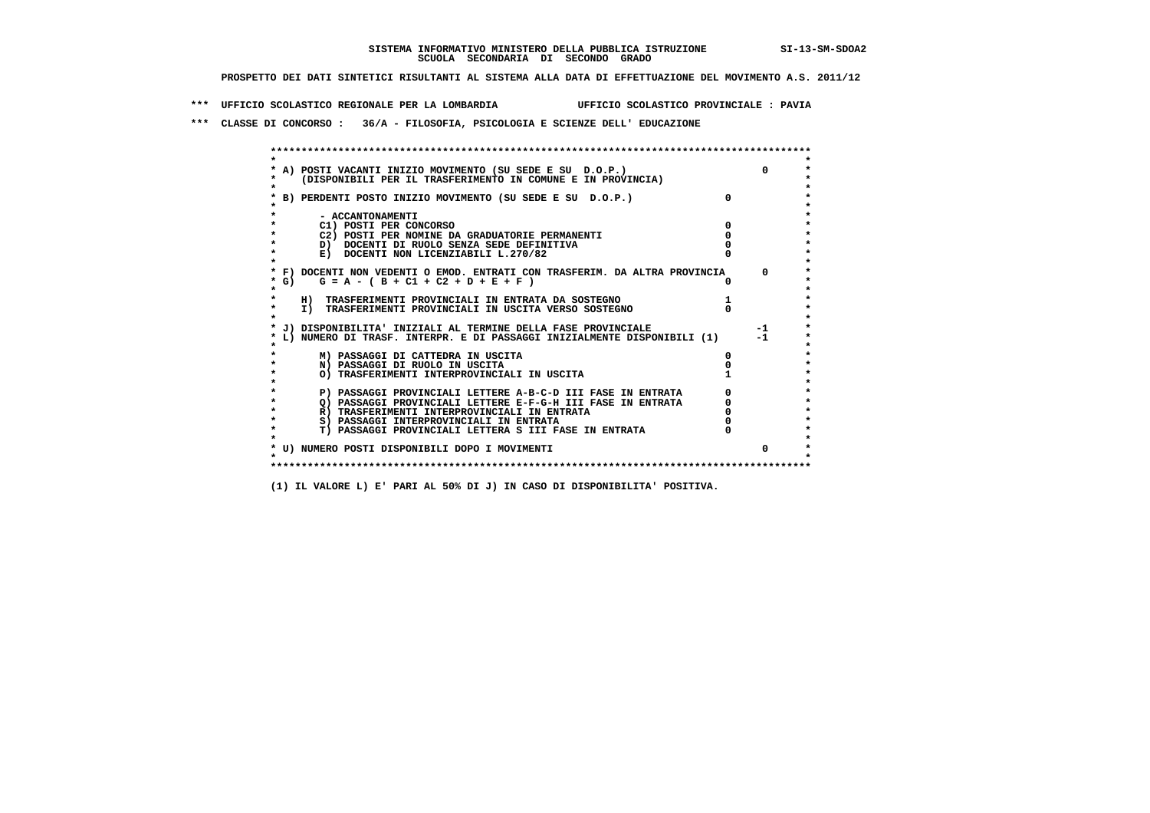**\*\*\* UFFICIO SCOLASTICO REGIONALE PER LA LOMBARDIA UFFICIO SCOLASTICO PROVINCIALE : PAVIA**

 **\*\*\* CLASSE DI CONCORSO : 36/A - FILOSOFIA, PSICOLOGIA E SCIENZE DELL' EDUCAZIONE**

 **\*\*\*\*\*\*\*\*\*\*\*\*\*\*\*\*\*\*\*\*\*\*\*\*\*\*\*\*\*\*\*\*\*\*\*\*\*\*\*\*\*\*\*\*\*\*\*\*\*\*\*\*\*\*\*\*\*\*\*\*\*\*\*\*\*\*\*\*\*\*\*\*\*\*\*\*\*\*\*\*\*\*\*\*\*\*\*\* \* \*** $\bullet$  **\* A) POSTI VACANTI INIZIO MOVIMENTO (SU SEDE E SU D.O.P.) 0 \* \* (DISPONIBILI PER IL TRASFERIMENTO IN COMUNE E IN PROVINCIA) \*** $\bullet$  **\* \* \* B) PERDENTI POSTO INIZIO MOVIMENTO (SU SEDE E SU D.O.P.) 0 \* \* \* \* - ACCANTONAMENTI \* \* C1) POSTI PER CONCORSO 0 \* \* C2) POSTI PER NOMINE DA GRADUATORIE PERMANENTI 0 \*b**  $\overline{D}$  **docenti di RUOLO SENZA SEDE DEFINITIVA**  $\overline{D}$  **0**  $\overline{D}$  **0**  $\overline{D}$  **0**  $\overline{D}$  **0**  $\overline{D}$  **0**  $\overline{D}$  **0**  $\overline{D}$  **0**  $\overline{D}$  **0**  $\overline{D}$  **0**  $\overline{D}$  **0**  $\overline{D}$  **0**  $\overline{D}$  **0**  $\overline{D}$  **0 E) DOCENTI NON LICENZIABILI L.270/82 \* \* \* F) DOCENTI NON VEDENTI O EMOD. ENTRATI CON TRASFERIM. DA ALTRA PROVINCIA 0 \* \* G) G = A - ( B + C1 + C2 + D + E + F ) 0 \* \* \* \* H) TRASFERIMENTI PROVINCIALI IN ENTRATA DA SOSTEGNO 1 \* \* I) TRASFERIMENTI PROVINCIALI IN USCITA VERSO SOSTEGNO 0 \* \* \* \* J) DISPONIBILITA' INIZIALI AL TERMINE DELLA FASE PROVINCIALE -1 \* \* L) NUMERO DI TRASF. INTERPR. E DI PASSAGGI INIZIALMENTE DISPONIBILI (1) -1 \* \* \* \* M) PASSAGGI DI CATTEDRA IN USCITA 0 \* \* N) PASSAGGI DI RUOLO IN USCITA 0 \*O) TRASFERIMENTI INTERPROVINCIALI IN USCITA \* \* P) PASSAGGI PROVINCIALI LETTERE A-B-C-D III FASE IN ENTRATA** 0 <sup>0</sup> **DASSAGGI PROVINCIALI LETTERE E-F-G-H** III FASE IN ENTRATA 0 <sup>0</sup>  $\star$  **\* Q) PASSAGGI PROVINCIALI LETTERE E-F-G-H III FASE IN ENTRATA 0 \*R)** TRASFERIMENTI INTERPROVINCIALI IN ENTRATA  $\begin{bmatrix} 0 & 0 \\ 0 & 0 \\ 0 & 0 \end{bmatrix}$  PASSAGGI INTERPROVINCIALI IN ENTRATA  $\begin{bmatrix} 0 & 0 \\ 0 & 0 \\ 0 & 0 \end{bmatrix}$  **\* S) PASSAGGI INTERPROVINCIALI IN ENTRATA 0 \*** $\ddot{\phantom{1}}$  **\* T) PASSAGGI PROVINCIALI LETTERA S III FASE IN ENTRATA 0 \*** $\star$  **\* \* \* U) NUMERO POSTI DISPONIBILI DOPO I MOVIMENTI 0 \* \* \* \*\*\*\*\*\*\*\*\*\*\*\*\*\*\*\*\*\*\*\*\*\*\*\*\*\*\*\*\*\*\*\*\*\*\*\*\*\*\*\*\*\*\*\*\*\*\*\*\*\*\*\*\*\*\*\*\*\*\*\*\*\*\*\*\*\*\*\*\*\*\*\*\*\*\*\*\*\*\*\*\*\*\*\*\*\*\*\***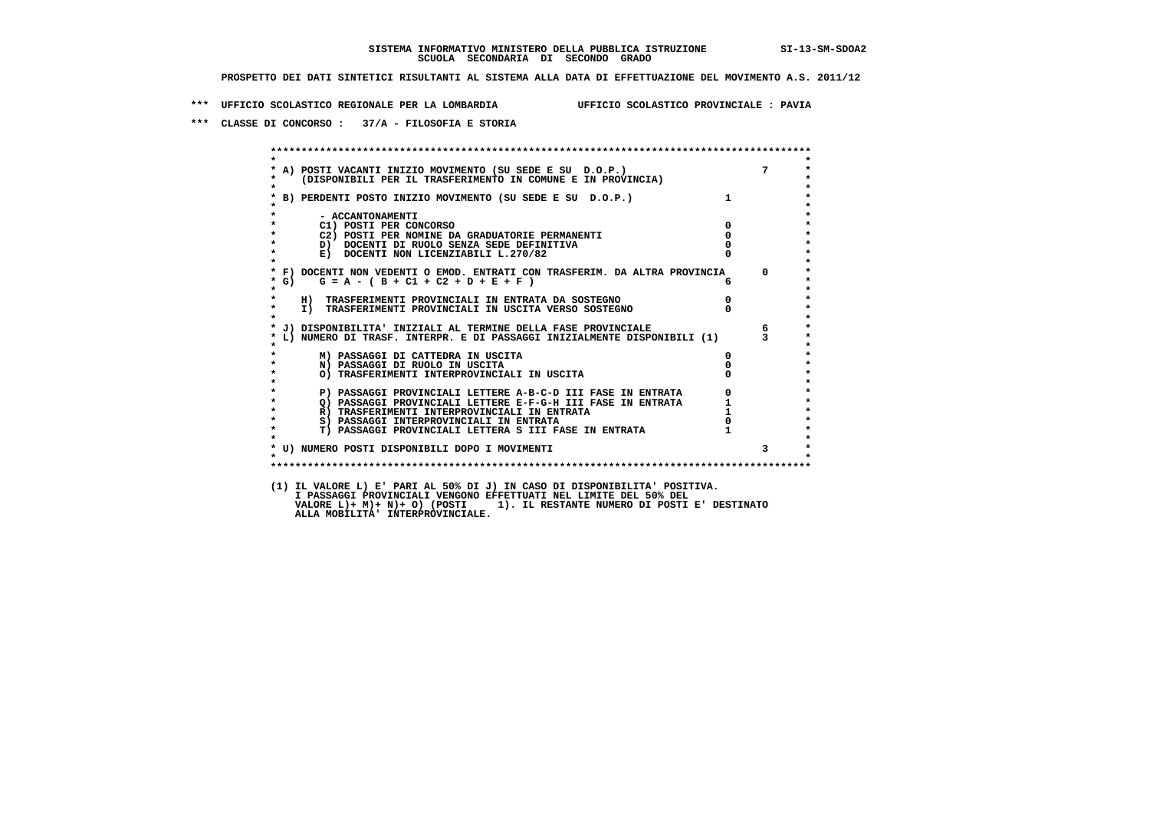**\*\*\* UFFICIO SCOLASTICO REGIONALE PER LA LOMBARDIA UFFICIO SCOLASTICO PROVINCIALE : PAVIA**

 **\*\*\* CLASSE DI CONCORSO : 37/A - FILOSOFIA E STORIA**

|                   | A) POSTI VACANTI INIZIO MOVIMENTO (SU SEDE E SU D.O.P.) 7<br>(DISPONIBILI PER IL TRASFERIMENTO IN COMUNE E IN PROVINCIA)                               |                |              |
|-------------------|--------------------------------------------------------------------------------------------------------------------------------------------------------|----------------|--------------|
|                   | * B) PERDENTI POSTO INIZIO MOVIMENTO (SU SEDE E SU D.O.P.)                                                                                             | $\mathbf{1}$   |              |
|                   | - ACCANTONAMENTI<br>C1) POSTI PER CONCORSO                                                                                                             | $\overline{0}$ |              |
|                   | C2) POSTI PER NOMINE DA GRADUATORIE PERMANENTI                                                                                                         | $\mathbf{0}$   |              |
| $\star$           | D) DOCENTI DI RUOLO SENZA SEDE DEFINITIVA                                                                                                              |                |              |
| $\star$           | E) DOCENTI NON LICENZIABILI L.270/82                                                                                                                   |                |              |
| $*$ G)<br>$\star$ | * F) DOCENTI NON VEDENTI O EMOD. ENTRATI CON TRASFERIM. DA ALTRA PROVINCIA<br>$G = A - (B + C1 + C2 + D + E + F)$                                      | б.             | $\Omega$     |
| $\star$           | H) TRASFERIMENTI PROVINCIALI IN ENTRATA DA SOSTEGNO                                                                                                    | $\overline{0}$ |              |
| $\star$           | I) TRASFERIMENTI PROVINCIALI IN USCITA VERSO SOSTEGNO<br>I) TRASFERIMENTI PROVINCIALI IN USCITA VERSO SOSTEGNO                                         |                |              |
|                   | * J) DISPONIBILITA' INIZIALI AL TERMINE DELLA FASE PROVINCIALE                                                                                         |                | $6^{\circ}$  |
|                   | L) NUMERO DI TRASF. INTERPR. E DI PASSAGGI INIZIALMENTE DISPONIBILI (1)                                                                                |                |              |
|                   | M) PASSAGGI DI CATTEDRA IN USCITA                                                                                                                      | $\mathbf{0}$   |              |
| $\star$           | N) PASSAGGI DI RUOLO IN USCITA                                                                                                                         |                |              |
|                   | O) TRASFERIMENTI INTERPROVINCIALI IN USCITA                                                                                                            |                |              |
|                   | P) PASSAGGI PROVINCIALI LETTERE A-B-C-D III FASE IN ENTRATA                                                                                            |                |              |
|                   |                                                                                                                                                        |                |              |
| $\star$           | 2) PASSAGGI PROVINCIALI LETTERE E-F-G-H III FASE IN ENTRATA<br>R) TRASFERIMENTI INTERPROVINCIALI IN ENTRATA<br>S) PASSAGGI INTERPROVINCIALI IN ENTRATA |                |              |
| $\star$           | S) PASSAGGI INTERPROVINCIALI IN ENTRATA                                                                                                                |                |              |
| $\star$           | T) PASSAGGI PROVINCIALI LETTERA S III FASE IN ENTRATA                                                                                                  |                |              |
|                   | * U) NUMERO POSTI DISPONIBILI DOPO I MOVIMENTI                                                                                                         |                | $\mathbf{3}$ |
| $\star$           |                                                                                                                                                        |                |              |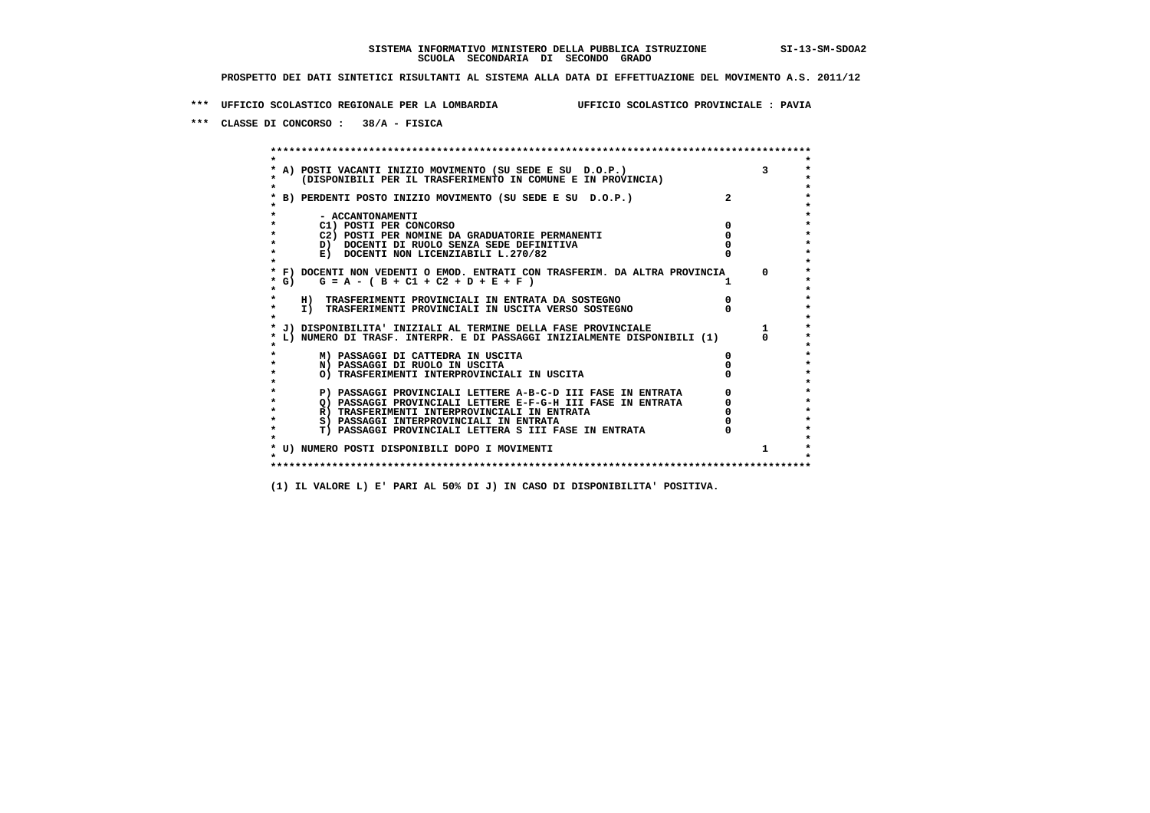**\*\*\* UFFICIO SCOLASTICO REGIONALE PER LA LOMBARDIA UFFICIO SCOLASTICO PROVINCIALE : PAVIA**

 **\*\*\* CLASSE DI CONCORSO : 38/A - FISICA**

 **\*\*\*\*\*\*\*\*\*\*\*\*\*\*\*\*\*\*\*\*\*\*\*\*\*\*\*\*\*\*\*\*\*\*\*\*\*\*\*\*\*\*\*\*\*\*\*\*\*\*\*\*\*\*\*\*\*\*\*\*\*\*\*\*\*\*\*\*\*\*\*\*\*\*\*\*\*\*\*\*\*\*\*\*\*\*\*\* \* \*** $\bullet$  **\* A) POSTI VACANTI INIZIO MOVIMENTO (SU SEDE E SU D.O.P.) 3 \*** $\star$  **\* (DISPONIBILI PER IL TRASFERIMENTO IN COMUNE E IN PROVINCIA) \* \* \* \* B) PERDENTI POSTO INIZIO MOVIMENTO (SU SEDE E SU D.O.P.) 2 \* \* \* \* - ACCANTONAMENTI \* \* C1) POSTI PER CONCORSO 0 \* \* C2) POSTI PER NOMINE DA GRADUATORIE PERMANENTI 0 \*D)** DOCENTI DI RUOLO SENZA SEDE DEFINITIVA  $\overline{a}$  0  $\overline{b}$  0  $\overline{c}$  0  $\overline{c}$  0  $\overline{c}$  0  $\overline{a}$  0  $\overline{c}$ **E) DOCENTI NON LICENZIABILI L.270/82 \* \* \* F) DOCENTI NON VEDENTI O EMOD. ENTRATI CON TRASFERIM. DA ALTRA PROVINCIA 0 \***  $\star$  **G)** G = A - ( B + C1 + C2 + D + E + F )  **\* \* \* H) TRASFERIMENTI PROVINCIALI IN ENTRATA DA SOSTEGNO 0 \* \* I) TRASFERIMENTI PROVINCIALI IN USCITA VERSO SOSTEGNO 0 \* \* \* \* J) DISPONIBILITA' INIZIALI AL TERMINE DELLA FASE PROVINCIALE 1 \* \* L) NUMERO DI TRASF. INTERPR. E DI PASSAGGI INIZIALMENTE DISPONIBILI (1) 0 \* \* \* \* M) PASSAGGI DI CATTEDRA IN USCITA 0 \* \* N) PASSAGGI DI RUOLO IN USCITA 0 \* \* O) TRASFERIMENTI INTERPROVINCIALI IN USCITA 0 \* \* \* P) PASSAGGI PROVINCIALI LETTERE A-B-C-D III FASE IN ENTRATA** 0 <sup>0</sup> **DASSAGGI PROVINCIALI LETTERE E-F-G-H** III FASE IN ENTRATA 0 <sup>0</sup>  **\* Q) PASSAGGI PROVINCIALI LETTERE E-F-G-H III FASE IN ENTRATA 0 \*R)** TRASFERIMENTI INTERPROVINCIALI IN ENTRATA  $\begin{bmatrix} 0 & 0 \\ 0 & 0 \\ 0 & 0 \end{bmatrix}$  PASSAGGI INTERPROVINCIALI IN ENTRATA  $\begin{bmatrix} 0 & 0 \\ 0 & 0 \\ 0 & 0 \end{bmatrix}$  **\* S) PASSAGGI INTERPROVINCIALI IN ENTRATA 0 \*** $\ddot{\phantom{1}}$  **\* T) PASSAGGI PROVINCIALI LETTERA S III FASE IN ENTRATA 0 \*** $\star$  **\* \* \* U) NUMERO POSTI DISPONIBILI DOPO I MOVIMENTI 1 \* \* \* \*\*\*\*\*\*\*\*\*\*\*\*\*\*\*\*\*\*\*\*\*\*\*\*\*\*\*\*\*\*\*\*\*\*\*\*\*\*\*\*\*\*\*\*\*\*\*\*\*\*\*\*\*\*\*\*\*\*\*\*\*\*\*\*\*\*\*\*\*\*\*\*\*\*\*\*\*\*\*\*\*\*\*\*\*\*\*\***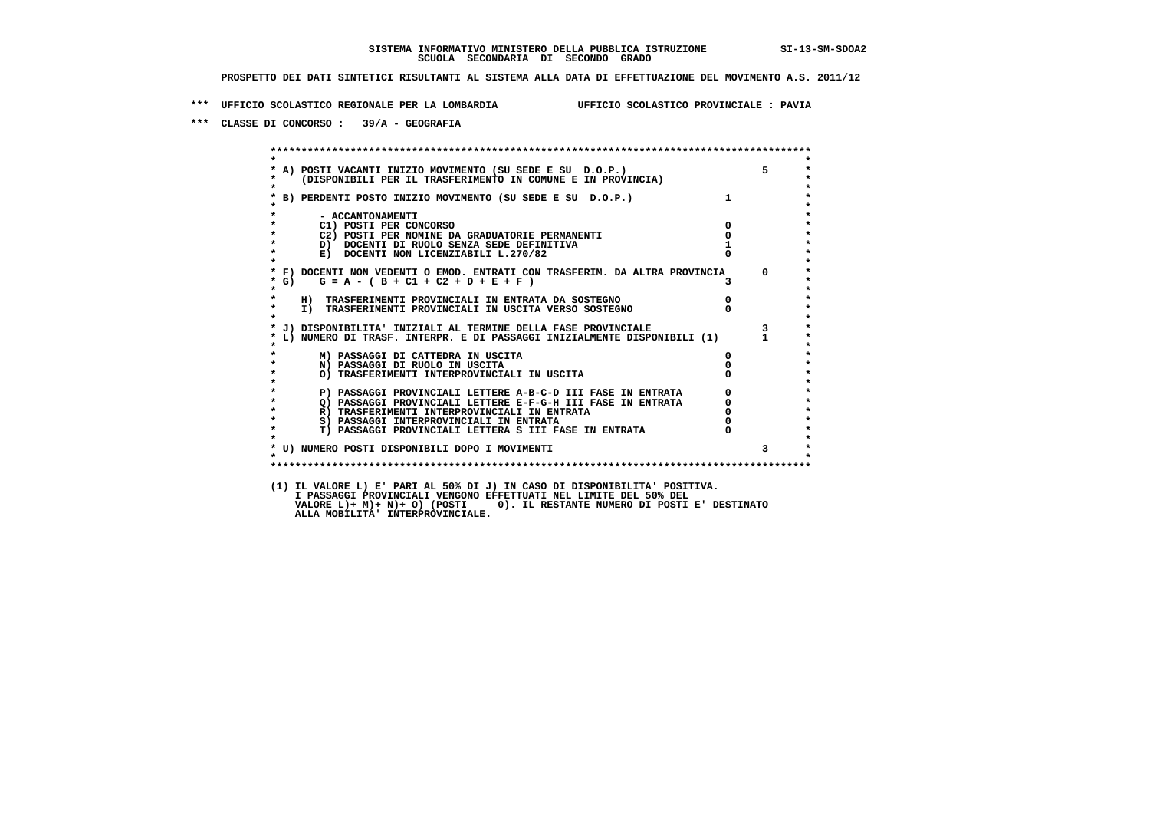**\*\*\* UFFICIO SCOLASTICO REGIONALE PER LA LOMBARDIA UFFICIO SCOLASTICO PROVINCIALE : PAVIA**

 **\*\*\* CLASSE DI CONCORSO : 39/A - GEOGRAFIA**

 **\*\*\*\*\*\*\*\*\*\*\*\*\*\*\*\*\*\*\*\*\*\*\*\*\*\*\*\*\*\*\*\*\*\*\*\*\*\*\*\*\*\*\*\*\*\*\*\*\*\*\*\*\*\*\*\*\*\*\*\*\*\*\*\*\*\*\*\*\*\*\*\*\*\*\*\*\*\*\*\*\*\*\*\*\*\*\*\* \* \*** $\ddot{\phantom{1}}$  **\* A) POSTI VACANTI INIZIO MOVIMENTO (SU SEDE E SU D.O.P.) 5 \* \* (DISPONIBILI PER IL TRASFERIMENTO IN COMUNE E IN PROVINCIA) \* \* \* \* B) PERDENTI POSTO INIZIO MOVIMENTO (SU SEDE E SU D.O.P.) 1 \* \* \* \* - ACCANTONAMENTI \* \* C1) POSTI PER CONCORSO 0 \* \* C2) POSTI PER NOMINE DA GRADUATORIE PERMANENTI 0 \*b**  $\overline{D}$  **docenti di RUOLO SENZA SEDE DEFINITIVA**  $\overline{D}$  **1**  $\overline{D}$  **1**  $\overline{D}$  **1**  $\overline{D}$  **1**  $\overline{D}$  **1**  $\overline{D}$  **1**  $\overline{D}$  **1**  $\overline{D}$  **1**  $\overline{D}$  **1**  $\overline{D}$  **1**  $\overline{D}$  **1**  $\overline{D}$  **1**  $\overline{D}$  **1 E) DOCENTI NON LICENZIABILI L.270/82 \* \* \* F) DOCENTI NON VEDENTI O EMOD. ENTRATI CON TRASFERIM. DA ALTRA PROVINCIA 0 \* \* G) G = A - ( B + C1 + C2 + D + E + F ) 3 \* \* \* \* H) TRASFERIMENTI PROVINCIALI IN ENTRATA DA SOSTEGNO 0 \* \* I) TRASFERIMENTI PROVINCIALI IN USCITA VERSO SOSTEGNO 0 \* \* \* \* J) DISPONIBILITA' INIZIALI AL TERMINE DELLA FASE PROVINCIALE 3 \* \* L) NUMERO DI TRASF. INTERPR. E DI PASSAGGI INIZIALMENTE DISPONIBILI (1) 1 \* \* \* \* M) PASSAGGI DI CATTEDRA IN USCITA 0 \* \* N) PASSAGGI DI RUOLO IN USCITA 0 \* \* O) TRASFERIMENTI INTERPROVINCIALI IN USCITA 0 \* \* \* P) PASSAGGI PROVINCIALI LETTERE A-B-C-D III FASE IN ENTRATA** 0 <sup>0</sup> **DASSAGGI PROVINCIALI LETTERE E-F-G-H** III FASE IN ENTRATA 0 <sup>0</sup> **2) PASSAGGI PROVINCIALI LETTERE E-F-G-H III FASE IN ENTRATA 6 0 R**) TRASFERIMENTI INTERPROVINCIALI IN ENTRATA 6 **0 R)** TRASFERIMENTI INTERPROVINCIALI IN ENTRATA  $\begin{bmatrix} 0 & 0 \\ 0 & 0 \\ 0 & 0 \end{bmatrix}$  PASSAGGI INTERPROVINCIALI IN ENTRATA  $\begin{bmatrix} 0 & 0 \\ 0 & 0 \\ 0 & 0 \end{bmatrix}$  **\* S) PASSAGGI INTERPROVINCIALI IN ENTRATA 0 \*** $\ddot{\phantom{1}}$  **\* T) PASSAGGI PROVINCIALI LETTERA S III FASE IN ENTRATA 0 \*** $\star$  **\* \* \* U) NUMERO POSTI DISPONIBILI DOPO I MOVIMENTI 3 \* \* \* \*\*\*\*\*\*\*\*\*\*\*\*\*\*\*\*\*\*\*\*\*\*\*\*\*\*\*\*\*\*\*\*\*\*\*\*\*\*\*\*\*\*\*\*\*\*\*\*\*\*\*\*\*\*\*\*\*\*\*\*\*\*\*\*\*\*\*\*\*\*\*\*\*\*\*\*\*\*\*\*\*\*\*\*\*\*\*\* (1) IL VALORE L) E' PARI AL 50% DI J) IN CASO DI DISPONIBILITA' POSITIVA. I PASSAGGI PROVINCIALI VENGONO EFFETTUATI NEL LIMITE DEL 50% DEL VALORE L)+ M)+ N)+ O) (POSTI 0). IL RESTANTE NUMERO DI POSTI E' DESTINATO ALLA MOBILITA' INTERPROVINCIALE.**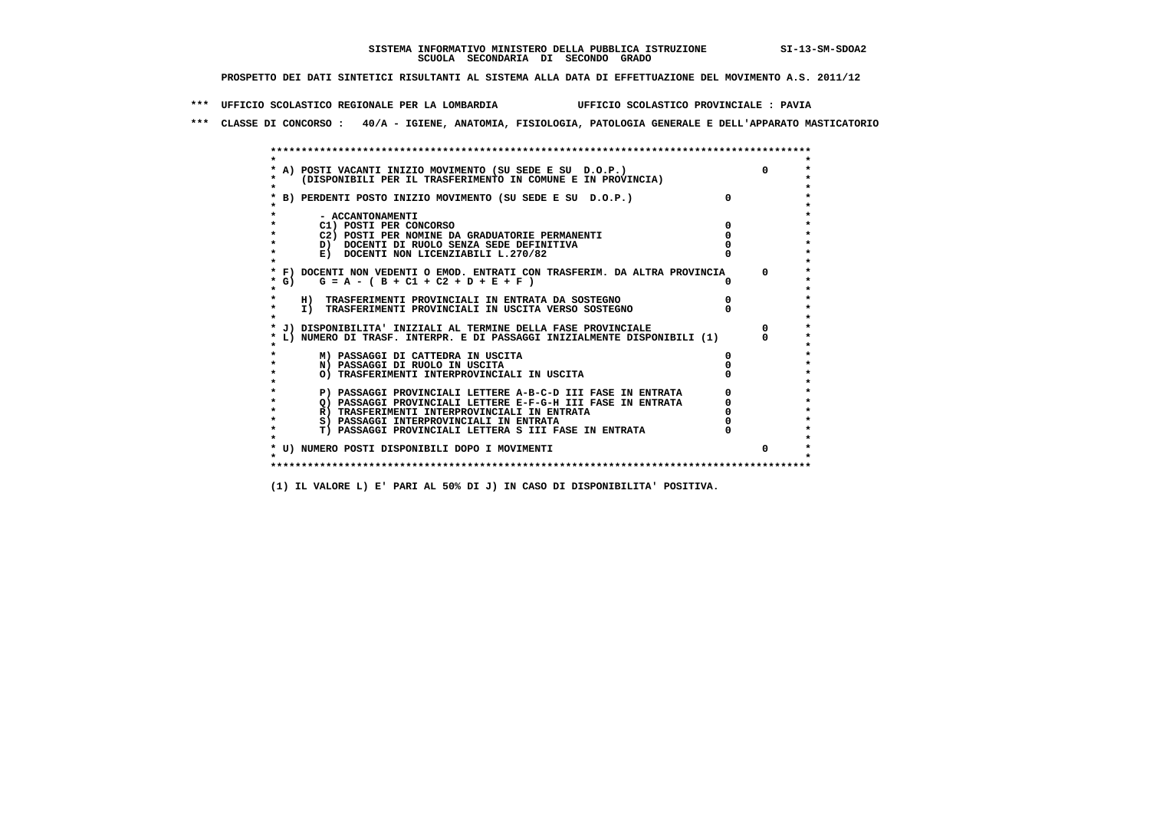**\*\*\* UFFICIO SCOLASTICO REGIONALE PER LA LOMBARDIA UFFICIO SCOLASTICO PROVINCIALE : PAVIA**

 **\*\*\* CLASSE DI CONCORSO : 40/A - IGIENE, ANATOMIA, FISIOLOGIA, PATOLOGIA GENERALE E DELL'APPARATO MASTICATORIO**

|        | * A) POSTI VACANTI INIZIO MOVIMENTO (SU SEDE E SU D.O.P.)                  |  |
|--------|----------------------------------------------------------------------------|--|
|        | (DISPONIBILI PER IL TRASFERIMENTO IN COMUNE E IN PROVINCIA)                |  |
|        |                                                                            |  |
|        | B) PERDENTI POSTO INIZIO MOVIMENTO (SU SEDE E SU D.O.P.)                   |  |
|        |                                                                            |  |
|        | - ACCANTONAMENTI                                                           |  |
|        | C1) POSTI PER CONCORSO                                                     |  |
|        | C2) POSTI PER NOMINE DA GRADUATORIE PERMANENTI                             |  |
|        | D) DOCENTI DI RUOLO SENZA SEDE DEFINITIVA                                  |  |
|        | E) DOCENTI NON LICENZIABILI L.270/82                                       |  |
|        |                                                                            |  |
|        | * F) DOCENTI NON VEDENTI O EMOD. ENTRATI CON TRASFERIM. DA ALTRA PROVINCIA |  |
| * G) = | $G = A - (B + C1 + C2 + D + E + F)$                                        |  |
| *      |                                                                            |  |
|        | H) TRASFERIMENTI PROVINCIALI IN ENTRATA DA SOSTEGNO                        |  |
| *      | I) TRASFERIMENTI PROVINCIALI IN USCITA VERSO SOSTEGNO                      |  |
|        |                                                                            |  |
|        | J) DISPONIBILITA' INIZIALI AL TERMINE DELLA FASE PROVINCIALE               |  |
|        | L) NUMERO DI TRASF. INTERPR. E DI PASSAGGI INIZIALMENTE DISPONIBILI (1)    |  |
|        |                                                                            |  |
|        | M) PASSAGGI DI CATTEDRA IN USCITA                                          |  |
|        | N) PASSAGGI DI RUOLO IN USCITA                                             |  |
|        | O) TRASFERIMENTI INTERPROVINCIALI IN USCITA                                |  |
|        |                                                                            |  |
|        | P) PASSAGGI PROVINCIALI LETTERE A-B-C-D III FASE IN ENTRATA                |  |
|        | O) PASSAGGI PROVINCIALI LETTERE E-F-G-H III FASE IN ENTRATA                |  |
|        | R) TRASFERIMENTI INTERPROVINCIALI IN ENTRATA                               |  |
| *      | S) PASSAGGI INTERPROVINCIALI IN ENTRATA                                    |  |
|        | <b>T) PASSAGGI PROVINCIALI LETTERA S III FASE IN ENTRATA</b>               |  |
|        |                                                                            |  |
|        | * U) NUMERO POSTI DISPONIBILI DOPO I MOVIMENTI                             |  |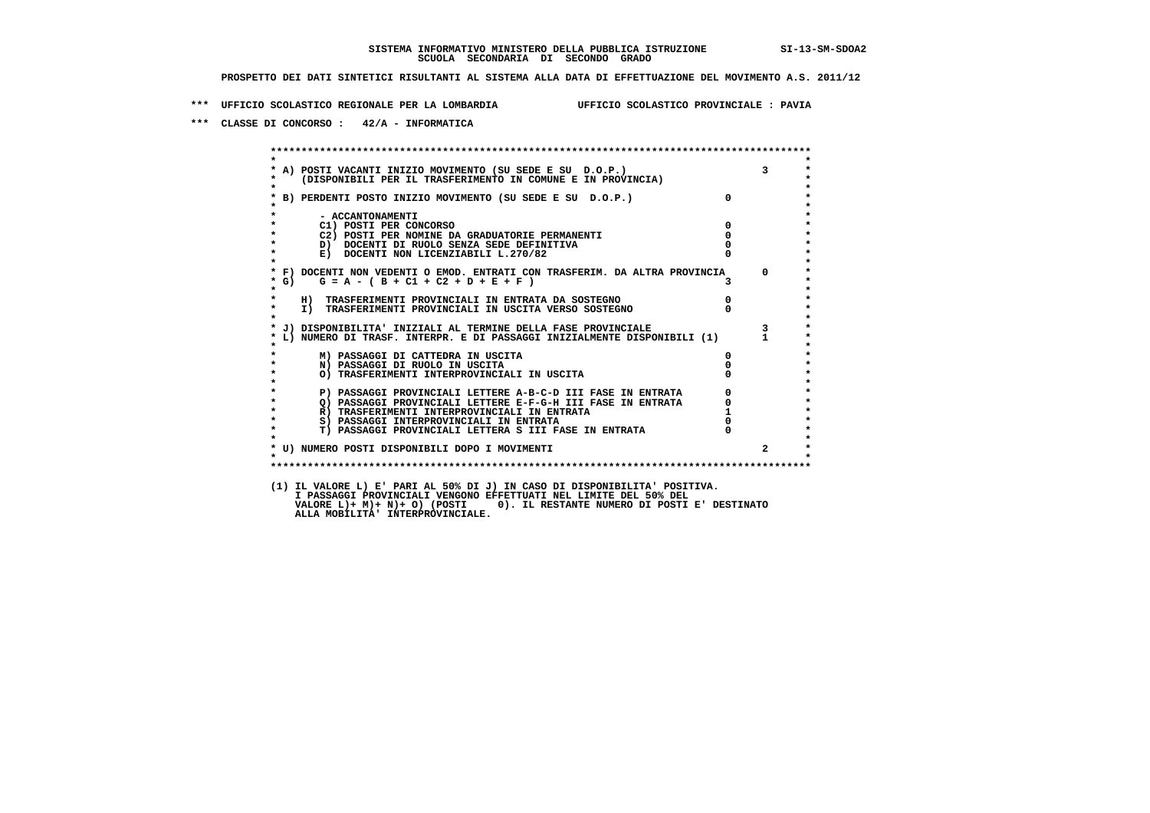**\*\*\* UFFICIO SCOLASTICO REGIONALE PER LA LOMBARDIA UFFICIO SCOLASTICO PROVINCIALE : PAVIA**

 **\*\*\* CLASSE DI CONCORSO : 42/A - INFORMATICA**

 **\*\*\*\*\*\*\*\*\*\*\*\*\*\*\*\*\*\*\*\*\*\*\*\*\*\*\*\*\*\*\*\*\*\*\*\*\*\*\*\*\*\*\*\*\*\*\*\*\*\*\*\*\*\*\*\*\*\*\*\*\*\*\*\*\*\*\*\*\*\*\*\*\*\*\*\*\*\*\*\*\*\*\*\*\*\*\*\* \* \* \* A) POSTI VACANTI INIZIO MOVIMENTO (SU SEDE E SU D.O.P.) 3 \* \* (DISPONIBILI PER IL TRASFERIMENTO IN COMUNE E IN PROVINCIA) \* \* \* \* B) PERDENTI POSTO INIZIO MOVIMENTO (SU SEDE E SU D.O.P.) 0 \* \* \* \* - ACCANTONAMENTI \* \* C1) POSTI PER CONCORSO 0 \* \* C2) POSTI PER NOMINE DA GRADUATORIE PERMANENTI 0 \*b b** docenti di RUOLO SENZA SEDE DEFINITIVA  $\overline{D}$  **b**  $\overline{D}$  0  $\overline{D}$  0  $\overline{D}$  0  $\overline{D}$  0  $\overline{D}$  0  $\overline{D}$  0  $\overline{D}$  0  $\overline{D}$  0  $\overline{D}$  0  $\overline{D}$  0  $\overline{D}$  0  $\overline{D}$  0  $\overline{D}$  0  $\overline{D}$  0  $\overline{D}$ **E) DOCENTI NON LICENZIABILI L.270/82 \* \* \* F) DOCENTI NON VEDENTI O EMOD. ENTRATI CON TRASFERIM. DA ALTRA PROVINCIA 0 \***  $\star$  **G)** G = A - ( B + C1 + C2 + D + E + F )  **\* \* \* H) TRASFERIMENTI PROVINCIALI IN ENTRATA DA SOSTEGNO 0 \* \* I) TRASFERIMENTI PROVINCIALI IN USCITA VERSO SOSTEGNO 0 \* \* \* \* J) DISPONIBILITA' INIZIALI AL TERMINE DELLA FASE PROVINCIALE 3 \* \* L) NUMERO DI TRASF. INTERPR. E DI PASSAGGI INIZIALMENTE DISPONIBILI (1) 1 \* \* \* \* M) PASSAGGI DI CATTEDRA IN USCITA 0 \* \* N) PASSAGGI DI RUOLO IN USCITA 0 \* \* O) TRASFERIMENTI INTERPROVINCIALI IN USCITA 0 \* \* \* P) PASSAGGI PROVINCIALI LETTERE A-B-C-D III FASE IN ENTRATA 0 \*\*\***<br>0 passaggi provinciali lettere e-f-G-H iii fase in entrata \*\*\*\*\*\*\*\*\*\*\*\*\*\*\*\*\*\*\*\*\* **2) PASSAGGI PROVINCIALI LETTERE E-F-G-H III FASE IN ENTRATA 6**  $\overline{Q}$  **PASSAGGI PROVINCIALI LETTERE E-F-G-H III FASE IN ENTRATA** 0  **\* R) TRASFERIMENTI INTERPROVINCIALI IN ENTRATA 1 \*8) PASSAGGI INTERPROVINCIALI IN ENTRATA 6 \*\*\*** 0 \*\*\*<br> **T) PASSAGGI PROVINCIALI LETTERA S III FASE IN ENTRATA** 0 \*\*\*  $\ddot{\phantom{1}}$  **\* T) PASSAGGI PROVINCIALI LETTERA S III FASE IN ENTRATA 0 \*** $\star$  **\* \* \* U) NUMERO POSTI DISPONIBILI DOPO I MOVIMENTI 2 \* \* \* \*\*\*\*\*\*\*\*\*\*\*\*\*\*\*\*\*\*\*\*\*\*\*\*\*\*\*\*\*\*\*\*\*\*\*\*\*\*\*\*\*\*\*\*\*\*\*\*\*\*\*\*\*\*\*\*\*\*\*\*\*\*\*\*\*\*\*\*\*\*\*\*\*\*\*\*\*\*\*\*\*\*\*\*\*\*\*\* (1) IL VALORE L) E' PARI AL 50% DI J) IN CASO DI DISPONIBILITA' POSITIVA. I PASSAGGI PROVINCIALI VENGONO EFFETTUATI NEL LIMITE DEL 50% DEL VALORE L)+ M)+ N)+ O) (POSTI 0). IL RESTANTE NUMERO DI POSTI E' DESTINATO ALLA MOBILITA' INTERPROVINCIALE.**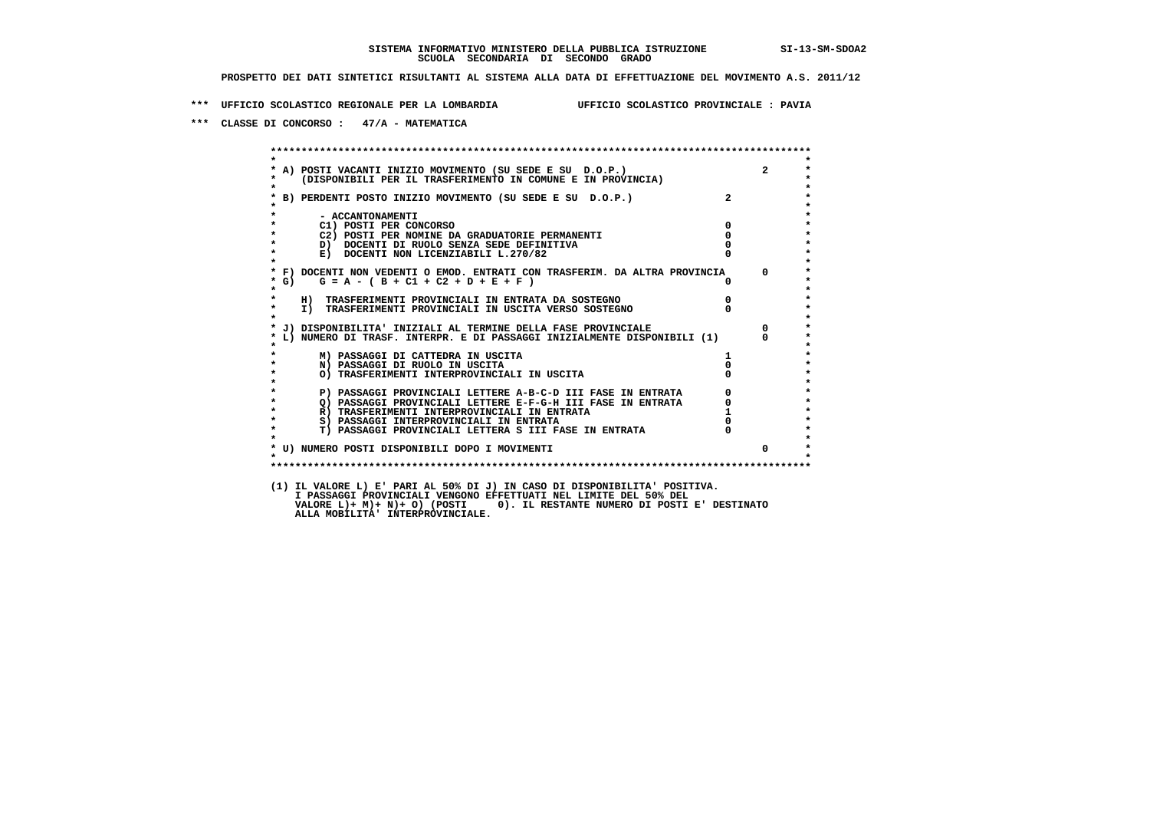**\*\*\* UFFICIO SCOLASTICO REGIONALE PER LA LOMBARDIA UFFICIO SCOLASTICO PROVINCIALE : PAVIA**

 **\*\*\* CLASSE DI CONCORSO : 47/A - MATEMATICA**

 **\*\*\*\*\*\*\*\*\*\*\*\*\*\*\*\*\*\*\*\*\*\*\*\*\*\*\*\*\*\*\*\*\*\*\*\*\*\*\*\*\*\*\*\*\*\*\*\*\*\*\*\*\*\*\*\*\*\*\*\*\*\*\*\*\*\*\*\*\*\*\*\*\*\*\*\*\*\*\*\*\*\*\*\*\*\*\*\* \* \*** $\bullet$  **\* A) POSTI VACANTI INIZIO MOVIMENTO (SU SEDE E SU D.O.P.) 2 \*** $\star$  **\* (DISPONIBILI PER IL TRASFERIMENTO IN COMUNE E IN PROVINCIA) \*** $\bullet$  **\* \* \* B) PERDENTI POSTO INIZIO MOVIMENTO (SU SEDE E SU D.O.P.) 2 \* \* \* \* - ACCANTONAMENTI \* \* C1) POSTI PER CONCORSO 0 \* \* C2) POSTI PER NOMINE DA GRADUATORIE PERMANENTI 0 \*b b** docenti di RUOLO SENZA SEDE DEFINITIVA  $\overline{D}$  **b**  $\overline{D}$  0  $\overline{D}$  0  $\overline{D}$  0  $\overline{D}$  0  $\overline{D}$  0  $\overline{D}$  0  $\overline{D}$  0  $\overline{D}$  0  $\overline{D}$  0  $\overline{D}$  0  $\overline{D}$  0  $\overline{D}$  0  $\overline{D}$  0  $\overline{D}$  0  $\overline{D}$ **E) DOCENTI NON LICENZIABILI L.270/82 \* \* \* F) DOCENTI NON VEDENTI O EMOD. ENTRATI CON TRASFERIM. DA ALTRA PROVINCIA 0 \* \* G) G = A - ( B + C1 + C2 + D + E + F ) 0 \* \* \* \* H) TRASFERIMENTI PROVINCIALI IN ENTRATA DA SOSTEGNO 0 \* \* I) TRASFERIMENTI PROVINCIALI IN USCITA VERSO SOSTEGNO 0 \* \* \* \* J) DISPONIBILITA' INIZIALI AL TERMINE DELLA FASE PROVINCIALE 0 \* \* L) NUMERO DI TRASF. INTERPR. E DI PASSAGGI INIZIALMENTE DISPONIBILI (1) 0 \* \* \* \* M) PASSAGGI DI CATTEDRA IN USCITA 1 \* \* N) PASSAGGI DI RUOLO IN USCITA 0 \* \* O) TRASFERIMENTI INTERPROVINCIALI IN USCITA 0 \* \* \* P) PASSAGGI PROVINCIALI LETTERE A-B-C-D III FASE IN ENTRATA 0 \*\*\***<br>0 passaggi provinciali lettere e-f-G-H iii fase in entrata \*\*\*\*\*\*\*\*\*\*\*\*\*\*\*\*\*\*\*\*\* **2) PASSAGGI PROVINCIALI LETTERE E-F-G-H III FASE IN ENTRATA 6**  $\overline{Q}$  **PASSAGGI PROVINCIALI LETTERE E-F-G-H III FASE IN ENTRATA** 0  **\* R) TRASFERIMENTI INTERPROVINCIALI IN ENTRATA 1 \*8) PASSAGGI INTERPROVINCIALI IN ENTRATA 6 \*\*\*** 0 \*\*\*<br> **T) PASSAGGI PROVINCIALI LETTERA S III FASE IN ENTRATA** 0 \*\*\*  $\ddot{\phantom{1}}$  **\* T) PASSAGGI PROVINCIALI LETTERA S III FASE IN ENTRATA 0 \*** $\star$  **\* \* \* U) NUMERO POSTI DISPONIBILI DOPO I MOVIMENTI 0 \* \* \* \*\*\*\*\*\*\*\*\*\*\*\*\*\*\*\*\*\*\*\*\*\*\*\*\*\*\*\*\*\*\*\*\*\*\*\*\*\*\*\*\*\*\*\*\*\*\*\*\*\*\*\*\*\*\*\*\*\*\*\*\*\*\*\*\*\*\*\*\*\*\*\*\*\*\*\*\*\*\*\*\*\*\*\*\*\*\*\* (1) IL VALORE L) E' PARI AL 50% DI J) IN CASO DI DISPONIBILITA' POSITIVA. I PASSAGGI PROVINCIALI VENGONO EFFETTUATI NEL LIMITE DEL 50% DEL VALORE L)+ M)+ N)+ O) (POSTI 0). IL RESTANTE NUMERO DI POSTI E' DESTINATO ALLA MOBILITA' INTERPROVINCIALE.**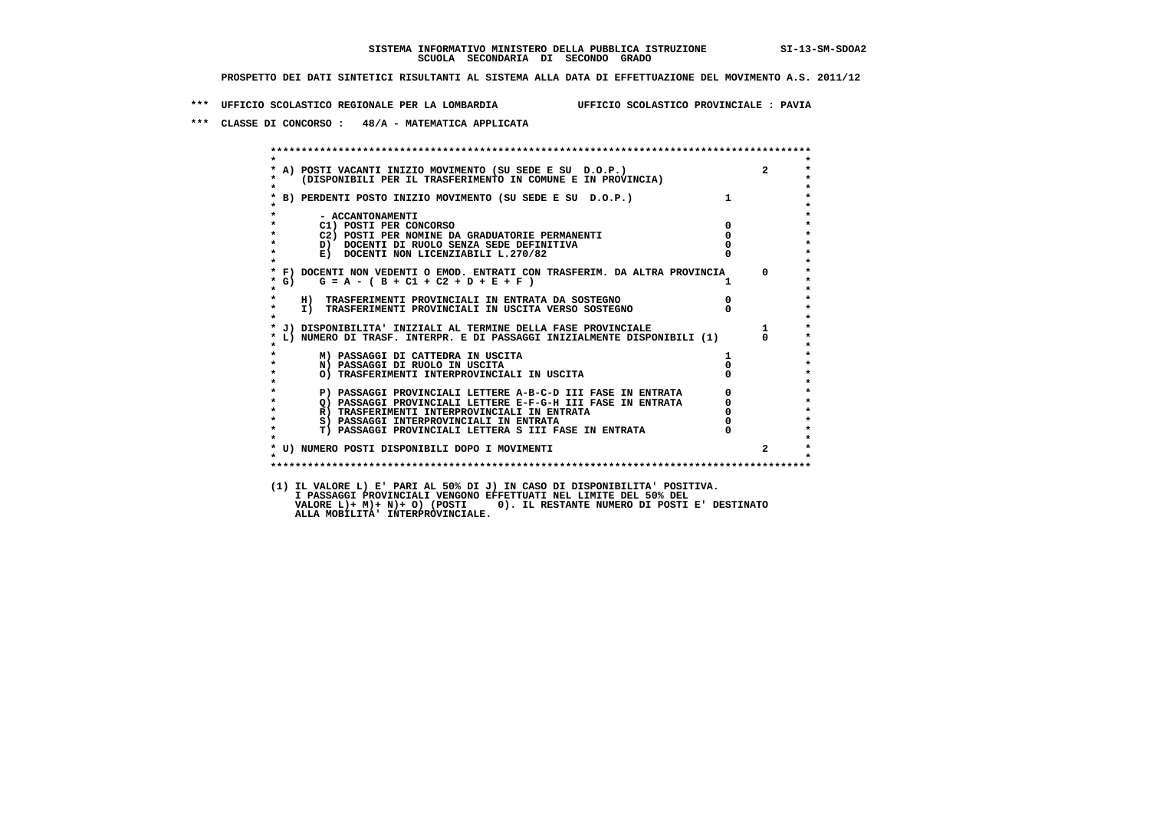**\*\*\* UFFICIO SCOLASTICO REGIONALE PER LA LOMBARDIA UFFICIO SCOLASTICO PROVINCIALE : PAVIA**

 **\*\*\* CLASSE DI CONCORSO : 48/A - MATEMATICA APPLICATA**

 **\*\*\*\*\*\*\*\*\*\*\*\*\*\*\*\*\*\*\*\*\*\*\*\*\*\*\*\*\*\*\*\*\*\*\*\*\*\*\*\*\*\*\*\*\*\*\*\*\*\*\*\*\*\*\*\*\*\*\*\*\*\*\*\*\*\*\*\*\*\*\*\*\*\*\*\*\*\*\*\*\*\*\*\*\*\*\*\* \* \*** $\ddot{\phantom{1}}$  **\* A) POSTI VACANTI INIZIO MOVIMENTO (SU SEDE E SU D.O.P.) 2 \* \* (DISPONIBILI PER IL TRASFERIMENTO IN COMUNE E IN PROVINCIA) \* \* \* \* B) PERDENTI POSTO INIZIO MOVIMENTO (SU SEDE E SU D.O.P.) 1 \* \* \* \* - ACCANTONAMENTI \* \* C1) POSTI PER CONCORSO 0 \* \* C2) POSTI PER NOMINE DA GRADUATORIE PERMANENTI 0 \*D)** DOCENTI DI RUOLO SENZA SEDE DEFINITIVA  $\overline{a}$  0  $\overline{b}$  0  $\overline{c}$  0  $\overline{c}$  0  $\overline{c}$  0  $\overline{a}$  0  $\overline{c}$ **E) DOCENTI NON LICENZIABILI L.270/82 \* \* \* F) DOCENTI NON VEDENTI O EMOD. ENTRATI CON TRASFERIM. DA ALTRA PROVINCIA 0 \***  $\star$  **G)** G = A - ( B + C1 + C2 + D + E + F )  **\* \* \* H) TRASFERIMENTI PROVINCIALI IN ENTRATA DA SOSTEGNO 0 \* \* I) TRASFERIMENTI PROVINCIALI IN USCITA VERSO SOSTEGNO 0 \* \* \* \* J) DISPONIBILITA' INIZIALI AL TERMINE DELLA FASE PROVINCIALE 1 \* \* L) NUMERO DI TRASF. INTERPR. E DI PASSAGGI INIZIALMENTE DISPONIBILI (1) 0 \* \* \* \* M) PASSAGGI DI CATTEDRA IN USCITA 1 \* \* N) PASSAGGI DI RUOLO IN USCITA 0 \* \* O) TRASFERIMENTI INTERPROVINCIALI IN USCITA 0 \* \* \* P) PASSAGGI PROVINCIALI LETTERE A-B-C-D III FASE IN ENTRATA 0 \*\*\***<br>0 passaggi provinciali lettere e-f-G-H iii fase in entrata \*\*\*\*\*\*\*\*\*\*\*\*\*\*\*\*\*\*\*\*\* **2) PASSAGGI PROVINCIALI LETTERE E-F-G-H III FASE IN ENTRATA 6 0 R**) TRASFERIMENTI INTERPROVINCIALI IN ENTRATA 6 **0 R)** TRASFERIMENTI INTERPROVINCIALI IN ENTRATA  $\begin{bmatrix} 0 & 0 \\ 0 & 0 \\ 0 & 0 \end{bmatrix}$  passaggi interprovinciali in entrata  $\begin{bmatrix} 0 & 0 \\ 0 & 0 \\ 0 & 0 \end{bmatrix}$  **\* S) PASSAGGI INTERPROVINCIALI IN ENTRATA 0 \*** $\ddot{\phantom{1}}$  **\* T) PASSAGGI PROVINCIALI LETTERA S III FASE IN ENTRATA 0 \*** $\star$  **\* \* \* U) NUMERO POSTI DISPONIBILI DOPO I MOVIMENTI 2 \* \* \* \*\*\*\*\*\*\*\*\*\*\*\*\*\*\*\*\*\*\*\*\*\*\*\*\*\*\*\*\*\*\*\*\*\*\*\*\*\*\*\*\*\*\*\*\*\*\*\*\*\*\*\*\*\*\*\*\*\*\*\*\*\*\*\*\*\*\*\*\*\*\*\*\*\*\*\*\*\*\*\*\*\*\*\*\*\*\*\* (1) IL VALORE L) E' PARI AL 50% DI J) IN CASO DI DISPONIBILITA' POSITIVA. I PASSAGGI PROVINCIALI VENGONO EFFETTUATI NEL LIMITE DEL 50% DEL VALORE L)+ M)+ N)+ O) (POSTI 0). IL RESTANTE NUMERO DI POSTI E' DESTINATO ALLA MOBILITA' INTERPROVINCIALE.**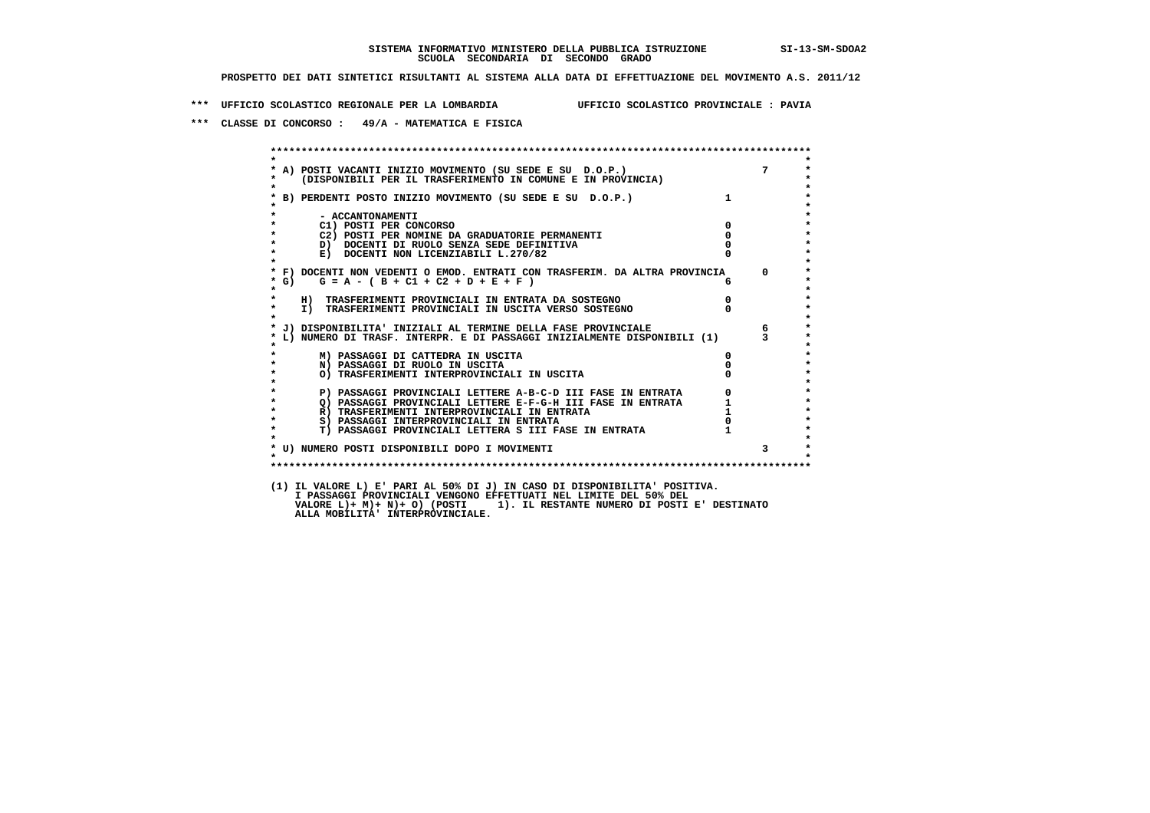**\*\*\* UFFICIO SCOLASTICO REGIONALE PER LA LOMBARDIA UFFICIO SCOLASTICO PROVINCIALE : PAVIA**

 **\*\*\* CLASSE DI CONCORSO : 49/A - MATEMATICA E FISICA**

|                    | A) POSTI VACANTI INIZIO MOVIMENTO (SU SEDE E SU D.O.P.) 7<br>(DISPONIBILI PER IL TRASFERIMENTO IN COMUNE E IN PROVINCIA) |                                                 |                |
|--------------------|--------------------------------------------------------------------------------------------------------------------------|-------------------------------------------------|----------------|
|                    | * B) PERDENTI POSTO INIZIO MOVIMENTO (SU SEDE E SU D.O.P.)                                                               | $\mathbf{1}$                                    |                |
| $\star$            | - ACCANTONAMENTI                                                                                                         |                                                 |                |
|                    | C1) POSTI PER CONCORSO                                                                                                   | $\overline{0}$                                  |                |
|                    | C2) POSTI PER NOMINE DA GRADUATORIE PERMANENTI                                                                           | $\mathbf{0}$                                    |                |
| $\star$            | D) DOCENTI DI RUOLO SENZA SEDE DEFINITIVA<br>E) DOCENTI NON LICENZIABILI L.270/82                                        |                                                 |                |
| $*$ G)             | * F) DOCENTI NON VEDENTI O EMOD. ENTRATI CON TRASFERIM. DA ALTRA PROVINCIA<br>$G = A - (B + C1 + C2 + D + E + F)$        | 6                                               | $\overline{0}$ |
| $\star$<br>$\star$ | H) TRASFERIMENTI PROVINCIALI IN ENTRATA DA SOSTEGNO<br>I) TRASFERIMENTI PROVINCIALI IN USCITA VERSO SOSTEGNO             | $\mathbf{0}$                                    |                |
|                    | * J) DISPONIBILITA' INIZIALI AL TERMINE DELLA FASE PROVINCIALE                                                           |                                                 | $6^{\circ}$    |
|                    | L) NUMERO DI TRASF. INTERPR. E DI PASSAGGI INIZIALMENTE DISPONIBILI (1)                                                  |                                                 |                |
|                    | M) PASSAGGI DI CATTEDRA IN USCITA                                                                                        | $\mathbf{0}$                                    |                |
|                    | N) PASSAGGI DI RUOLO IN USCITA                                                                                           |                                                 |                |
|                    | O) TRASFERIMENTI INTERPROVINCIALI IN USCITA                                                                              |                                                 |                |
| $\star$            | P) PASSAGGI PROVINCIALI LETTERE A-B-C-D III FASE IN ENTRATA                                                              |                                                 |                |
|                    | Q) PASSAGGI PROVINCIALI LETTERE E-F-G-H III FASE IN ENTRATA                                                              |                                                 |                |
| $\star$            | R) TRASFERIMENTI INTERPROVINCIALI IN ENTRATA                                                                             | $\begin{array}{c} 0 \\ 1 \\ 1 \\ 0 \end{array}$ |                |
| $\star$            | S) PASSAGGI INTERPROVINCIALI IN ENTRATA                                                                                  |                                                 |                |
|                    | <b>T) PASSAGGI PROVINCIALI LETTERA S III FASE IN ENTRATA</b>                                                             |                                                 |                |
| $\mathbf{r}$       | * U) NUMERO POSTI DISPONIBILI DOPO I MOVIMENTI                                                                           |                                                 | $3^{\circ}$    |
|                    |                                                                                                                          |                                                 |                |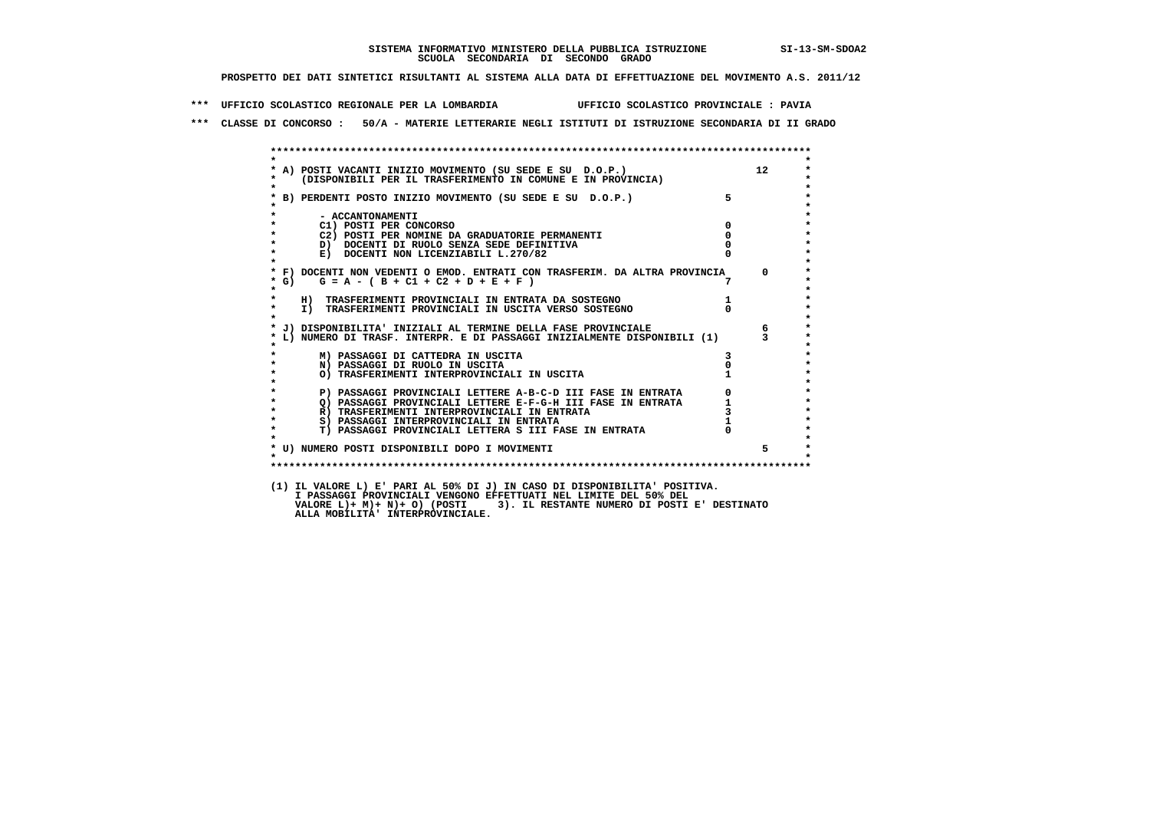**\*\*\* UFFICIO SCOLASTICO REGIONALE PER LA LOMBARDIA UFFICIO SCOLASTICO PROVINCIALE : PAVIA**

 **\*\*\* CLASSE DI CONCORSO : 50/A - MATERIE LETTERARIE NEGLI ISTITUTI DI ISTRUZIONE SECONDARIA DI II GRADO**

|                    | * A) POSTI VACANTI INIZIO MOVIMENTO (SU SEDE E SU D.O.P.)<br>* (DISPONIBILI PER IL TRASFERIMENTO IN COMUNE E IN PROVINCIA) |               | 12             |
|--------------------|----------------------------------------------------------------------------------------------------------------------------|---------------|----------------|
| $\bullet$          |                                                                                                                            | $5^{\circ}$   |                |
|                    | * B) PERDENTI POSTO INIZIO MOVIMENTO (SU SEDE E SU D.O.P.)                                                                 |               |                |
|                    | - ACCANTONAMENTI                                                                                                           |               |                |
| $\star$            | C1) POSTI PER CONCORSO                                                                                                     | $^{\circ}$    |                |
| $\star$            | C2) POSTI PER NOMINE DA GRADUATORIE PERMANENTI                                                                             | $^{\circ}$    |                |
| $\star$            | D) DOCENTI DI RUOLO SENZA SEDE DEFINITIVA                                                                                  |               |                |
|                    | E) DOCENTI NON LICENZIABILI L.270/82                                                                                       |               |                |
|                    | * F) DOCENTI NON VEDENTI O EMOD. ENTRATI CON TRASFERIM. DA ALTRA PROVINCIA                                                 |               | $\overline{0}$ |
| $*$ G)             | $G = A - (B + C1 + C2 + D + E + F)$                                                                                        |               |                |
| $\star$            | H) TRASFERIMENTI PROVINCIALI IN ENTRATA DA SOSTEGNO                                                                        | $\frac{1}{0}$ |                |
| $\star$<br>$\star$ | I) TRASFERIMENTI PROVINCIALI IN USCITA VERSO SOSTEGNO                                                                      |               |                |
|                    | * J) DISPONIBILITA' INIZIALI AL TERMINE DELLA FASE PROVINCIALE                                                             |               | 6 <sup>6</sup> |
|                    | * L) NUMERO DI TRASF. INTERPR. E DI PASSAGGI INIZIALMENTE DISPONIBILI (1) 3                                                |               |                |
|                    | M) PASSAGGI DI CATTEDRA IN USCITA                                                                                          |               |                |
| $\star$            | N) PASSAGGI DI RUOLO IN USCITA                                                                                             |               |                |
| $\star$            | O) TRASFERIMENTI INTERPROVINCIALI IN USCITA                                                                                |               |                |
| $\star$            | P) PASSAGGI PROVINCIALI LETTERE A-B-C-D III FASE IN ENTRATA                                                                |               |                |
| $\star$            | Q) PASSAGGI PROVINCIALI LETTERE E-F-G-H III FASE IN ENTRATA                                                                |               |                |
| $\star$            | R) TRASFERIMENTI INTERPROVINCIALI IN ENTRATA                                                                               |               |                |
| $\star$            | S) PASSAGGI INTERPROVINCIALI IN ENTRATA                                                                                    |               |                |
| $\star$            | T) PASSAGGI PROVINCIALI LETTERA S III FASE IN ENTRATA                                                                      |               |                |
|                    | * U) NUMERO POSTI DISPONIBILI DOPO I MOVIMENTI                                                                             |               | 5              |
| $\star$            |                                                                                                                            |               |                |
|                    |                                                                                                                            |               |                |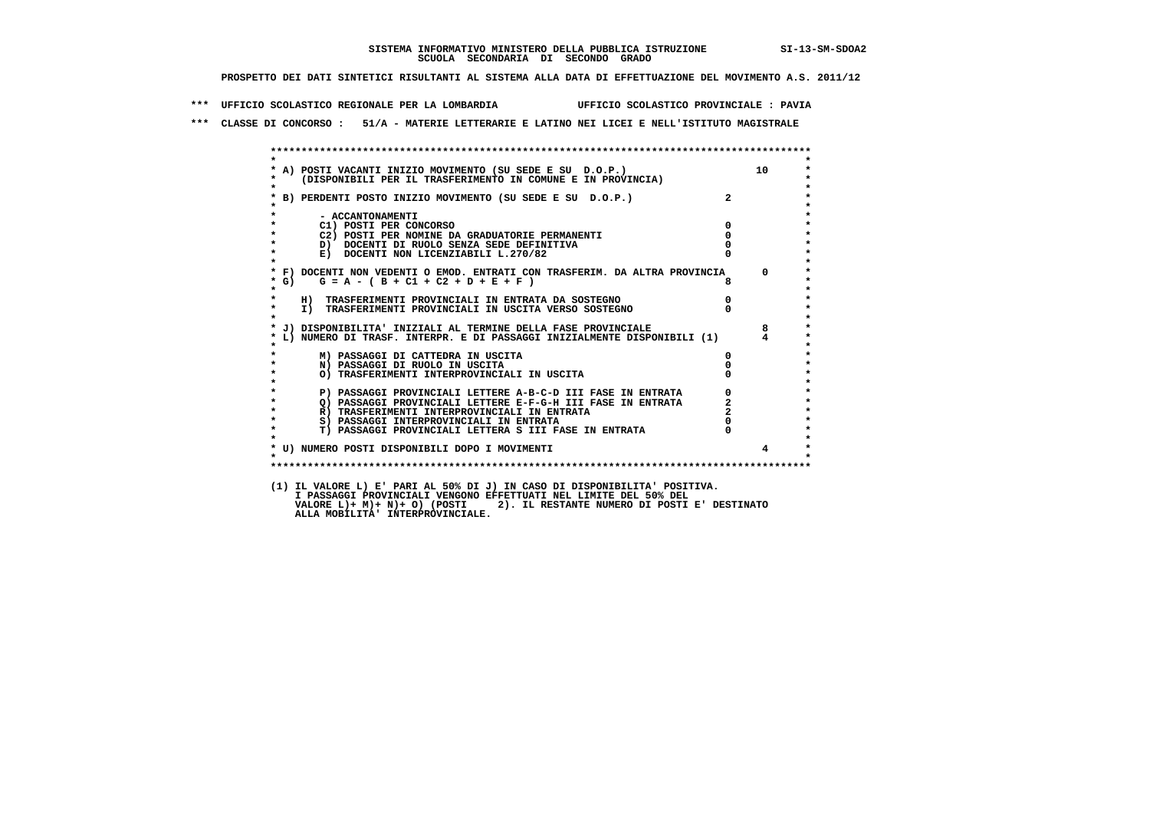**\*\*\* UFFICIO SCOLASTICO REGIONALE PER LA LOMBARDIA UFFICIO SCOLASTICO PROVINCIALE : PAVIA**

 **\*\*\* CLASSE DI CONCORSO : 51/A - MATERIE LETTERARIE E LATINO NEI LICEI E NELL'ISTITUTO MAGISTRALE**

|                               | * A) POSTI VACANTI INIZIO MOVIMENTO (SU SEDE E SU D.O.P.)<br>* (DISPONIBILI PER IL TRASFERIMENTO IN COMUNE E IN PROVINCIA) |                | 10             |
|-------------------------------|----------------------------------------------------------------------------------------------------------------------------|----------------|----------------|
|                               | * B) PERDENTI POSTO INIZIO MOVIMENTO (SU SEDE E SU D.O.P.)                                                                 | $2^{\circ}$    |                |
| $\star$<br>$\star$            | - ACCANTONAMENTI<br>C1) POSTI PER CONCORSO                                                                                 | $\mathbf 0$    |                |
| $\star$                       | C2) POSTI PER NOMINE DA GRADUATORIE PERMANENTI                                                                             | $\Omega$       |                |
| $\star$                       | D) DOCENTI DI RUOLO SENZA SEDE DEFINITIVA                                                                                  |                |                |
| $\star$                       | E) DOCENTI NON LICENZIABILI L.270/82                                                                                       |                |                |
| $*$ G)<br>$\star$             | * F) DOCENTI NON VEDENTI O EMOD. ENTRATI CON TRASFERIM. DA ALTRA PROVINCIA 0<br>$G = A - (B + C1 + C2 + D + E + F)$        | 8              |                |
| $\star$<br>$\star$<br>$\star$ | H) TRASFERIMENTI PROVINCIALI IN ENTRATA DA SOSTEGNO<br>I) TRASFERIMENTI PROVINCIALI IN USCITA VERSO SOSTEGNO               | $\overline{0}$ |                |
|                               | * J) DISPONIBILITA' INIZIALI AL TERMINE DELLA FASE PROVINCIALE                                                             |                | 8              |
|                               | * L) NUMERO DI TRASF. INTERPR. E DI PASSAGGI INIZIALMENTE DISPONIBILI (1)                                                  |                |                |
|                               | M) PASSAGGI DI CATTEDRA IN USCITA                                                                                          | 0              |                |
| $\star$                       | N) PASSAGGI DI RUOLO IN USCITA                                                                                             |                |                |
| $\star$                       | O) TRASFERIMENTI INTERPROVINCIALI IN USCITA                                                                                |                |                |
| $\star$                       | P) PASSAGGI PROVINCIALI LETTERE A-B-C-D III FASE IN ENTRATA                                                                | 0              |                |
| $\star$                       | Q) PASSAGGI PROVINCIALI LETTERE E-F-G-H III FASE IN ENTRATA                                                                |                |                |
| $\star$                       | R) TRASFERIMENTI INTERPROVINCIALI IN ENTRATA                                                                               |                |                |
| $\star$                       | S) PASSAGGI INTERPROVINCIALI IN ENTRATA                                                                                    |                |                |
| $\star$                       | T) PASSAGGI PROVINCIALI LETTERA S III FASE IN ENTRATA                                                                      |                |                |
|                               | * U) NUMERO POSTI DISPONIBILI DOPO I MOVIMENTI                                                                             |                | $\overline{4}$ |
| $\star$                       |                                                                                                                            |                |                |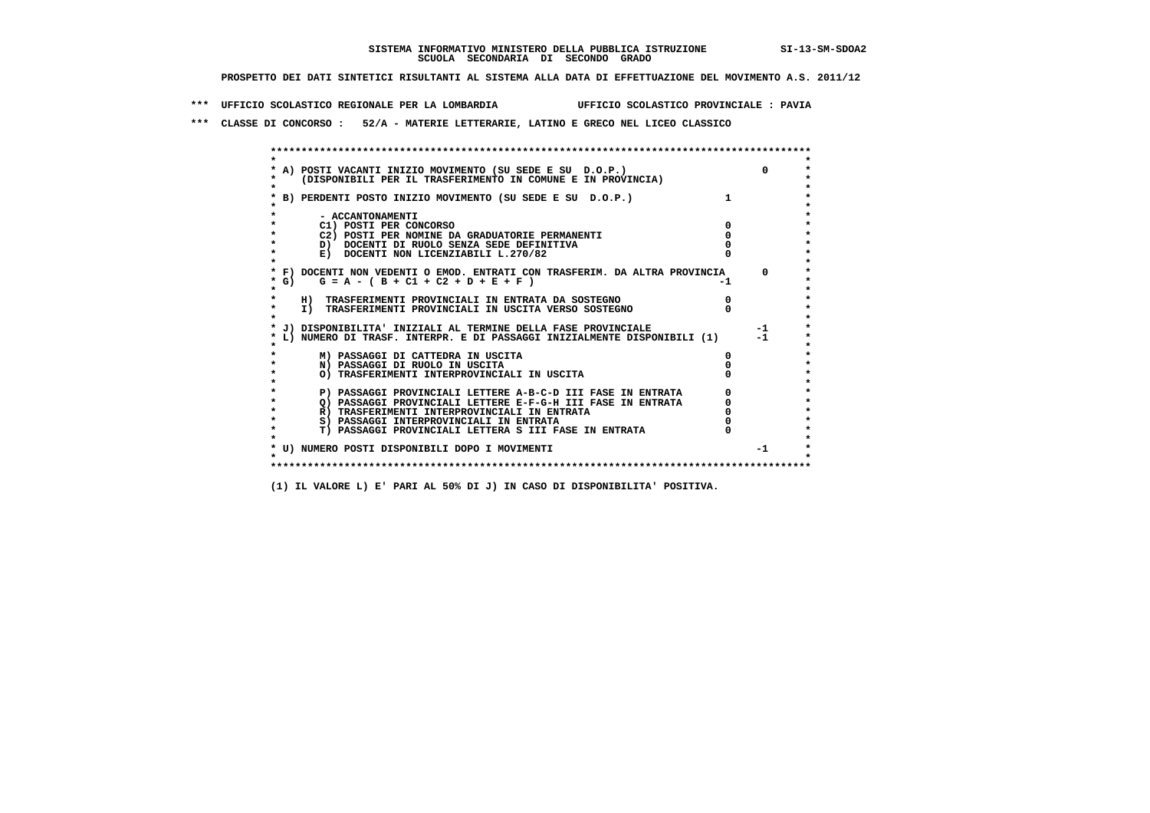**\*\*\* UFFICIO SCOLASTICO REGIONALE PER LA LOMBARDIA UFFICIO SCOLASTICO PROVINCIALE : PAVIA**

 **\*\*\* CLASSE DI CONCORSO : 52/A - MATERIE LETTERARIE, LATINO E GRECO NEL LICEO CLASSICO**

 **\*\*\*\*\*\*\*\*\*\*\*\*\*\*\*\*\*\*\*\*\*\*\*\*\*\*\*\*\*\*\*\*\*\*\*\*\*\*\*\*\*\*\*\*\*\*\*\*\*\*\*\*\*\*\*\*\*\*\*\*\*\*\*\*\*\*\*\*\*\*\*\*\*\*\*\*\*\*\*\*\*\*\*\*\*\*\*\* \* \*** $\bullet$  **\* A) POSTI VACANTI INIZIO MOVIMENTO (SU SEDE E SU D.O.P.) 0 \* \* (DISPONIBILI PER IL TRASFERIMENTO IN COMUNE E IN PROVINCIA) \* \* \* \* B) PERDENTI POSTO INIZIO MOVIMENTO (SU SEDE E SU D.O.P.) 1 \* \* \* \* - ACCANTONAMENTI \* \* C1) POSTI PER CONCORSO 0 \* \* C2) POSTI PER NOMINE DA GRADUATORIE PERMANENTI 0 \*b**  $\overline{D}$  **docenti di RUOLO SENZA SEDE DEFINITIVA**  $\overline{D}$  **0**  $\overline{D}$  **0**  $\overline{D}$  **0**  $\overline{D}$  **0**  $\overline{D}$  **0**  $\overline{D}$  **0**  $\overline{D}$  **0**  $\overline{D}$  **0**  $\overline{D}$  **0**  $\overline{D}$  **0**  $\overline{D}$  **0**  $\overline{D}$  **0**  $\overline{D}$  **0 E) DOCENTI NON LICENZIABILI L.270/82 \* \* \* F) DOCENTI NON VEDENTI O EMOD. ENTRATI CON TRASFERIM. DA ALTRA PROVINCIA 0 \***  $\star$  **G)** G = A - ( B + C1 + C2 + D + E + F)  **\* \* \* H) TRASFERIMENTI PROVINCIALI IN ENTRATA DA SOSTEGNO 0 \* \* I) TRASFERIMENTI PROVINCIALI IN USCITA VERSO SOSTEGNO 0 \* \* \* \* J) DISPONIBILITA' INIZIALI AL TERMINE DELLA FASE PROVINCIALE -1 \* \* L) NUMERO DI TRASF. INTERPR. E DI PASSAGGI INIZIALMENTE DISPONIBILI (1) -1 \* \* \* \* M) PASSAGGI DI CATTEDRA IN USCITA 0 \* \* N) PASSAGGI DI RUOLO IN USCITA 0 \* \* O) TRASFERIMENTI INTERPROVINCIALI IN USCITA 0 \* \* \* P) PASSAGGI PROVINCIALI LETTERE A-B-C-D III FASE IN ENTRATA** 0 <sup>0</sup> **DASSAGGI PROVINCIALI LETTERE E-F-G-H** III FASE IN ENTRATA 0 <sup>0</sup>  **\* Q) PASSAGGI PROVINCIALI LETTERE E-F-G-H III FASE IN ENTRATA 0 \*R)** TRASFERIMENTI INTERPROVINCIALI IN ENTRATA  $\begin{bmatrix} 0 & 0 \\ 0 & 0 \\ 0 & 0 \end{bmatrix}$  PASSAGGI INTERPROVINCIALI IN ENTRATA  $\begin{bmatrix} 0 & 0 \\ 0 & 0 \\ 0 & 0 \end{bmatrix}$ **8) PASSAGGI INTERPROVINCIALI IN ENTRATA 6 \*\*\*** 0 \*\*\*<br> **T) PASSAGGI PROVINCIALI LETTERA S III FASE IN ENTRATA** 0 \*\*\*  $\ddot{\phantom{1}}$  **\* T) PASSAGGI PROVINCIALI LETTERA S III FASE IN ENTRATA 0 \*** $\star$  **\* \* \* U) NUMERO POSTI DISPONIBILI DOPO I MOVIMENTI -1 \* \* \* \*\*\*\*\*\*\*\*\*\*\*\*\*\*\*\*\*\*\*\*\*\*\*\*\*\*\*\*\*\*\*\*\*\*\*\*\*\*\*\*\*\*\*\*\*\*\*\*\*\*\*\*\*\*\*\*\*\*\*\*\*\*\*\*\*\*\*\*\*\*\*\*\*\*\*\*\*\*\*\*\*\*\*\*\*\*\*\***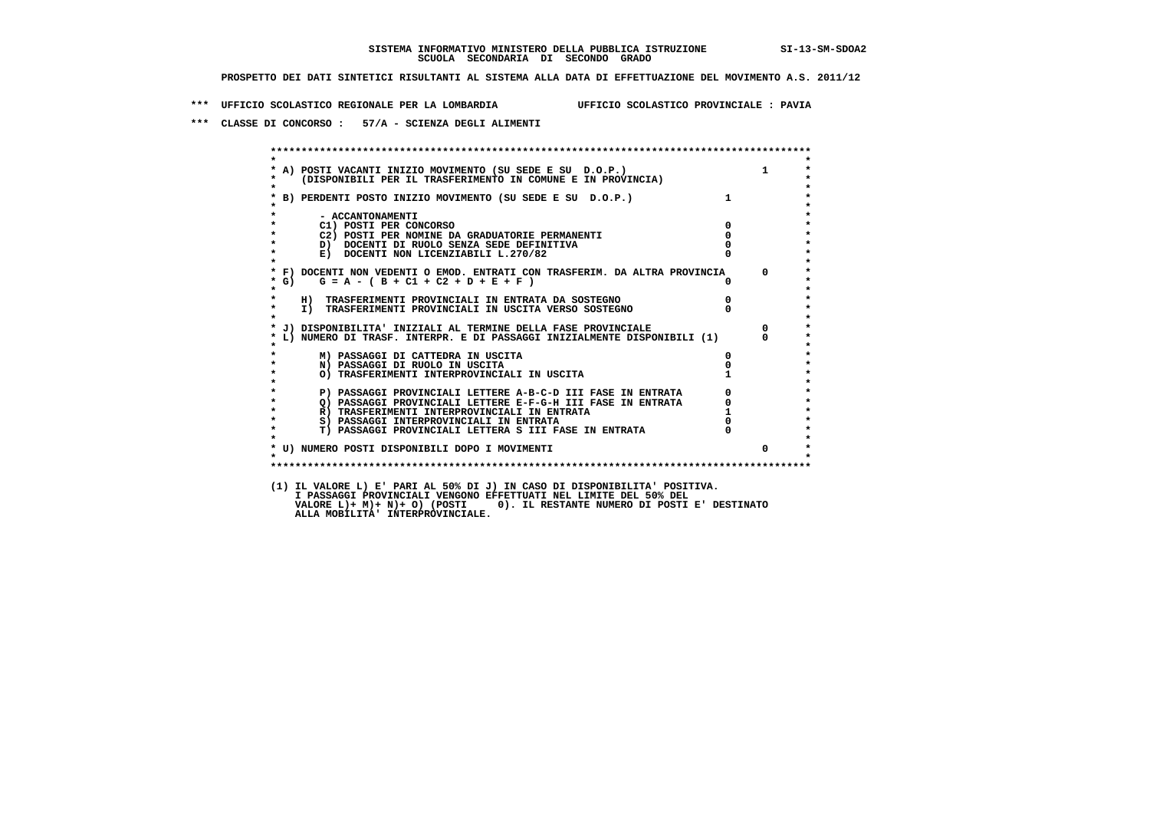**\*\*\* UFFICIO SCOLASTICO REGIONALE PER LA LOMBARDIA UFFICIO SCOLASTICO PROVINCIALE : PAVIA**

 **\*\*\* CLASSE DI CONCORSO : 57/A - SCIENZA DEGLI ALIMENTI**

|                                                                | * A) POSTI VACANTI INIZIO MOVIMENTO (SU SEDE E SU D.O.P.)<br>*    (DISPONIBILI PER IL TRASFERIMENTO IN COMUNE E IN PROVINCIA)<br>$\mathbf{1}$ |
|----------------------------------------------------------------|-----------------------------------------------------------------------------------------------------------------------------------------------|
|                                                                |                                                                                                                                               |
| * B) PERDENTI POSTO INIZIO MOVIMENTO (SU SEDE E SU D.O.P.)     |                                                                                                                                               |
| - ACCANTONAMENTI                                               |                                                                                                                                               |
| C1) POSTI PER CONCORSO                                         | $\mathbf{0}$                                                                                                                                  |
| C2) POSTI PER NOMINE DA GRADUATORIE PERMANENTI                 | $\mathbf 0$                                                                                                                                   |
| D) DOCENTI DI RUOLO SENZA SEDE DEFINITIVA                      |                                                                                                                                               |
| E) DOCENTI NON LICENZIABILI L.270/82                           |                                                                                                                                               |
|                                                                | * F) DOCENTI NON VEDENTI O EMOD. ENTRATI CON TRASFERIM. DA ALTRA PROVINCIA 0                                                                  |
| $G = A - (B + C1 + C2 + D + E + F)$<br>$*$ G)                  | $^{\circ}$                                                                                                                                    |
| H) TRASFERIMENTI PROVINCIALI IN ENTRATA DA SOSTEGNO            |                                                                                                                                               |
| I) TRASFERIMENTI PROVINCIALI IN USCITA VERSO SOSTEGNO          |                                                                                                                                               |
|                                                                |                                                                                                                                               |
| * J) DISPONIBILITA' INIZIALI AL TERMINE DELLA FASE PROVINCIALE | $\Omega$                                                                                                                                      |
|                                                                | * L) NUMERO DI TRASF. INTERPR. E DI PASSAGGI INIZIALMENTE DISPONIBILI (1)<br>$^{\circ}$                                                       |
| M) PASSAGGI DI CATTEDRA IN USCITA                              |                                                                                                                                               |
| N) PASSAGGI DI RUOLO IN USCITA                                 |                                                                                                                                               |
| O) TRASFERIMENTI INTERPROVINCIALI IN USCITA                    |                                                                                                                                               |
|                                                                | $\overline{0}$<br>P) PASSAGGI PROVINCIALI LETTERE A-B-C-D III FASE IN ENTRATA                                                                 |
|                                                                | $\delta$<br>$Q)$ PASSAGGI PROVINCIALI LETTERE E-F-G-H III FASE IN ENTRATA                                                                     |
| R) TRASFERIMENTI INTERPROVINCIALI IN ENTRATA                   |                                                                                                                                               |
| S) PASSAGGI INTERPROVINCIALI IN ENTRATA                        |                                                                                                                                               |
| T) PASSAGGI PROVINCIALI LETTERA S III FASE IN ENTRATA          |                                                                                                                                               |
| * U) NUMERO POSTI DISPONIBILI DOPO I MOVIMENTI                 | $\Omega$                                                                                                                                      |
|                                                                |                                                                                                                                               |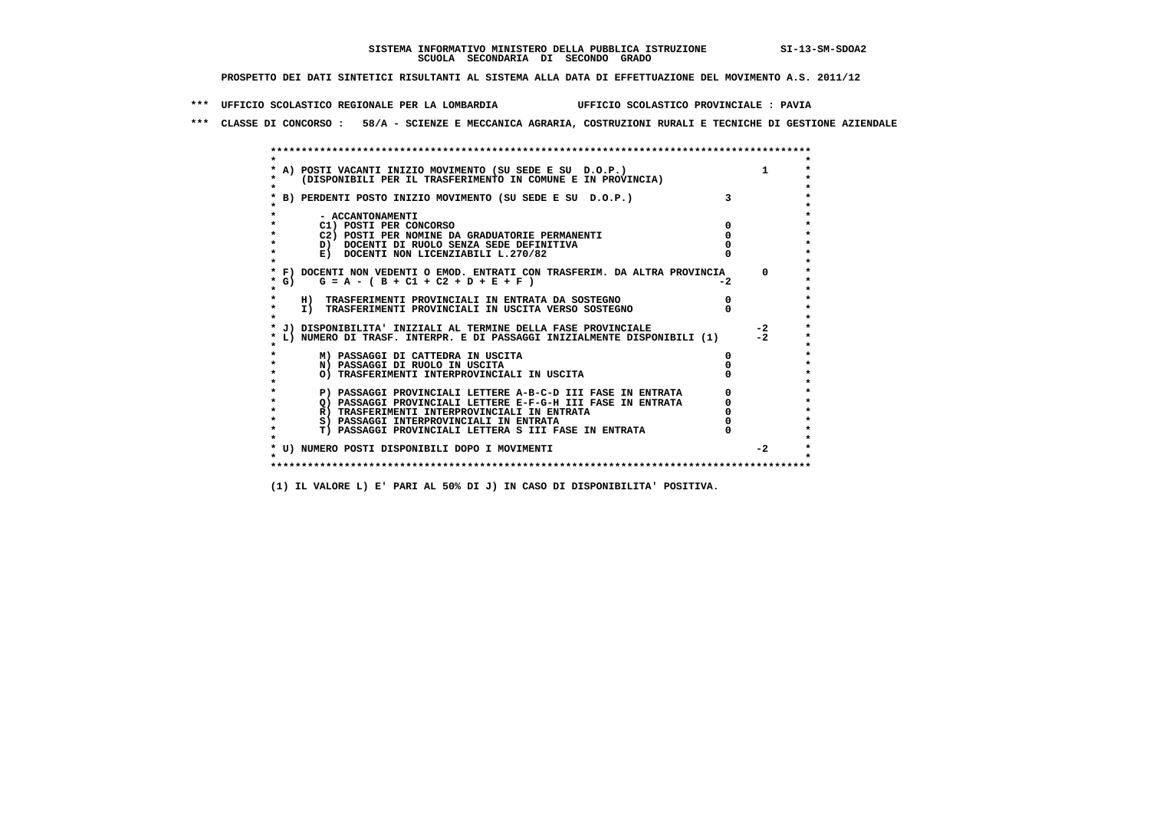**\*\*\* UFFICIO SCOLASTICO REGIONALE PER LA LOMBARDIA UFFICIO SCOLASTICO PROVINCIALE : PAVIA**

 **\*\*\* CLASSE DI CONCORSO : 58/A - SCIENZE E MECCANICA AGRARIA, COSTRUZIONI RURALI E TECNICHE DI GESTIONE AZIENDALE**

|        | A) POSTI VACANTI INIZIO MOVIMENTO (SU SEDE E SU D.O.P.)                    |      |          |
|--------|----------------------------------------------------------------------------|------|----------|
|        | (DISPONIBILI PER IL TRASFERIMENTO IN COMUNE E IN PROVINCIA)                |      |          |
|        |                                                                            |      |          |
|        | B) PERDENTI POSTO INIZIO MOVIMENTO (SU SEDE E SU D.O.P.)                   |      |          |
|        |                                                                            |      |          |
|        | - ACCANTONAMENTI                                                           |      |          |
|        | C1) POSTI PER CONCORSO                                                     |      |          |
|        | C2) POSTI PER NOMINE DA GRADUATORIE PERMANENTI                             |      |          |
|        | D) DOCENTI DI RUOLO SENZA SEDE DEFINITIVA                                  |      |          |
|        | E) DOCENTI NON LICENZIABILI L.270/82                                       |      |          |
|        | * F) DOCENTI NON VEDENTI O EMOD. ENTRATI CON TRASFERIM. DA ALTRA PROVINCIA |      | $\Omega$ |
| * G) = | $G = A - (B + C1 + C2 + D + E + F)$                                        | $-2$ |          |
|        |                                                                            |      |          |
|        | H) TRASFERIMENTI PROVINCIALI IN ENTRATA DA SOSTEGNO                        |      |          |
|        | I) TRASFERIMENTI PROVINCIALI IN USCITA VERSO SOSTEGNO                      |      |          |
|        |                                                                            |      |          |
|        | J) DISPONIBILITA' INIZIALI AL TERMINE DELLA FASE PROVINCIALE               |      | $-2$     |
|        | L) NUMERO DI TRASF. INTERPR. E DI PASSAGGI INIZIALMENTE DISPONIBILI (1)    |      | $-2$     |
|        | M) PASSAGGI DI CATTEDRA IN USCITA                                          |      |          |
|        | N) PASSAGGI DI RUOLO IN USCITA                                             |      |          |
|        | O) TRASFERIMENTI INTERPROVINCIALI IN USCITA                                |      |          |
|        |                                                                            |      |          |
|        | P) PASSAGGI PROVINCIALI LETTERE A-B-C-D III FASE IN ENTRATA                |      |          |
|        | O) PASSAGGI PROVINCIALI LETTERE E-F-G-H III FASE IN ENTRATA                |      |          |
|        | R) TRASFERIMENTI INTERPROVINCIALI IN ENTRATA                               |      |          |
|        | S) PASSAGGI INTERPROVINCIALI IN ENTRATA                                    |      |          |
|        | T) PASSAGGI PROVINCIALI LETTERA S III FASE IN ENTRATA                      |      |          |
|        |                                                                            |      |          |
|        | * U) NUMERO POSTI DISPONIBILI DOPO I MOVIMENTI                             |      | $-2$     |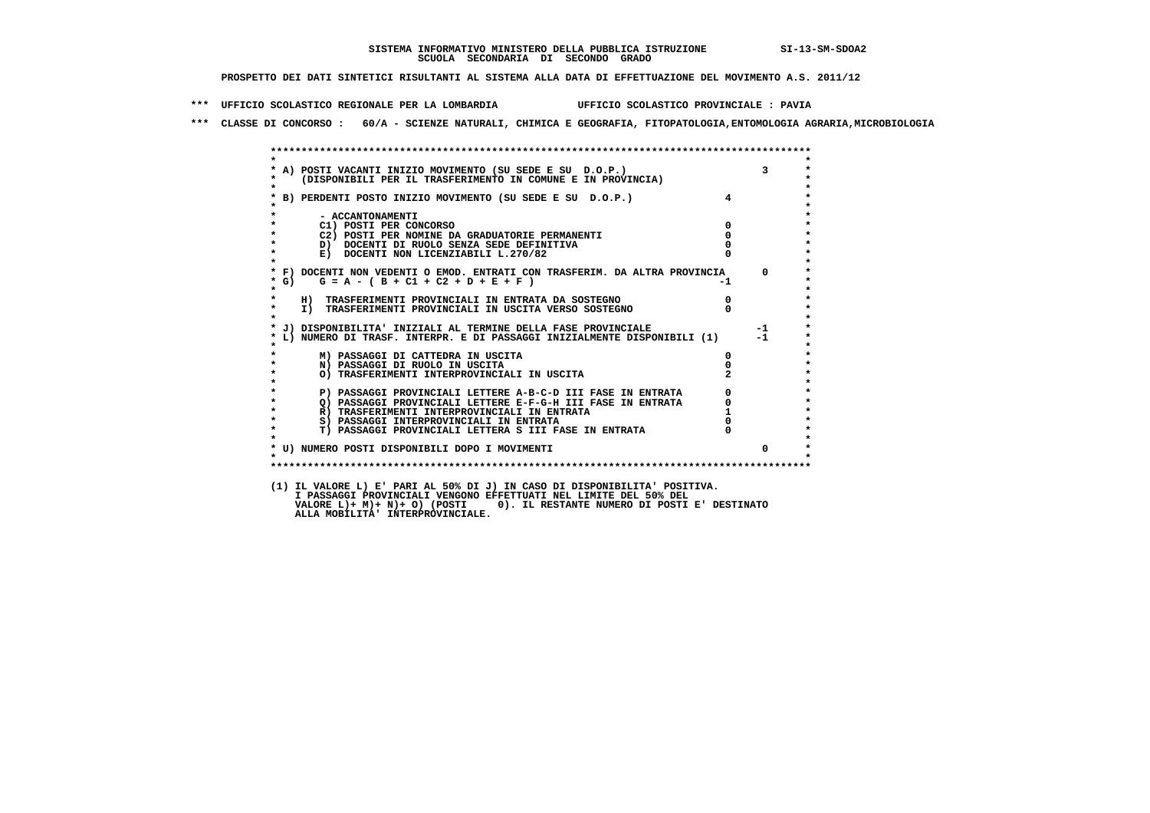**\*\*\* UFFICIO SCOLASTICO REGIONALE PER LA LOMBARDIA UFFICIO SCOLASTICO PROVINCIALE : PAVIA**

 **\*\*\* CLASSE DI CONCORSO : 60/A - SCIENZE NATURALI, CHIMICA E GEOGRAFIA, FITOPATOLOGIA,ENTOMOLOGIA AGRARIA,MICROBIOLOGIA**

| * A) POSTI VACANTI INIZIO MOVIMENTO (SU SEDE E SU D.O.P.)                             |                         |          |
|---------------------------------------------------------------------------------------|-------------------------|----------|
| (DISPONIBILI PER IL TRASFERIMENTO IN COMUNE E IN PROVINCIA)<br>---------<br>$\bullet$ |                         |          |
| * B) PERDENTI POSTO INIZIO MOVIMENTO (SU SEDE E SU D.O.P.)                            | $\overline{\mathbf{4}}$ |          |
|                                                                                       |                         |          |
| - ACCANTONAMENTI                                                                      |                         |          |
| C1) POSTI PER CONCORSO                                                                | 0                       |          |
| C2) POSTI PER NOMINE DA GRADUATORIE PERMANENTI                                        |                         |          |
| D) DOCENTI DI RUOLO SENZA SEDE DEFINITIVA                                             |                         |          |
| E) DOCENTI NON LICENZIABILI L.270/82                                                  |                         |          |
| * F) DOCENTI NON VEDENTI O EMOD. ENTRATI CON TRASFERIM. DA ALTRA PROVINCIA 0          |                         |          |
| $G = A - (B + C1 + C2 + D + E + F)$<br>$*$ G)                                         | $-1$                    |          |
| $\star$                                                                               |                         |          |
| $\star$<br>H) TRASFERIMENTI PROVINCIALI IN ENTRATA DA SOSTEGNO                        |                         |          |
| $\star$<br>I) TRASFERIMENTI PROVINCIALI IN USCITA VERSO SOSTEGNO                      |                         |          |
|                                                                                       |                         |          |
| * J) DISPONIBILITA' INIZIALI AL TERMINE DELLA FASE PROVINCIALE                        |                         | $-1$     |
| * L) NUMERO DI TRASF. INTERPR. E DI PASSAGGI INIZIALMENTE DISPONIBILI (1)             |                         | $-1$     |
| M) PASSAGGI DI CATTEDRA IN USCITA                                                     | 0                       |          |
| $\star$<br>N) PASSAGGI DI RUOLO IN USCITA                                             |                         |          |
| O) TRASFERIMENTI INTERPROVINCIALI IN USCITA                                           |                         |          |
|                                                                                       |                         |          |
| P) PASSAGGI PROVINCIALI LETTERE A-B-C-D III FASE IN ENTRATA<br>$\star$                | 0                       |          |
| $\bullet$<br>O) PASSAGGI PROVINCIALI LETTERE E-F-G-H III FASE IN ENTRATA              |                         |          |
| $\star$<br>R) TRASFERIMENTI INTERPROVINCIALI IN ENTRATA                               |                         |          |
| $\star$<br>S) PASSAGGI INTERPROVINCIALI IN ENTRATA                                    |                         |          |
| $\star$<br>T) PASSAGGI PROVINCIALI LETTERA S III FASE IN ENTRATA                      |                         |          |
| * U) NUMERO POSTI DISPONIBILI DOPO I MOVIMENTI                                        |                         | $\Omega$ |
|                                                                                       |                         |          |
|                                                                                       |                         |          |

 **VALORE L)+ M)+ N)+ O) (POSTI 0). IL RESTANTE NUMERO DI POSTI E' DESTINATO ALLA MOBILITA' INTERPROVINCIALE.**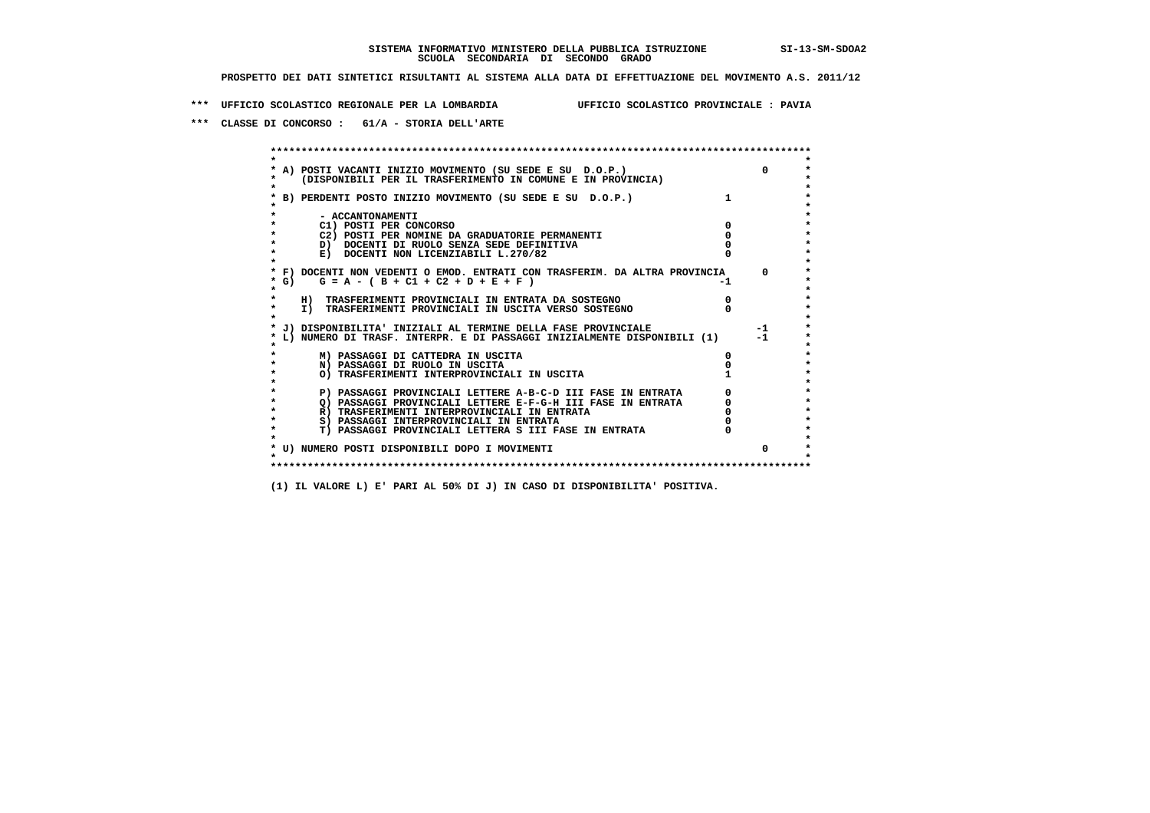**\*\*\* UFFICIO SCOLASTICO REGIONALE PER LA LOMBARDIA UFFICIO SCOLASTICO PROVINCIALE : PAVIA**

 **\*\*\* CLASSE DI CONCORSO : 61/A - STORIA DELL'ARTE**

 **\*\*\*\*\*\*\*\*\*\*\*\*\*\*\*\*\*\*\*\*\*\*\*\*\*\*\*\*\*\*\*\*\*\*\*\*\*\*\*\*\*\*\*\*\*\*\*\*\*\*\*\*\*\*\*\*\*\*\*\*\*\*\*\*\*\*\*\*\*\*\*\*\*\*\*\*\*\*\*\*\*\*\*\*\*\*\*\* \* \*** $\bullet$  **\* A) POSTI VACANTI INIZIO MOVIMENTO (SU SEDE E SU D.O.P.) 0 \*** $\star$  **\* (DISPONIBILI PER IL TRASFERIMENTO IN COMUNE E IN PROVINCIA) \* \* \* \* B) PERDENTI POSTO INIZIO MOVIMENTO (SU SEDE E SU D.O.P.) 1 \* \* \* \* - ACCANTONAMENTI \* \* C1) POSTI PER CONCORSO 0 \* \* C2) POSTI PER NOMINE DA GRADUATORIE PERMANENTI 0 \*D)** DOCENTI DI RUOLO SENZA SEDE DEFINITIVA  $\overline{a}$  0  $\overline{b}$  0  $\overline{c}$  0  $\overline{c}$  0  $\overline{c}$  0  $\overline{a}$  0  $\overline{b}$ **E) DOCENTI NON LICENZIABILI L.270/82 \* \* \* F) DOCENTI NON VEDENTI O EMOD. ENTRATI CON TRASFERIM. DA ALTRA PROVINCIA 0 \***  $\star$  **G)** G = A - ( B + C1 + C2 + D + E + F)  **\* \* \* H) TRASFERIMENTI PROVINCIALI IN ENTRATA DA SOSTEGNO 0 \*The CONSTRUCTION CONSTRUCTED IN CONSTRUCTION CONSTRUES IN TRASFERIMENTI PROVINCIALI IN USCITA VERSO SOSTEGNO \* \* \* J) DISPONIBILITA' INIZIALI AL TERMINE DELLA FASE PROVINCIALE -1 \* \* L) NUMERO DI TRASF. INTERPR. E DI PASSAGGI INIZIALMENTE DISPONIBILI (1) -1 \* \* \* \* M) PASSAGGI DI CATTEDRA IN USCITA 0 \* \* N) PASSAGGI DI RUOLO IN USCITA 0 \*O) TRASFERIMENTI INTERPROVINCIALI IN USCITA \* \* P) PASSAGGI PROVINCIALI LETTERE A-B-C-D III FASE IN ENTRATA** 0 <sup>0</sup> **DASSAGGI PROVINCIALI LETTERE E-F-G-H** III FASE IN ENTRATA 0 <sup>0</sup>  $\star$  **\* Q) PASSAGGI PROVINCIALI LETTERE E-F-G-H III FASE IN ENTRATA 0 \*R)** TRASFERIMENTI INTERPROVINCIALI IN ENTRATA  $\begin{bmatrix} 0 & 0 \\ 0 & 0 \\ 0 & 0 \end{bmatrix}$  PASSAGGI INTERPROVINCIALI IN ENTRATA  $\begin{bmatrix} 0 & 0 \\ 0 & 0 \\ 0 & 0 \end{bmatrix}$  **\* S) PASSAGGI INTERPROVINCIALI IN ENTRATA 0 \*** $\ddot{\phantom{1}}$  **\* T) PASSAGGI PROVINCIALI LETTERA S III FASE IN ENTRATA 0 \*** $\star$  **\* \* \* U) NUMERO POSTI DISPONIBILI DOPO I MOVIMENTI 0 \* \* \* \*\*\*\*\*\*\*\*\*\*\*\*\*\*\*\*\*\*\*\*\*\*\*\*\*\*\*\*\*\*\*\*\*\*\*\*\*\*\*\*\*\*\*\*\*\*\*\*\*\*\*\*\*\*\*\*\*\*\*\*\*\*\*\*\*\*\*\*\*\*\*\*\*\*\*\*\*\*\*\*\*\*\*\*\*\*\*\***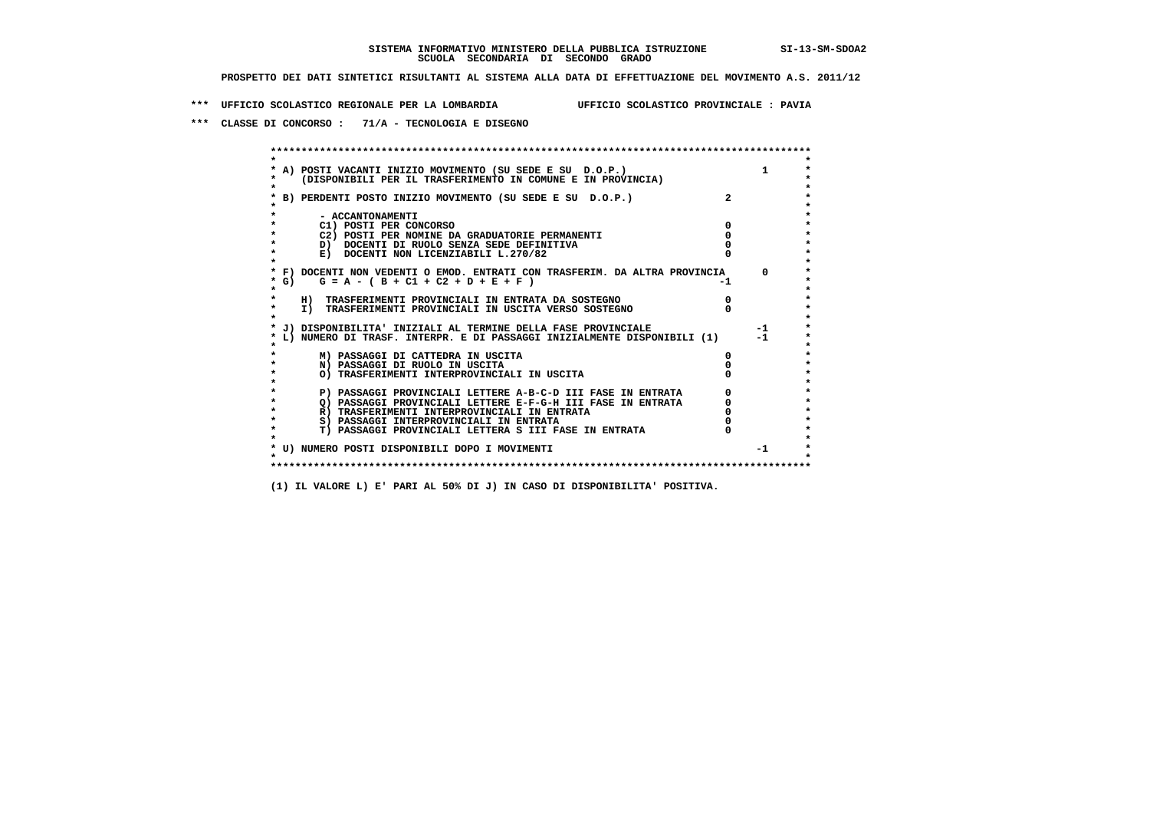**\*\*\* UFFICIO SCOLASTICO REGIONALE PER LA LOMBARDIA UFFICIO SCOLASTICO PROVINCIALE : PAVIA**

 **\*\*\* CLASSE DI CONCORSO : 71/A - TECNOLOGIA E DISEGNO**

 **\*\*\*\*\*\*\*\*\*\*\*\*\*\*\*\*\*\*\*\*\*\*\*\*\*\*\*\*\*\*\*\*\*\*\*\*\*\*\*\*\*\*\*\*\*\*\*\*\*\*\*\*\*\*\*\*\*\*\*\*\*\*\*\*\*\*\*\*\*\*\*\*\*\*\*\*\*\*\*\*\*\*\*\*\*\*\*\* \* \*** $\bullet$  **\* A) POSTI VACANTI INIZIO MOVIMENTO (SU SEDE E SU D.O.P.) 1 \*** $\star$  **\* (DISPONIBILI PER IL TRASFERIMENTO IN COMUNE E IN PROVINCIA) \* \* \* \* B) PERDENTI POSTO INIZIO MOVIMENTO (SU SEDE E SU D.O.P.) 2 \* \* \* \* - ACCANTONAMENTI \* \* C1) POSTI PER CONCORSO 0 \* \* C2) POSTI PER NOMINE DA GRADUATORIE PERMANENTI 0 \*D)** DOCENTI DI RUOLO SENZA SEDE DEFINITIVA  $\overline{a}$  0  $\overline{b}$  0  $\overline{c}$  0  $\overline{c}$  0  $\overline{c}$  0  $\overline{a}$  0  $\overline{c}$ **E) DOCENTI NON LICENZIABILI L.270/82 \* \* \* F) DOCENTI NON VEDENTI O EMOD. ENTRATI CON TRASFERIM. DA ALTRA PROVINCIA 0 \***  $\star$  **G)** G = A - ( B + C1 + C2 + D + E + F)  **\* \* \* H) TRASFERIMENTI PROVINCIALI IN ENTRATA DA SOSTEGNO 0 \* \* I) TRASFERIMENTI PROVINCIALI IN USCITA VERSO SOSTEGNO 0 \* \* \* \* J) DISPONIBILITA' INIZIALI AL TERMINE DELLA FASE PROVINCIALE -1 \* \* L) NUMERO DI TRASF. INTERPR. E DI PASSAGGI INIZIALMENTE DISPONIBILI (1) -1 \* \* \* \* M) PASSAGGI DI CATTEDRA IN USCITA 0 \* \* N) PASSAGGI DI RUOLO IN USCITA 0 \* \* O) TRASFERIMENTI INTERPROVINCIALI IN USCITA 0 \* \* \* P) PASSAGGI PROVINCIALI LETTERE A-B-C-D III FASE IN ENTRATA** 0 <sup>0</sup> **DASSAGGI PROVINCIALI LETTERE E-F-G-H** III FASE IN ENTRATA 0 <sup>0</sup> **2) PASSAGGI PROVINCIALI LETTERE E-F-G-H III FASE IN ENTRATA 6 0 R**) TRASFERIMENTI INTERPROVINCIALI IN ENTRATA 6 **0 R)** TRASFERIMENTI INTERPROVINCIALI IN ENTRATA  $\begin{bmatrix} 0 & 0 \\ 0 & 0 \\ 0 & 0 \end{bmatrix}$  PASSAGGI INTERPROVINCIALI IN ENTRATA  $\begin{bmatrix} 0 & 0 \\ 0 & 0 \\ 0 & 0 \end{bmatrix}$  **\* S) PASSAGGI INTERPROVINCIALI IN ENTRATA 0 \*** $\ddot{\phantom{1}}$  **\* T) PASSAGGI PROVINCIALI LETTERA S III FASE IN ENTRATA 0 \*** $\star$  **\* \* \* U) NUMERO POSTI DISPONIBILI DOPO I MOVIMENTI -1 \* \* \* \*\*\*\*\*\*\*\*\*\*\*\*\*\*\*\*\*\*\*\*\*\*\*\*\*\*\*\*\*\*\*\*\*\*\*\*\*\*\*\*\*\*\*\*\*\*\*\*\*\*\*\*\*\*\*\*\*\*\*\*\*\*\*\*\*\*\*\*\*\*\*\*\*\*\*\*\*\*\*\*\*\*\*\*\*\*\*\***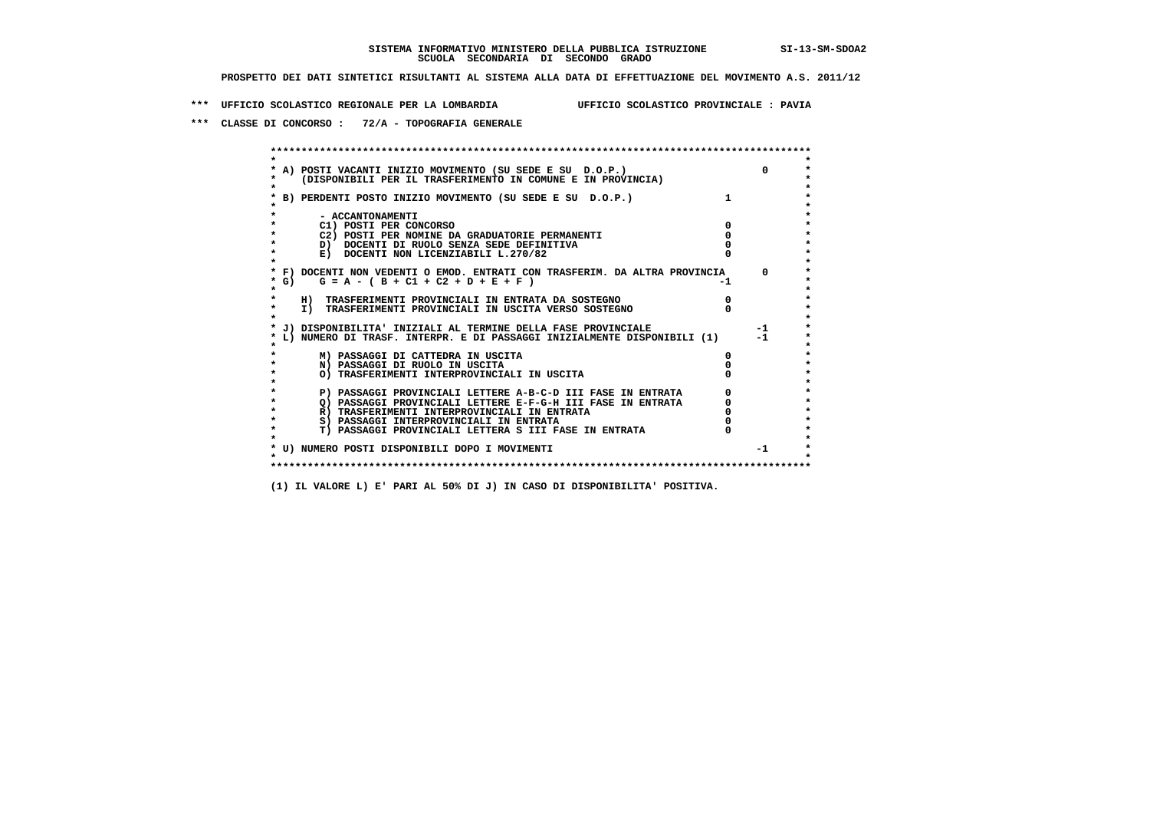**\*\*\* UFFICIO SCOLASTICO REGIONALE PER LA LOMBARDIA UFFICIO SCOLASTICO PROVINCIALE : PAVIA**

 **\*\*\* CLASSE DI CONCORSO : 72/A - TOPOGRAFIA GENERALE**

 **\*\*\*\*\*\*\*\*\*\*\*\*\*\*\*\*\*\*\*\*\*\*\*\*\*\*\*\*\*\*\*\*\*\*\*\*\*\*\*\*\*\*\*\*\*\*\*\*\*\*\*\*\*\*\*\*\*\*\*\*\*\*\*\*\*\*\*\*\*\*\*\*\*\*\*\*\*\*\*\*\*\*\*\*\*\*\*\* \* \*** $\bullet$  **\* A) POSTI VACANTI INIZIO MOVIMENTO (SU SEDE E SU D.O.P.) 0 \* \* (DISPONIBILI PER IL TRASFERIMENTO IN COMUNE E IN PROVINCIA) \* \* \* \* B) PERDENTI POSTO INIZIO MOVIMENTO (SU SEDE E SU D.O.P.) 1 \* \* \* \* - ACCANTONAMENTI \* \* C1) POSTI PER CONCORSO 0 \* \* C2) POSTI PER NOMINE DA GRADUATORIE PERMANENTI 0 \*D)** DOCENTI DI RUOLO SENZA SEDE DEFINITIVA  $\overline{a}$  0  $\overline{b}$  0  $\overline{c}$  0  $\overline{c}$  0  $\overline{c}$  0  $\overline{a}$  0  $\overline{c}$ **E) DOCENTI NON LICENZIABILI L.270/82 \* \* \* F) DOCENTI NON VEDENTI O EMOD. ENTRATI CON TRASFERIM. DA ALTRA PROVINCIA 0 \***  $\star$  **G)** G = A - ( B + C1 + C2 + D + E + F)  **\* \* \* H) TRASFERIMENTI PROVINCIALI IN ENTRATA DA SOSTEGNO 0 \*The CONSTRUCTION CONSTRUCTED IN CONSTRUCTION CONSTRUCTION CONSTRUES TO THE PROVINCIALI IN USCITA VERSO SOSTEGNO \* \* \* J) DISPONIBILITA' INIZIALI AL TERMINE DELLA FASE PROVINCIALE -1 \* \* L) NUMERO DI TRASF. INTERPR. E DI PASSAGGI INIZIALMENTE DISPONIBILI (1) -1 \* \* \* \* M) PASSAGGI DI CATTEDRA IN USCITA 0 \* \* N) PASSAGGI DI RUOLO IN USCITA 0 \* \* O) TRASFERIMENTI INTERPROVINCIALI IN USCITA 0 \* \* \* P) PASSAGGI PROVINCIALI LETTERE A-B-C-D III FASE IN ENTRATA** 0 <sup>0</sup> **DASSAGGI PROVINCIALI LETTERE E-F-G-H** III FASE IN ENTRATA 0 <sup>0</sup>  **\* Q) PASSAGGI PROVINCIALI LETTERE E-F-G-H III FASE IN ENTRATA 0 \*R)** TRASFERIMENTI INTERPROVINCIALI IN ENTRATA  $\begin{bmatrix} 0 & 0 \\ 0 & 0 \\ 0 & 0 \end{bmatrix}$  PASSAGGI INTERPROVINCIALI IN ENTRATA  $\begin{bmatrix} 0 & 0 \\ 0 & 0 \\ 0 & 0 \end{bmatrix}$  **\* S) PASSAGGI INTERPROVINCIALI IN ENTRATA 0 \*** $\ddot{\phantom{1}}$  **\* T) PASSAGGI PROVINCIALI LETTERA S III FASE IN ENTRATA 0 \*** $\star$  **\* \* \* U) NUMERO POSTI DISPONIBILI DOPO I MOVIMENTI -1 \* \* \* \*\*\*\*\*\*\*\*\*\*\*\*\*\*\*\*\*\*\*\*\*\*\*\*\*\*\*\*\*\*\*\*\*\*\*\*\*\*\*\*\*\*\*\*\*\*\*\*\*\*\*\*\*\*\*\*\*\*\*\*\*\*\*\*\*\*\*\*\*\*\*\*\*\*\*\*\*\*\*\*\*\*\*\*\*\*\*\***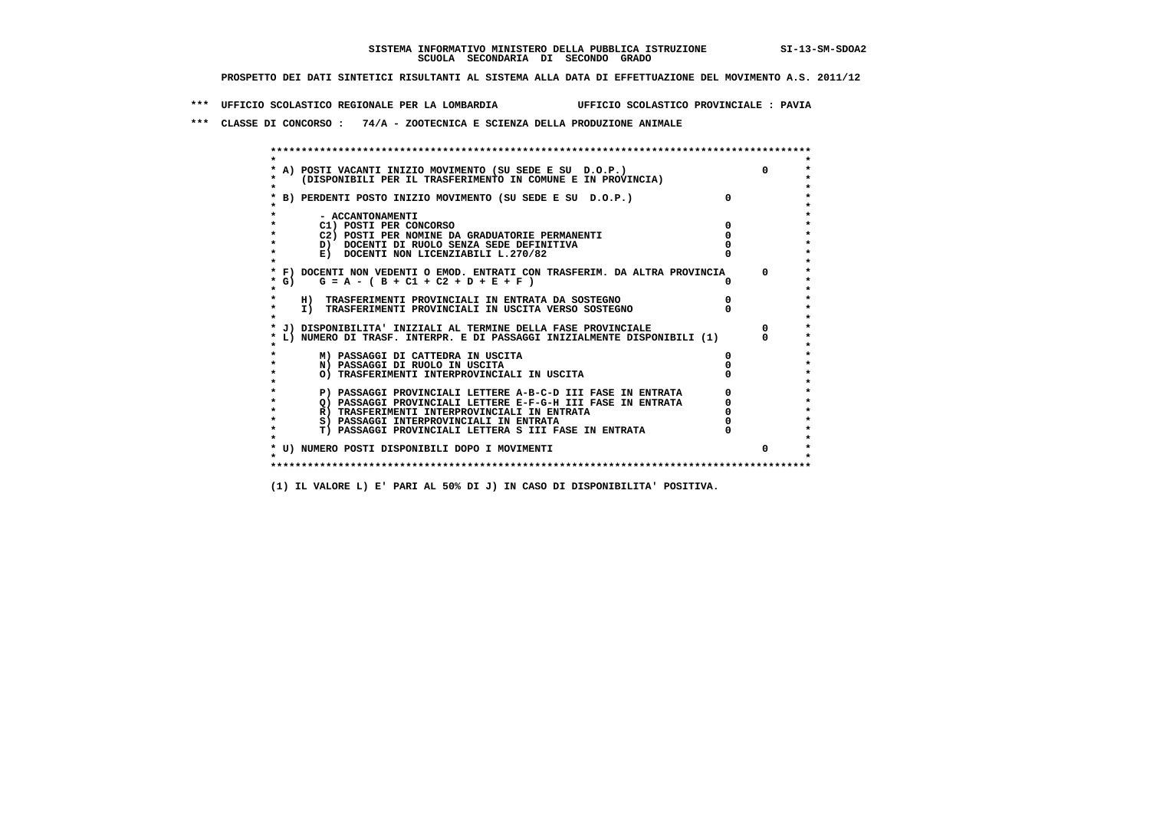**\*\*\* UFFICIO SCOLASTICO REGIONALE PER LA LOMBARDIA UFFICIO SCOLASTICO PROVINCIALE : PAVIA**

 **\*\*\* CLASSE DI CONCORSO : 74/A - ZOOTECNICA E SCIENZA DELLA PRODUZIONE ANIMALE**

|         | * A) POSTI VACANTI INIZIO MOVIMENTO (SU SEDE E SU D.O.P.)                  |          |  |
|---------|----------------------------------------------------------------------------|----------|--|
|         | (DISPONIBILI PER IL TRASFERIMENTO IN COMUNE E IN PROVINCIA)                |          |  |
|         |                                                                            |          |  |
|         | B) PERDENTI POSTO INIZIO MOVIMENTO (SU SEDE E SU D.O.P.)                   | $\Omega$ |  |
|         |                                                                            |          |  |
|         | - ACCANTONAMENTI                                                           |          |  |
|         | C1) POSTI PER CONCORSO                                                     |          |  |
|         | C2) POSTI PER NOMINE DA GRADUATORIE PERMANENTI                             |          |  |
|         | D) DOCENTI DI RUOLO SENZA SEDE DEFINITIVA                                  |          |  |
|         | E) DOCENTI NON LICENZIABILI L.270/82                                       |          |  |
|         |                                                                            |          |  |
|         | * F) DOCENTI NON VEDENTI O EMOD. ENTRATI CON TRASFERIM. DA ALTRA PROVINCIA |          |  |
| $*$ G)  | $G = A - (B + C1 + C2 + D + E + F)$                                        |          |  |
|         |                                                                            |          |  |
| $\star$ | H) TRASFERIMENTI PROVINCIALI IN ENTRATA DA SOSTEGNO                        |          |  |
|         | I) TRASFERIMENTI PROVINCIALI IN USCITA VERSO SOSTEGNO                      |          |  |
|         | J) DISPONIBILITA' INIZIALI AL TERMINE DELLA FASE PROVINCIALE               |          |  |
|         | L) NUMERO DI TRASF. INTERPR. E DI PASSAGGI INIZIALMENTE DISPONIBILI (1)    |          |  |
|         |                                                                            |          |  |
|         | M) PASSAGGI DI CATTEDRA IN USCITA                                          |          |  |
|         | N) PASSAGGI DI RUOLO IN USCITA                                             |          |  |
|         | O) TRASFERIMENTI INTERPROVINCIALI IN USCITA                                |          |  |
|         |                                                                            |          |  |
|         | P) PASSAGGI PROVINCIALI LETTERE A-B-C-D III FASE IN ENTRATA                |          |  |
|         | O) PASSAGGI PROVINCIALI LETTERE E-F-G-H III FASE IN ENTRATA                |          |  |
|         | R) TRASFERIMENTI INTERPROVINCIALI IN ENTRATA                               |          |  |
|         | S) PASSAGGI INTERPROVINCIALI IN ENTRATA                                    |          |  |
| $\star$ | T) PASSAGGI PROVINCIALI LETTERA S III FASE IN ENTRATA                      |          |  |
|         |                                                                            |          |  |
|         | * U) NUMERO POSTI DISPONIBILI DOPO I MOVIMENTI                             |          |  |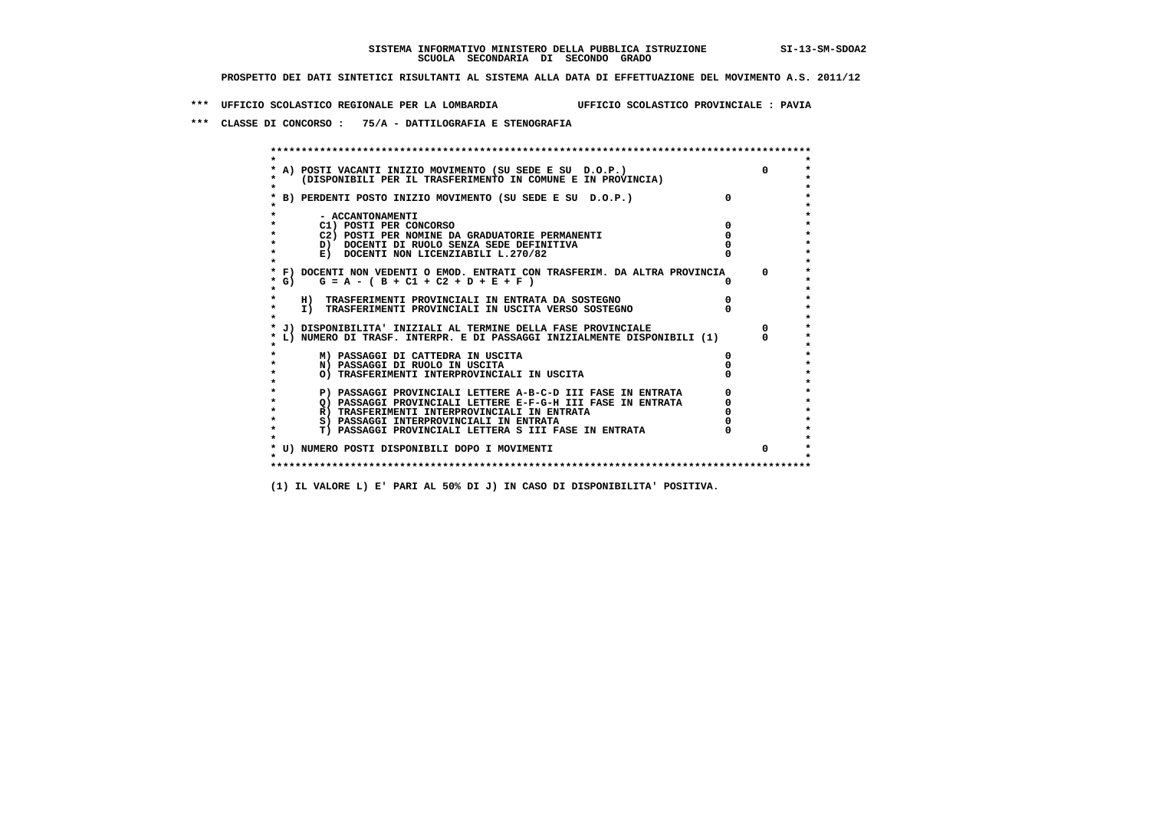**\*\*\* UFFICIO SCOLASTICO REGIONALE PER LA LOMBARDIA UFFICIO SCOLASTICO PROVINCIALE : PAVIA**

 **\*\*\* CLASSE DI CONCORSO : 75/A - DATTILOGRAFIA E STENOGRAFIA**

| (DISPONIBILI PER IL TRASFERIMENTO IN COMUNE E IN PROVINCIA)                |              |
|----------------------------------------------------------------------------|--------------|
| B) PERDENTI POSTO INIZIO MOVIMENTO (SU SEDE E SU D.O.P.)                   |              |
| - ACCANTONAMENTI                                                           |              |
| C1) POSTI PER CONCORSO                                                     |              |
| C2) POSTI PER NOMINE DA GRADUATORIE PERMANENTI                             |              |
| D) DOCENTI DI RUOLO SENZA SEDE DEFINITIVA                                  |              |
| E) DOCENTI NON LICENZIABILI L.270/82                                       |              |
| * F) DOCENTI NON VEDENTI O EMOD. ENTRATI CON TRASFERIM. DA ALTRA PROVINCIA | <sup>n</sup> |
| * G) $G = A - (B + C1 + C2 + D + E + F)$                                   |              |
| H) TRASFERIMENTI PROVINCIALI IN ENTRATA DA SOSTEGNO                        |              |
| I) TRASFERIMENTI PROVINCIALI IN USCITA VERSO SOSTEGNO                      |              |
| J) DISPONIBILITA' INIZIALI AL TERMINE DELLA FASE PROVINCIALE               |              |
| L) NUMERO DI TRASF. INTERPR. E DI PASSAGGI INIZIALMENTE DISPONIBILI (1)    |              |
| M) PASSAGGI DI CATTEDRA IN USCITA                                          |              |
| N) PASSAGGI DI RUOLO IN USCITA                                             |              |
| O) TRASFERIMENTI INTERPROVINCIALI IN USCITA                                |              |
| P) PASSAGGI PROVINCIALI LETTERE A-B-C-D III FASE IN ENTRATA                |              |
| O) PASSAGGI PROVINCIALI LETTERE E-F-G-H III FASE IN ENTRATA                |              |
| R) TRASFERIMENTI INTERPROVINCIALI IN ENTRATA                               |              |
| S) PASSAGGI INTERPROVINCIALI IN ENTRATA                                    |              |
| T) PASSAGGI PROVINCIALI LETTERA S III FASE IN ENTRATA                      |              |
| * U) NUMERO POSTI DISPONIBILI DOPO I MOVIMENTI                             | 0            |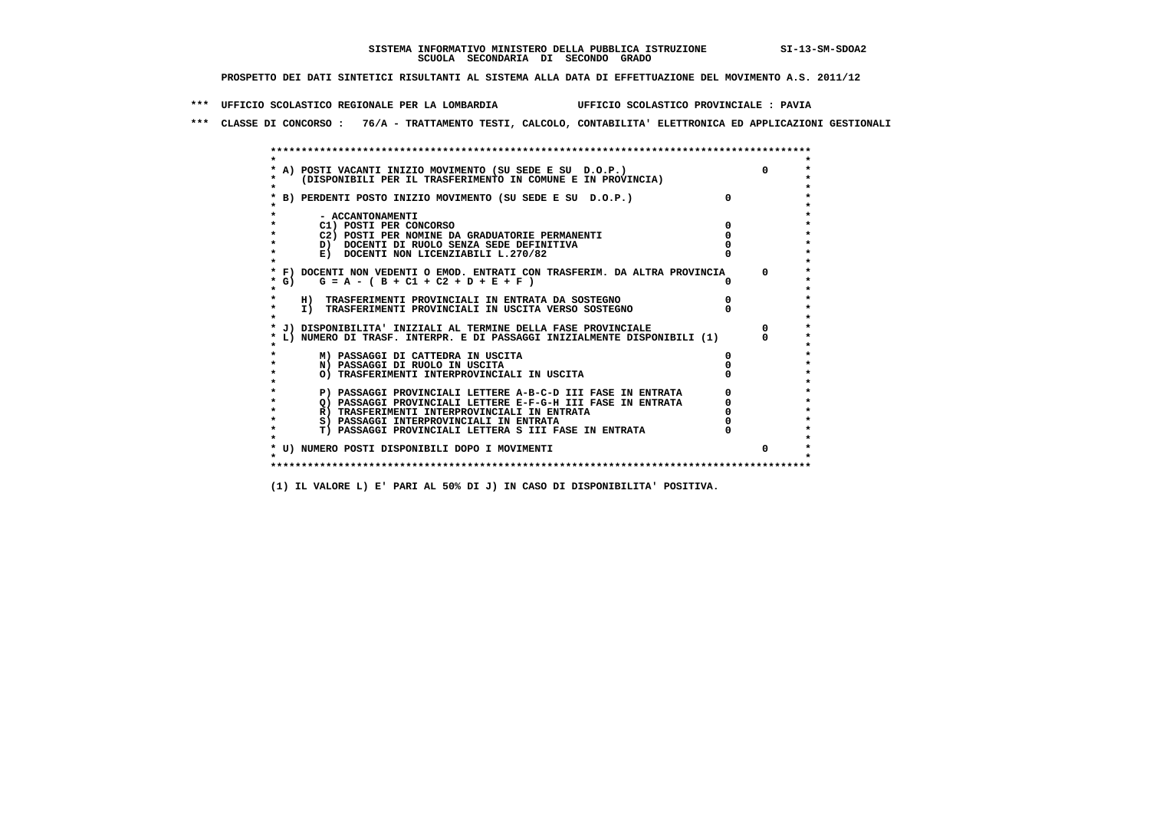**\*\*\* UFFICIO SCOLASTICO REGIONALE PER LA LOMBARDIA UFFICIO SCOLASTICO PROVINCIALE : PAVIA**

 **\*\*\* CLASSE DI CONCORSO : 76/A - TRATTAMENTO TESTI, CALCOLO, CONTABILITA' ELETTRONICA ED APPLICAZIONI GESTIONALI**

|         | A) POSTI VACANTI INIZIO MOVIMENTO (SU SEDE E SU D.O.P.)                    |          |  |
|---------|----------------------------------------------------------------------------|----------|--|
|         | (DISPONIBILI PER IL TRASFERIMENTO IN COMUNE E IN PROVINCIA)                |          |  |
|         |                                                                            |          |  |
|         | B) PERDENTI POSTO INIZIO MOVIMENTO (SU SEDE E SU D.O.P.)                   | $\Omega$ |  |
|         |                                                                            |          |  |
|         | - ACCANTONAMENTI                                                           |          |  |
|         | C1) POSTI PER CONCORSO                                                     |          |  |
|         | C2) POSTI PER NOMINE DA GRADUATORIE PERMANENTI                             |          |  |
|         | D) DOCENTI DI RUOLO SENZA SEDE DEFINITIVA                                  |          |  |
|         | E) DOCENTI NON LICENZIABILI L.270/82                                       |          |  |
|         | * F) DOCENTI NON VEDENTI O EMOD. ENTRATI CON TRASFERIM. DA ALTRA PROVINCIA |          |  |
| * G) +  | $G = A - (B + C1 + C2 + D + E + F)$                                        |          |  |
|         |                                                                            |          |  |
|         | H) TRASFERIMENTI PROVINCIALI IN ENTRATA DA SOSTEGNO                        |          |  |
| $\star$ | I) TRASFERIMENTI PROVINCIALI IN USCITA VERSO SOSTEGNO                      |          |  |
|         |                                                                            |          |  |
|         | J) DISPONIBILITA' INIZIALI AL TERMINE DELLA FASE PROVINCIALE               |          |  |
|         | L) NUMERO DI TRASF. INTERPR. E DI PASSAGGI INIZIALMENTE DISPONIBILI (1)    |          |  |
|         |                                                                            |          |  |
|         | M) PASSAGGI DI CATTEDRA IN USCITA                                          |          |  |
|         | N) PASSAGGI DI RUOLO IN USCITA                                             |          |  |
|         | O) TRASFERIMENTI INTERPROVINCIALI IN USCITA                                |          |  |
|         |                                                                            |          |  |
|         | P) PASSAGGI PROVINCIALI LETTERE A-B-C-D III FASE IN ENTRATA                |          |  |
|         | O) PASSAGGI PROVINCIALI LETTERE E-F-G-H III FASE IN ENTRATA                |          |  |
|         | R) TRASFERIMENTI INTERPROVINCIALI IN ENTRATA                               |          |  |
|         | S) PASSAGGI INTERPROVINCIALI IN ENTRATA                                    |          |  |
|         | T) PASSAGGI PROVINCIALI LETTERA S III FASE IN ENTRATA                      |          |  |
|         |                                                                            |          |  |
|         | * U) NUMERO POSTI DISPONIBILI DOPO I MOVIMENTI                             |          |  |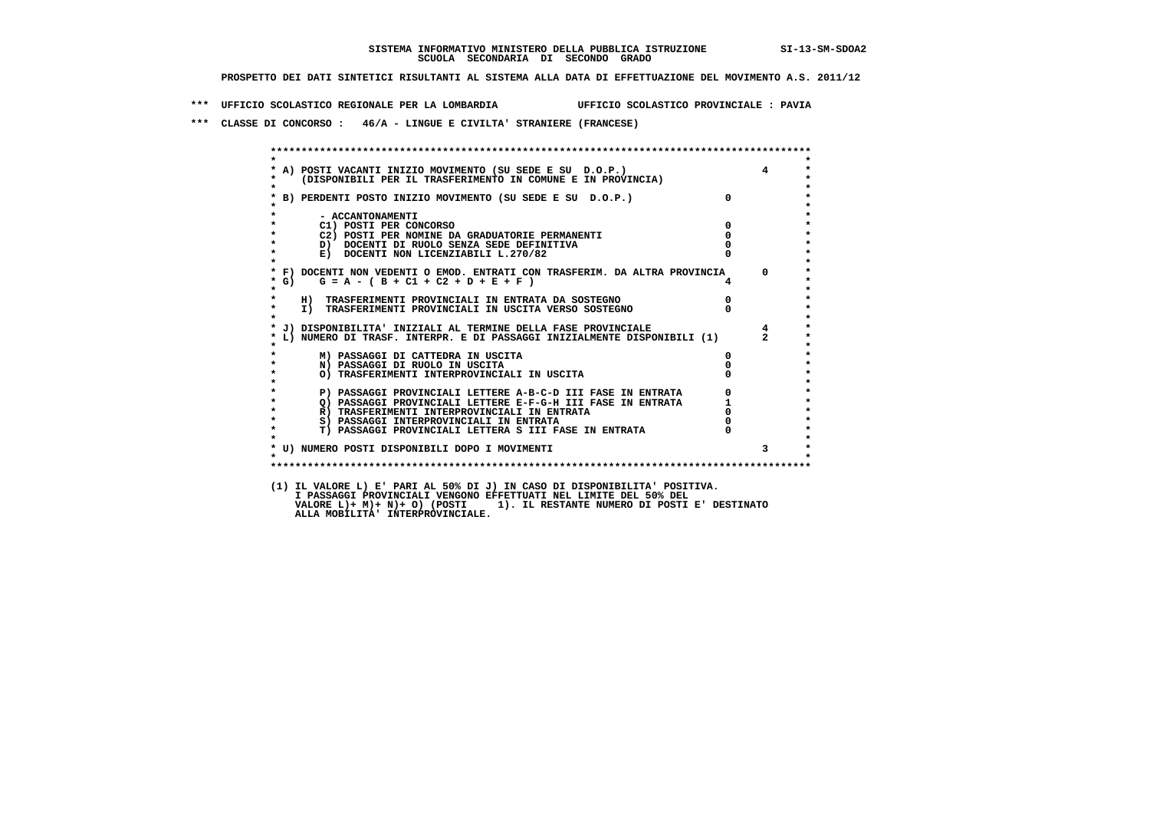**\*\*\* UFFICIO SCOLASTICO REGIONALE PER LA LOMBARDIA UFFICIO SCOLASTICO PROVINCIALE : PAVIA**

 **\*\*\* CLASSE DI CONCORSO : 46/A - LINGUE E CIVILTA' STRANIERE (FRANCESE)**

| $\star$            |                                                                                                                            |                                  |                |
|--------------------|----------------------------------------------------------------------------------------------------------------------------|----------------------------------|----------------|
| $\star$            | * A) POSTI VACANTI INIZIO MOVIMENTO (SU SEDE E SU D.O.P.)<br>* (DISPONIBILI PER IL TRASFERIMENTO IN COMUNE E IN PROVINCIA) |                                  | $\overline{4}$ |
|                    | * B) PERDENTI POSTO INIZIO MOVIMENTO (SU SEDE E SU D.O.P.)                                                                 | $\Omega$                         |                |
| $\star$            | - ACCANTONAMENTI                                                                                                           |                                  |                |
| $\star$            | $\overline{\mathbf{0}}$<br>C1) POSTI PER CONCORSO                                                                          |                                  |                |
| $\star$            | C2) POSTI PER NOMINE DA GRADUATORIE PERMANENTI                                                                             | $\overline{0}$                   |                |
| $\star$            | D) DOCENTI DI RUOLO SENZA SEDE DEFINITIVA                                                                                  |                                  |                |
| $\star$<br>$\star$ | E) DOCENTI NON LICENZIABILI L.270/82                                                                                       |                                  |                |
|                    | * F) DOCENTI NON VEDENTI O EMOD. ENTRATI CON TRASFERIM. DA ALTRA PROVINCIA 0                                               |                                  |                |
| $*$ G)<br>$\star$  | $G = A - (B + C1 + C2 + D + E + F)$                                                                                        |                                  |                |
| $\star$            | H) TRASFERIMENTI PROVINCIALI IN ENTRATA DA SOSTEGNO                                                                        | $\begin{matrix}0\\0\end{matrix}$ |                |
| $\star$<br>$\star$ | I) TRASFERIMENTI PROVINCIALI IN USCITA VERSO SOSTEGNO                                                                      |                                  |                |
|                    | * J) DISPONIBILITA' INIZIALI AL TERMINE DELLA FASE PROVINCIALE                                                             |                                  | $\overline{4}$ |
|                    | * L) NUMERO DI TRASF. INTERPR. E DI PASSAGGI INIZIALMENTE DISPONIBILI (1) 2                                                |                                  |                |
| $\star$            | M) PASSAGGI DI CATTEDRA IN USCITA                                                                                          | $\mathbf{0}$                     |                |
| $\star$            | N) PASSAGGI DI RUOLO IN USCITA                                                                                             |                                  |                |
| $\star$<br>$\star$ | O) TRASFERIMENTI INTERPROVINCIALI IN USCITA                                                                                |                                  |                |
| $\star$            | P) PASSAGGI PROVINCIALI LETTERE A-B-C-D III FASE IN ENTRATA                                                                |                                  |                |
| $\star$            | P) PASSAGGI PROVINCIALI LETTERE A-B-C-D III FASE IN ENIRAIA Q) PASSAGGI PROVINCIALI LETTERE E-F-G-H III FASE IN ENTRATA Q) |                                  |                |
| $\star$            | R) TRASFERIMENTI INTERPROVINCIALI IN ENTRATA                                                                               |                                  |                |
| $\star$            | S) PASSAGGI INTERPROVINCIALI IN ENTRATA                                                                                    |                                  |                |
| $\star$            | T) PASSAGGI PROVINCIALI LETTERA S III FASE IN ENTRATA                                                                      |                                  |                |
|                    | * U) NUMERO POSTI DISPONIBILI DOPO I MOVIMENTI                                                                             |                                  |                |
| $\cdot$            |                                                                                                                            |                                  |                |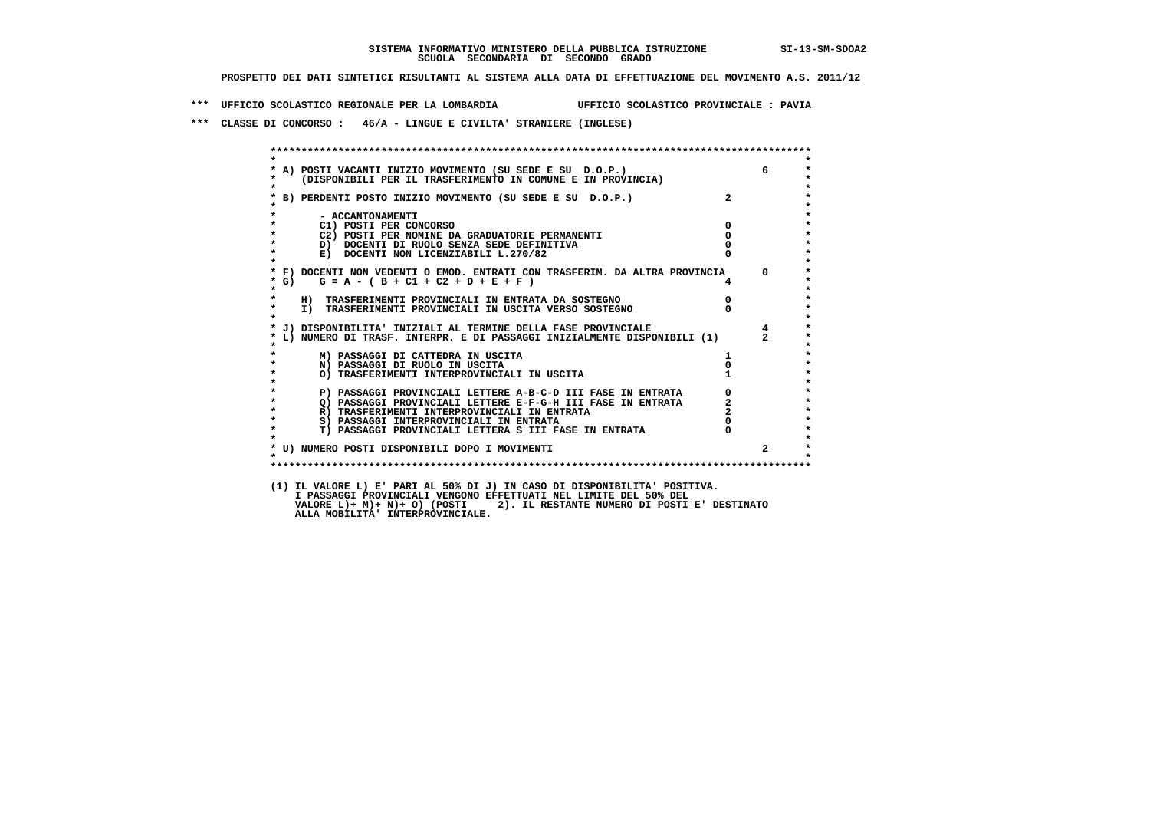**\*\*\* UFFICIO SCOLASTICO REGIONALE PER LA LOMBARDIA UFFICIO SCOLASTICO PROVINCIALE : PAVIA**

 **\*\*\* CLASSE DI CONCORSO : 46/A - LINGUE E CIVILTA' STRANIERE (INGLESE)**

| $\star$            |                                                                                                                                                                                                                                      |                | 6              |
|--------------------|--------------------------------------------------------------------------------------------------------------------------------------------------------------------------------------------------------------------------------------|----------------|----------------|
|                    | * A) POSTI VACANTI INIZIO MOVIMENTO (SU SEDE E SU D.O.P.)<br>* (DISPONIBILI PER IL TRASFERIMENTO IN COMUNE E IN PROVINCIA)                                                                                                           |                |                |
| $\star$            |                                                                                                                                                                                                                                      |                |                |
|                    | * B) PERDENTI POSTO INIZIO MOVIMENTO (SU SEDE E SU D.O.P.)                                                                                                                                                                           |                |                |
|                    |                                                                                                                                                                                                                                      |                |                |
| $\star$<br>$\star$ | - ACCANTONAMENTI<br>$\overline{\mathbf{0}}$<br>C1) POSTI PER CONCORSO                                                                                                                                                                |                |                |
| $\star$            | C2) POSTI PER NOMINE DA GRADUATORIE PERMANENTI                                                                                                                                                                                       | $\mathbf 0$    |                |
| $\star$            | D) DOCENTI DI RUOLO SENZA SEDE DEFINITIVA                                                                                                                                                                                            |                |                |
| $\star$            | E) DOCENTI NON LICENZIABILI L.270/82                                                                                                                                                                                                 |                |                |
| $\star$            |                                                                                                                                                                                                                                      |                |                |
|                    | * F) DOCENTI NON VEDENTI O EMOD. ENTRATI CON TRASFERIM. DA ALTRA PROVINCIA 0                                                                                                                                                         |                |                |
| * G)<br>$\star$    | $G = A - (B + C1 + C2 + D + E + F)$                                                                                                                                                                                                  |                |                |
| $\star$            | H) TRASFERIMENTI PROVINCIALI IN ENTRATA DA SOSTEGNO                                                                                                                                                                                  | $\overline{0}$ |                |
| $\star$            | I) TRASFERIMENTI PROVINCIALI IN USCITA VERSO SOSTEGNO                                                                                                                                                                                |                |                |
| $\star$            |                                                                                                                                                                                                                                      |                |                |
|                    | * J) DISPONIBILITA' INIZIALI AL TERMINE DELLA FASE PROVINCIALE                                                                                                                                                                       |                | $\overline{4}$ |
|                    | L) NUMERO DI TRASF. INTERPR. E DI PASSAGGI INIZIALMENTE DISPONIBILI (1) 2                                                                                                                                                            |                |                |
|                    | M) PASSAGGI DI CATTEDRA IN USCITA                                                                                                                                                                                                    |                |                |
| $\star$            | N) PASSAGGI DI RUOLO IN USCITA                                                                                                                                                                                                       |                |                |
| $\star$            |                                                                                                                                                                                                                                      |                |                |
| $\star$            | N) TRASFERIMENTI INTERPROVINCIALL IN SSSILI<br>P) PASSAGGI PROVINCIALI LETTERE A-B-C-D III FASE IN ENTRATA (0)<br>Q) PASSAGGI PROVINCIALI LETTERE E-F-G-H III FASE IN ENTRATA (2)<br>- TRASFERIMENTI INTERPROVINCIALI IN ENTRATA (2) |                |                |
| $\star$<br>$\star$ |                                                                                                                                                                                                                                      |                |                |
| $\star$            |                                                                                                                                                                                                                                      |                |                |
| $\star$            |                                                                                                                                                                                                                                      |                |                |
| $\star$            | T) PASSAGGI PROVINCIALI LETTERA S III FASE IN ENTRATA                                                                                                                                                                                |                |                |
|                    |                                                                                                                                                                                                                                      |                |                |
| $\cdot$            | * U) NUMERO POSTI DISPONIBILI DOPO I MOVIMENTI                                                                                                                                                                                       |                |                |
|                    |                                                                                                                                                                                                                                      |                |                |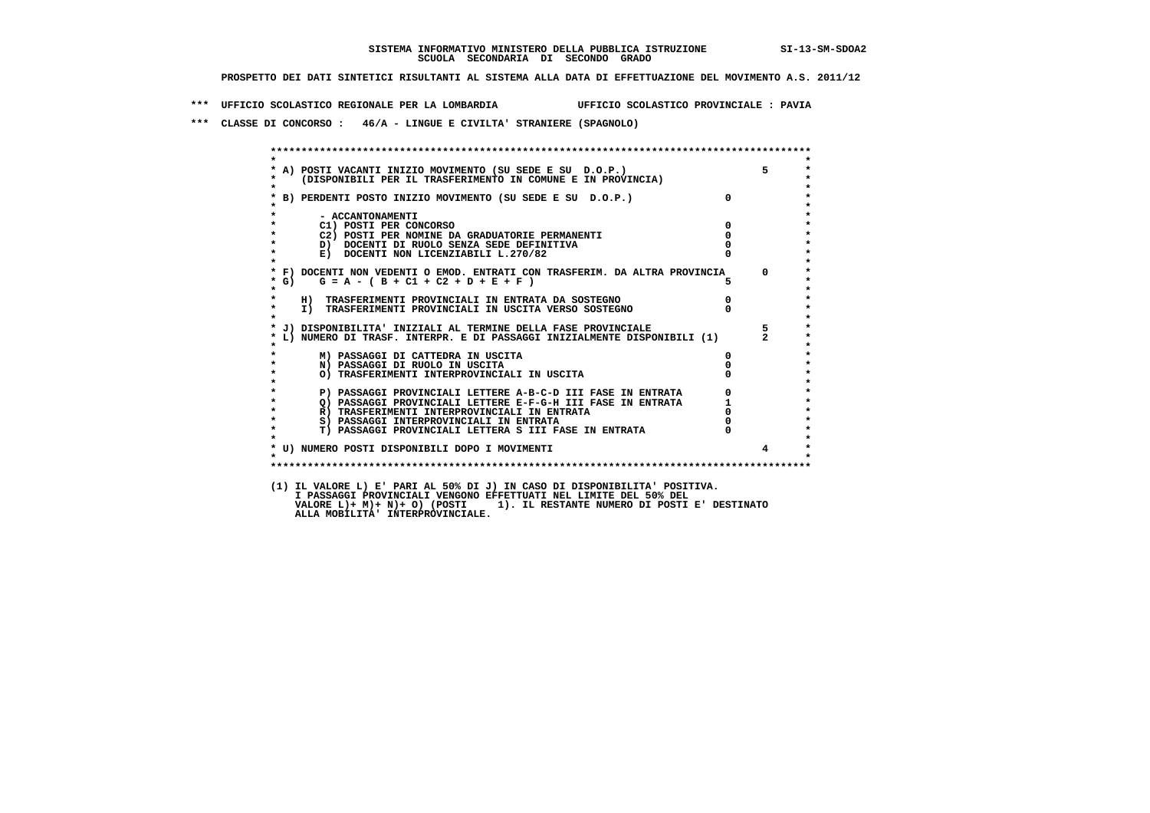**\*\*\* UFFICIO SCOLASTICO REGIONALE PER LA LOMBARDIA UFFICIO SCOLASTICO PROVINCIALE : PAVIA**

 **\*\*\* CLASSE DI CONCORSO : 46/A - LINGUE E CIVILTA' STRANIERE (SPAGNOLO)**

| $\star$            |                                                                                                                                                                                                    |                                  | $5^{\circ}$    |
|--------------------|----------------------------------------------------------------------------------------------------------------------------------------------------------------------------------------------------|----------------------------------|----------------|
|                    | * A) POSTI VACANTI INIZIO MOVIMENTO (SU SEDE E SU D.O.P.)<br>*    (DISPONIBILI PER IL TRASFERIMENTO IN COMUNE E IN PROVINCIA)                                                                      |                                  |                |
|                    |                                                                                                                                                                                                    |                                  |                |
|                    | * B) PERDENTI POSTO INIZIO MOVIMENTO (SU SEDE E SU D.O.P.)                                                                                                                                         | $\overline{0}$                   |                |
|                    |                                                                                                                                                                                                    |                                  |                |
|                    | - ACCANTONAMENTI                                                                                                                                                                                   |                                  |                |
| $\star$<br>$\star$ | $\overline{\mathbf{0}}$<br>C1) POSTI PER CONCORSO                                                                                                                                                  | $\mathbf 0$                      |                |
|                    | C2) POSTI PER NOMINE DA GRADUATORIE PERMANENTI<br>D) DOCENTI DI RUOLO SENZA SEDE DEFINITIVA                                                                                                        |                                  |                |
| $\star$<br>$\star$ | E) DOCENTI NON LICENZIABILI L.270/82                                                                                                                                                               |                                  |                |
|                    |                                                                                                                                                                                                    |                                  |                |
|                    | * F) DOCENTI NON VEDENTI O EMOD. ENTRATI CON TRASFERIM. DA ALTRA PROVINCIA 0                                                                                                                       |                                  |                |
| $*$ G)             | $G = A - (B + C1 + C2 + D + E + F)$                                                                                                                                                                |                                  |                |
| $\star$            |                                                                                                                                                                                                    |                                  |                |
| $\star$<br>$\star$ | H) TRASFERIMENTI PROVINCIALI IN ENTRATA DA SOSTEGNO<br>I) TRASFERIMENTI PROVINCIALI IN USCITA VERSO SOSTEGNO                                                                                       | $\begin{matrix}0\\0\end{matrix}$ |                |
| $\star$            |                                                                                                                                                                                                    |                                  |                |
|                    | * J) DISPONIBILITA' INIZIALI AL TERMINE DELLA FASE PROVINCIALE                                                                                                                                     |                                  | $5 -$          |
|                    | * L) NUMERO DI TRASF. INTERPR. E DI PASSAGGI INIZIALMENTE DISPONIBILI (1) 2                                                                                                                        |                                  |                |
|                    |                                                                                                                                                                                                    |                                  |                |
| $\star$            | M) PASSAGGI DI CATTEDRA IN USCITA                                                                                                                                                                  | $\Omega$                         |                |
| $\star$            | N) PASSAGGI DI RUOLO IN USCITA<br>O) TRASFERIMENTI INTERPROVINCIALI IN USCITA                                                                                                                      |                                  |                |
| $\star$            |                                                                                                                                                                                                    |                                  |                |
| $\star$            | P) PASSAGGI PROVINCIALI LETTERE A-B-C-D III FASE IN ENTRATA                                                                                                                                        |                                  |                |
| $\star$            |                                                                                                                                                                                                    |                                  |                |
| $\star$            | THE RESEARCH PROVINCIALI LETTERE E-F-G-H III FASE IN ENTRATA<br>R) TRASFERIMENTI INTERPROVINCIALI IN ENTRATA<br>S) PASSAGGI INTERPROVINCIALI IN ENTRATA<br>S) PASSAGGI INTERPROVINCIALI IN ENTRATA |                                  |                |
| $\star$<br>$\star$ | S) PASSAGGI INTERPROVINCIALI IN ENTRATA                                                                                                                                                            |                                  |                |
|                    | T) PASSAGGI PROVINCIALI LETTERA S III FASE IN ENTRATA                                                                                                                                              |                                  |                |
|                    | * U) NUMERO POSTI DISPONIBILI DOPO I MOVIMENTI                                                                                                                                                     |                                  | $\overline{4}$ |
| $\star$            |                                                                                                                                                                                                    |                                  |                |
|                    |                                                                                                                                                                                                    |                                  |                |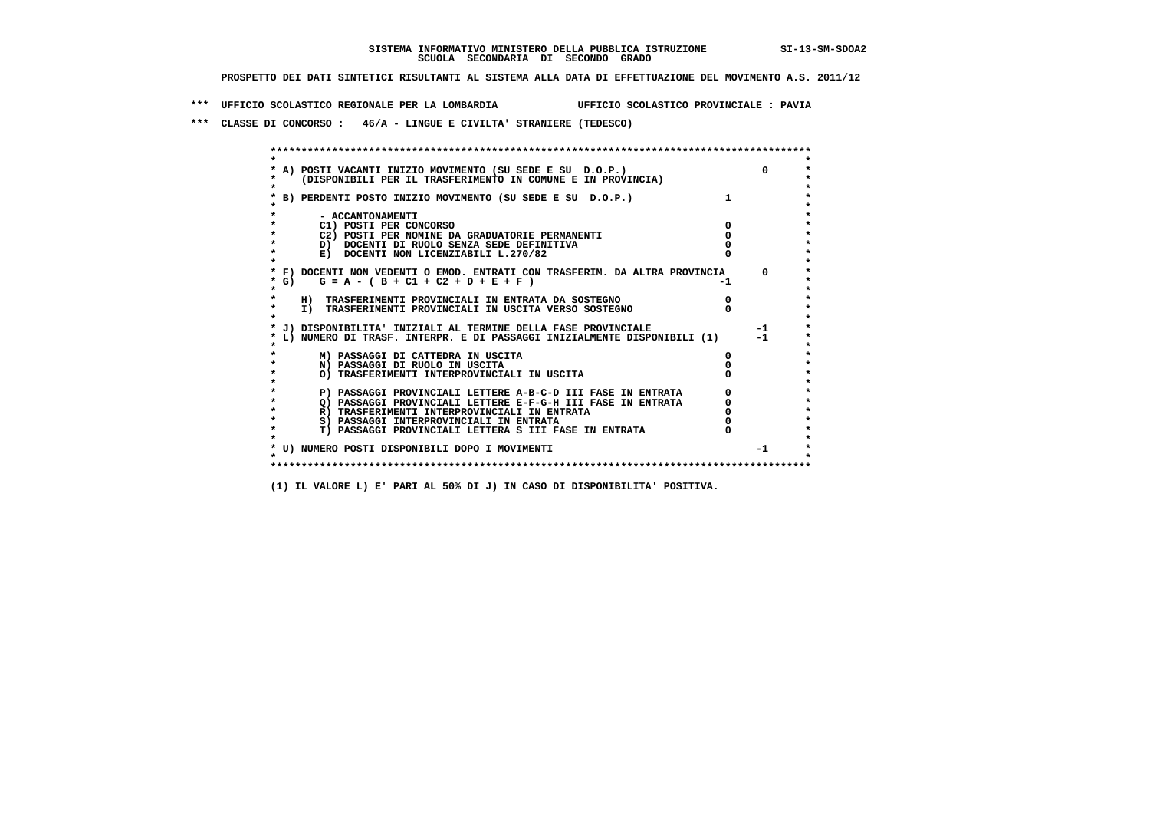**\*\*\* UFFICIO SCOLASTICO REGIONALE PER LA LOMBARDIA UFFICIO SCOLASTICO PROVINCIALE : PAVIA**

 **\*\*\* CLASSE DI CONCORSO : 46/A - LINGUE E CIVILTA' STRANIERE (TEDESCO)**

|        | A) POSTI VACANTI INIZIO MOVIMENTO (SU SEDE E SU D.O.P.)<br>(DISPONIBILI PER IL TRASFERIMENTO IN COMUNE E IN PROVINCIA) |    | $\Omega$ |
|--------|------------------------------------------------------------------------------------------------------------------------|----|----------|
|        | B) PERDENTI POSTO INIZIO MOVIMENTO (SU SEDE E SU D.O.P.)                                                               |    |          |
|        | - ACCANTONAMENTI                                                                                                       |    |          |
|        | C1) POSTI PER CONCORSO                                                                                                 |    |          |
|        | C2) POSTI PER NOMINE DA GRADUATORIE PERMANENTI                                                                         |    |          |
|        | D) DOCENTI DI RUOLO SENZA SEDE DEFINITIVA                                                                              |    |          |
|        | E) DOCENTI NON LICENZIABILI L.270/82                                                                                   |    |          |
|        | * F) DOCENTI NON VEDENTI O EMOD. ENTRATI CON TRASFERIM. DA ALTRA PROVINCIA                                             |    | $\Omega$ |
| * G) + | $G = A - (B + C1 + C2 + D + E + F)$                                                                                    | -1 |          |
|        | H) TRASFERIMENTI PROVINCIALI IN ENTRATA DA SOSTEGNO                                                                    |    |          |
|        | I) TRASFERIMENTI PROVINCIALI IN USCITA VERSO SOSTEGNO                                                                  |    |          |
|        |                                                                                                                        |    |          |
|        | J) DISPONIBILITA' INIZIALI AL TERMINE DELLA FASE PROVINCIALE                                                           |    | $-1$     |
|        | L) NUMERO DI TRASF. INTERPR. E DI PASSAGGI INIZIALMENTE DISPONIBILI (1)                                                |    | $-1$     |
|        | M) PASSAGGI DI CATTEDRA IN USCITA                                                                                      |    |          |
|        | N) PASSAGGI DI RUOLO IN USCITA                                                                                         |    |          |
|        | O) TRASFERIMENTI INTERPROVINCIALI IN USCITA                                                                            |    |          |
|        |                                                                                                                        |    |          |
|        | P) PASSAGGI PROVINCIALI LETTERE A-B-C-D III FASE IN ENTRATA                                                            |    |          |
|        | O) PASSAGGI PROVINCIALI LETTERE E-F-G-H III FASE IN ENTRATA                                                            |    |          |
|        | R) TRASFERIMENTI INTERPROVINCIALI IN ENTRATA                                                                           |    |          |
|        | S) PASSAGGI INTERPROVINCIALI IN ENTRATA                                                                                |    |          |
|        | T) PASSAGGI PROVINCIALI LETTERA S III FASE IN ENTRATA                                                                  |    |          |
|        | * U) NUMERO POSTI DISPONIBILI DOPO I MOVIMENTI                                                                         |    | $-1$     |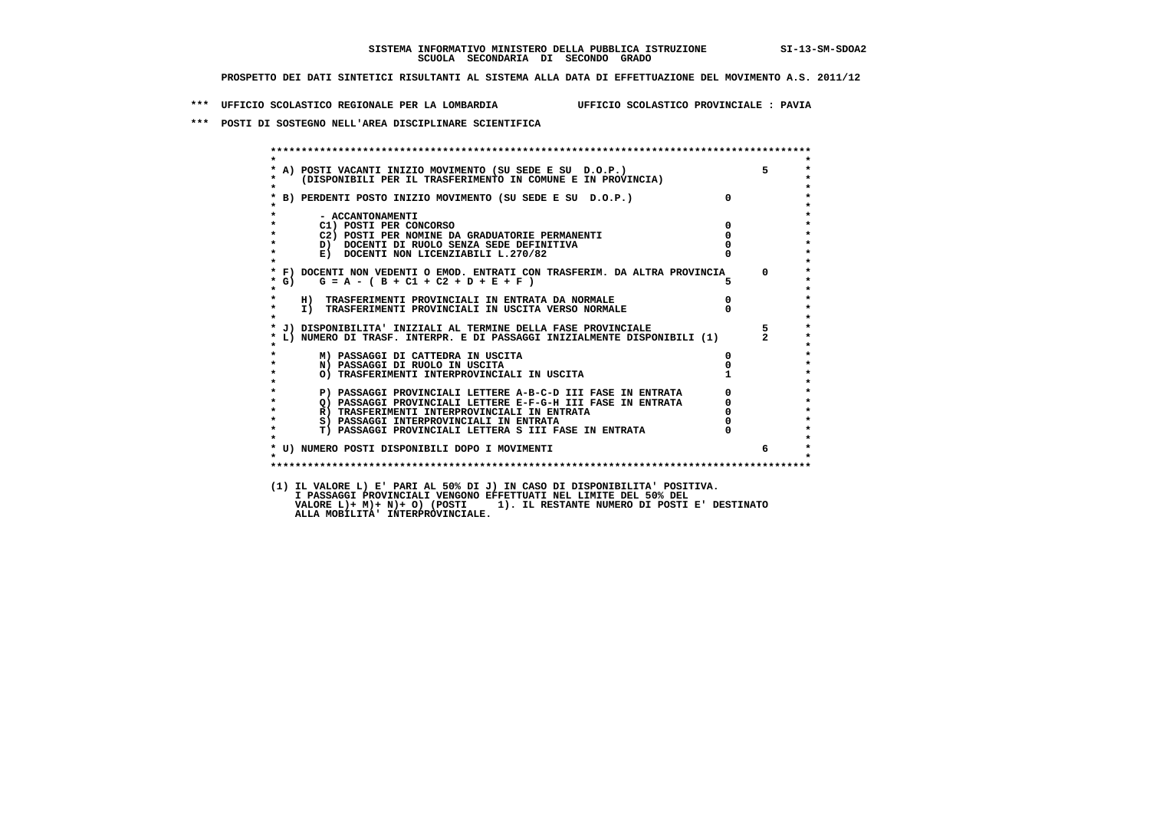**\*\*\* UFFICIO SCOLASTICO REGIONALE PER LA LOMBARDIA UFFICIO SCOLASTICO PROVINCIALE : PAVIA**

 **\*\*\* POSTI DI SOSTEGNO NELL'AREA DISCIPLINARE SCIENTIFICA**

| * A) POSTI VACANTI INIZIO MOVIMENTO (SU SEDE E SU D.O.P.)<br>* (DISPONIBILI PER IL TRASFERIMENTO IN COMUNE E IN PROVINCIA) | $5^{\circ}$                                 |
|----------------------------------------------------------------------------------------------------------------------------|---------------------------------------------|
|                                                                                                                            |                                             |
| * B) PERDENTI POSTO INIZIO MOVIMENTO (SU SEDE E SU D.O.P.)                                                                 | $\overline{0}$                              |
| - ACCANTONAMENTI                                                                                                           |                                             |
| C1) POSTI PER CONCORSO                                                                                                     | $\overline{0}$                              |
| C2) POSTI PER NOMINE DA GRADUATORIE PERMANENTI                                                                             | $\mathbf{0}$                                |
| $\star$<br>D) DOCENTI DI RUOLO SENZA SEDE DEFINITIVA                                                                       |                                             |
| $\star$<br>E) DOCENTI NON LICENZIABILI L.270/82                                                                            |                                             |
| * F) DOCENTI NON VEDENTI O EMOD. ENTRATI CON TRASFERIM. DA ALTRA PROVINCIA                                                 | $\mathbf{0}$                                |
| $*$ G)<br>$G = A - (B + C1 + C2 + D + E + F)$<br>$\star$                                                                   | 5.                                          |
| H) TRASFERIMENTI PROVINCIALI IN ENTRATA DA NORMALE                                                                         | $\overline{0}$                              |
| I) TRASFERIMENTI PROVINCIALI IN USCITA VERSO NORMALE<br>$\star$                                                            |                                             |
| * J) DISPONIBILITA' INIZIALI AL TERMINE DELLA FASE PROVINCIALE                                                             | $5 -$                                       |
| L) NUMERO DI TRASF. INTERPR. E DI PASSAGGI INIZIALMENTE DISPONIBILI (1)                                                    |                                             |
| M) PASSAGGI DI CATTEDRA IN USCITA                                                                                          | $\mathbf{0}$                                |
| N) PASSAGGI DI RUOLO IN USCITA                                                                                             |                                             |
| O) TRASFERIMENTI INTERPROVINCIALI IN USCITA                                                                                |                                             |
| P) PASSAGGI PROVINCIALI LETTERE A-B-C-D III FASE IN ENTRATA<br>$\star$                                                     | $\begin{bmatrix} 0 \\ 0 \\ 0 \end{bmatrix}$ |
| $\star$<br>Q) PASSAGGI PROVINCIALI LETTERE E-F-G-H III FASE IN ENTRATA                                                     |                                             |
| $\star$<br>R) TRASFERIMENTI INTERPROVINCIALI IN ENTRATA                                                                    |                                             |
| $\star$<br>S) PASSAGGI INTERPROVINCIALI IN ENTRATA                                                                         |                                             |
| <b>T) PASSAGGI PROVINCIALI LETTERA S III FASE IN ENTRATA</b><br>$\star$                                                    |                                             |
| * U) NUMERO POSTI DISPONIBILI DOPO I MOVIMENTI                                                                             | 6                                           |
| $\star$                                                                                                                    |                                             |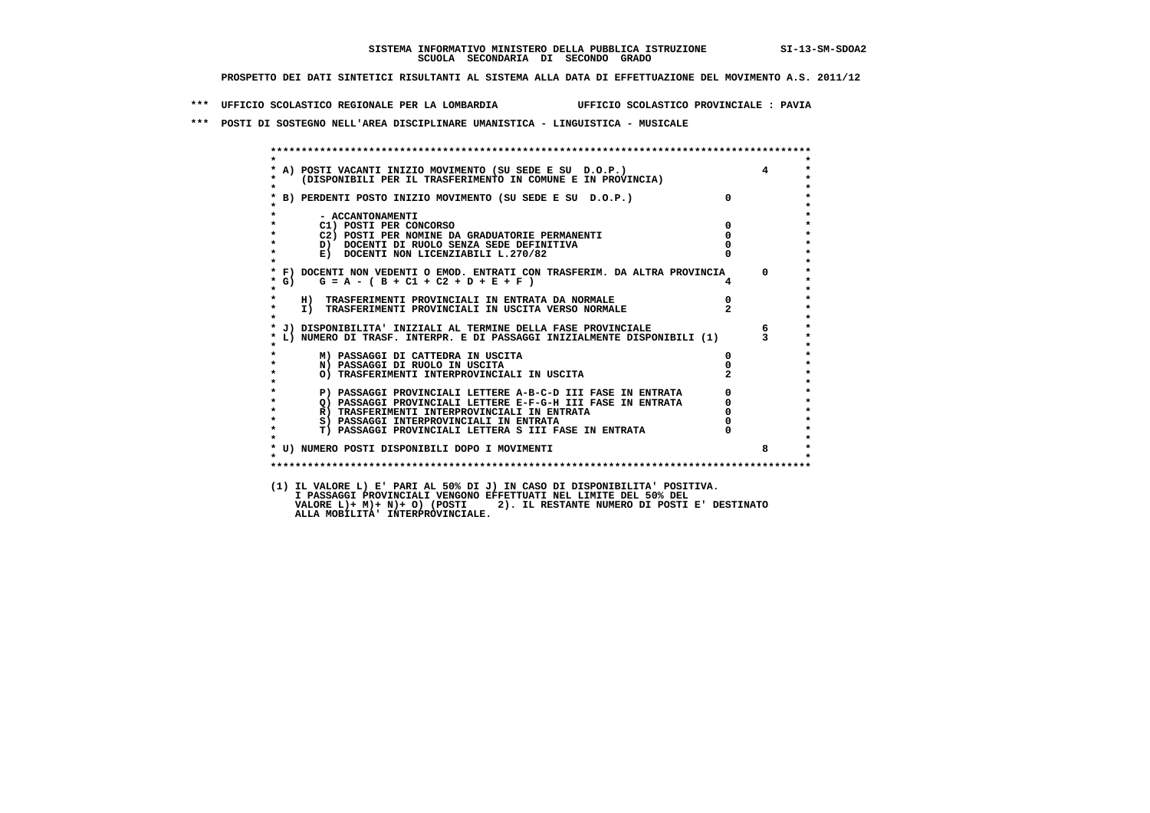**\*\*\* UFFICIO SCOLASTICO REGIONALE PER LA LOMBARDIA UFFICIO SCOLASTICO PROVINCIALE : PAVIA**

 **\*\*\* POSTI DI SOSTEGNO NELL'AREA DISCIPLINARE UMANISTICA - LINGUISTICA - MUSICALE**

| $\star$            |                                                                                                                            |                                                  |                 |
|--------------------|----------------------------------------------------------------------------------------------------------------------------|--------------------------------------------------|-----------------|
|                    | * A) POSTI VACANTI INIZIO MOVIMENTO (SU SEDE E SU D.O.P.)<br>* (DISPONIBILI PER IL TRASFERIMENTO IN COMUNE E IN PROVINCIA) |                                                  | $\overline{4}$  |
| $\star$            |                                                                                                                            |                                                  |                 |
|                    | * B) PERDENTI POSTO INIZIO MOVIMENTO (SU SEDE E SU D.O.P.)                                                                 | $\Omega$                                         |                 |
|                    |                                                                                                                            |                                                  |                 |
|                    | - ACCANTONAMENTI                                                                                                           |                                                  |                 |
| $\star$            | $\overline{\mathbf{0}}$<br>C1) POSTI PER CONCORSO<br>C2) POSTI PER NOMINE DA GRADUATORIE PERMANENTI                        | $\overline{\mathbf{0}}$                          |                 |
| $\star$            | D) DOCENTI DI RUOLO SENZA SEDE DEFINITIVA                                                                                  |                                                  |                 |
| $\star$            | E) DOCENTI NON LICENZIABILI L.270/82                                                                                       |                                                  |                 |
| $\star$            |                                                                                                                            |                                                  |                 |
|                    | * F) DOCENTI NON VEDENTI O EMOD. ENTRATI CON TRASFERIM. DA ALTRA PROVINCIA 0                                               |                                                  |                 |
| $*$ G)             | $G = A - (B + C1 + C2 + D + E + F)$                                                                                        |                                                  |                 |
| $\star$            |                                                                                                                            |                                                  |                 |
| $\star$            | H) TRASFERIMENTI PROVINCIALI IN ENTRATA DA NORMALE<br>I) TRASFERIMENTI PROVINCIALI IN USCITA VERSO NORMALE                 | $\frac{0}{2}$                                    |                 |
| $\mathbf{r}$       |                                                                                                                            |                                                  |                 |
|                    | * J) DISPONIBILITA' INIZIALI AL TERMINE DELLA FASE PROVINCIALE                                                             |                                                  | $6\overline{6}$ |
|                    | * L) NUMERO DI TRASF. INTERPR. E DI PASSAGGI INIZIALMENTE DISPONIBILI (1) $\frac{3}{3}$                                    |                                                  |                 |
|                    | M) PASSAGGI DI CATTEDRA IN USCITA                                                                                          | 0                                                |                 |
| $\star$            | N) PASSAGGI DI RUOLO IN USCITA                                                                                             |                                                  |                 |
|                    | O) TRASFERIMENTI INTERPROVINCIALI IN USCITA                                                                                |                                                  |                 |
| $\star$            |                                                                                                                            |                                                  |                 |
| $\star$            | P) PASSAGGI PROVINCIALI LETTERE A-B-C-D III FASE IN ENTRATA                                                                |                                                  |                 |
| $\star$<br>$\star$ | Q) PASSAGGI PROVINCIALI LETTERE E-F-G-H III FASE IN ENTRATA<br>R) TRASFERIMENTI INTERPROVINCIALI IN ENTRATA                |                                                  |                 |
| $\star$            | S) PASSAGGI INTERPROVINCIALI IN ENTRATA                                                                                    | $\begin{bmatrix} 0 \\ 0 \\ 0 \\ 0 \end{bmatrix}$ |                 |
| $\star$            | T) PASSAGGI PROVINCIALI LETTERA S III FASE IN ENTRATA                                                                      |                                                  |                 |
|                    |                                                                                                                            |                                                  |                 |
|                    | * U) NUMERO POSTI DISPONIBILI DOPO I MOVIMENTI                                                                             |                                                  | 8               |
| $\star$            |                                                                                                                            |                                                  |                 |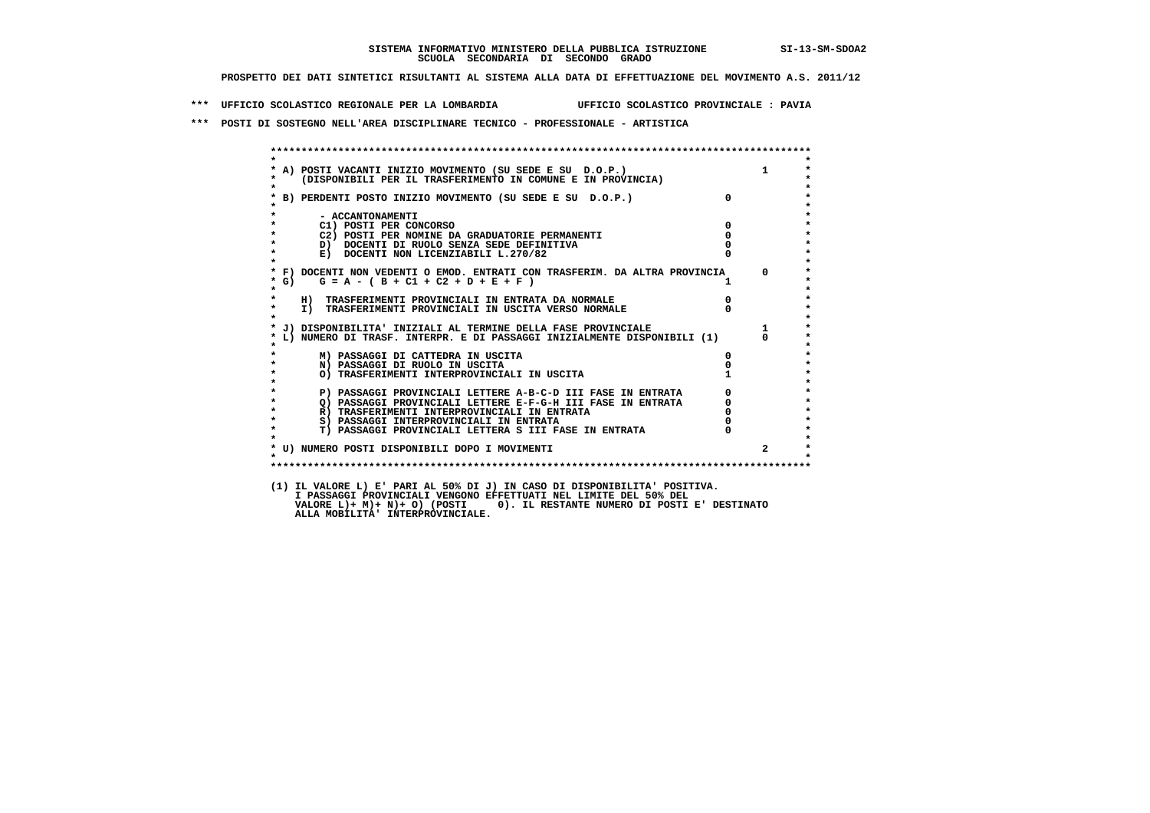**\*\*\* UFFICIO SCOLASTICO REGIONALE PER LA LOMBARDIA UFFICIO SCOLASTICO PROVINCIALE : PAVIA**

 **\*\*\* POSTI DI SOSTEGNO NELL'AREA DISCIPLINARE TECNICO - PROFESSIONALE - ARTISTICA**

|                      | * A) POSTI VACANTI INIZIO MOVIMENTO (SU SEDE E SU D.O.P.) 1<br>* (DISPONIBILI PER IL TRASFERIMENTO IN COMUNE E IN PROVINCIA) |                                  |              |
|----------------------|------------------------------------------------------------------------------------------------------------------------------|----------------------------------|--------------|
|                      | * B) PERDENTI POSTO INIZIO MOVIMENTO (SU SEDE E SU D.O.P.)                                                                   | $\overline{0}$                   |              |
|                      | - ACCANTONAMENTI                                                                                                             |                                  |              |
| $\star$              | $\sim$ 0<br>C1) POSTI PER CONCORSO                                                                                           |                                  |              |
| $\star$              | C2) POSTI PER NOMINE DA GRADUATORIE PERMANENTI                                                                               |                                  |              |
| $\star$              | D) DOCENTI DI RUOLO SENZA SEDE DEFINITIVA                                                                                    |                                  |              |
| $\star$              | E) DOCENTI NON LICENZIABILI L.270/82                                                                                         |                                  |              |
|                      | * F) DOCENTI NON VEDENTI O EMOD. ENTRATI CON TRASFERIM. DA ALTRA PROVINCIA 0                                                 |                                  |              |
| $*$ G)<br>$\star$    | $G = A - (B + C1 + C2 + D + E + F)$                                                                                          | $\mathbf{1}$                     |              |
| $\star$              | H) TRASFERIMENTI PROVINCIALI IN ENTRATA DA NORMALE                                                                           | $\begin{matrix}0\\0\end{matrix}$ |              |
| $\star$<br>$\bullet$ | I) TRASFERIMENTI PROVINCIALI IN USCITA VERSO NORMALE                                                                         |                                  |              |
|                      |                                                                                                                              |                                  |              |
|                      | * L) NUMERO DI TRASF. INTERPR. E DI PASSAGGI INIZIALMENTE DISPONIBILI (1) 0<br>*                                             |                                  | $\Omega$     |
| $\star$              | M) PASSAGGI DI CATTEDRA IN USCITA                                                                                            | 0                                |              |
|                      | N) PASSAGGI DI RUOLO IN USCITA                                                                                               |                                  |              |
| $\star$              | O) TRASFERIMENTI INTERPROVINCIALI IN USCITA                                                                                  |                                  |              |
| $\star$              | P) PASSAGGI PROVINCIALI LETTERE A-B-C-D III FASE IN ENTRATA                                                                  | $\Omega$                         |              |
| $\star$              | Q) PASSAGGI PROVINCIALI LETTERE E-F-G-H III FASE IN ENTRATA                                                                  |                                  |              |
| $\star$              | R) TRASFERIMENTI INTERPROVINCIALI IN ENTRATA                                                                                 |                                  |              |
| $\star$              | S) PASSAGGI INTERPROVINCIALI IN ENTRATA                                                                                      | $\overline{0}$                   |              |
| $\star$              | T) PASSAGGI PROVINCIALI LETTERA S III FASE IN ENTRATA                                                                        |                                  |              |
|                      | * U) NUMERO POSTI DISPONIBILI DOPO I MOVIMENTI                                                                               |                                  | $\mathbf{2}$ |
| $\bullet$            |                                                                                                                              |                                  |              |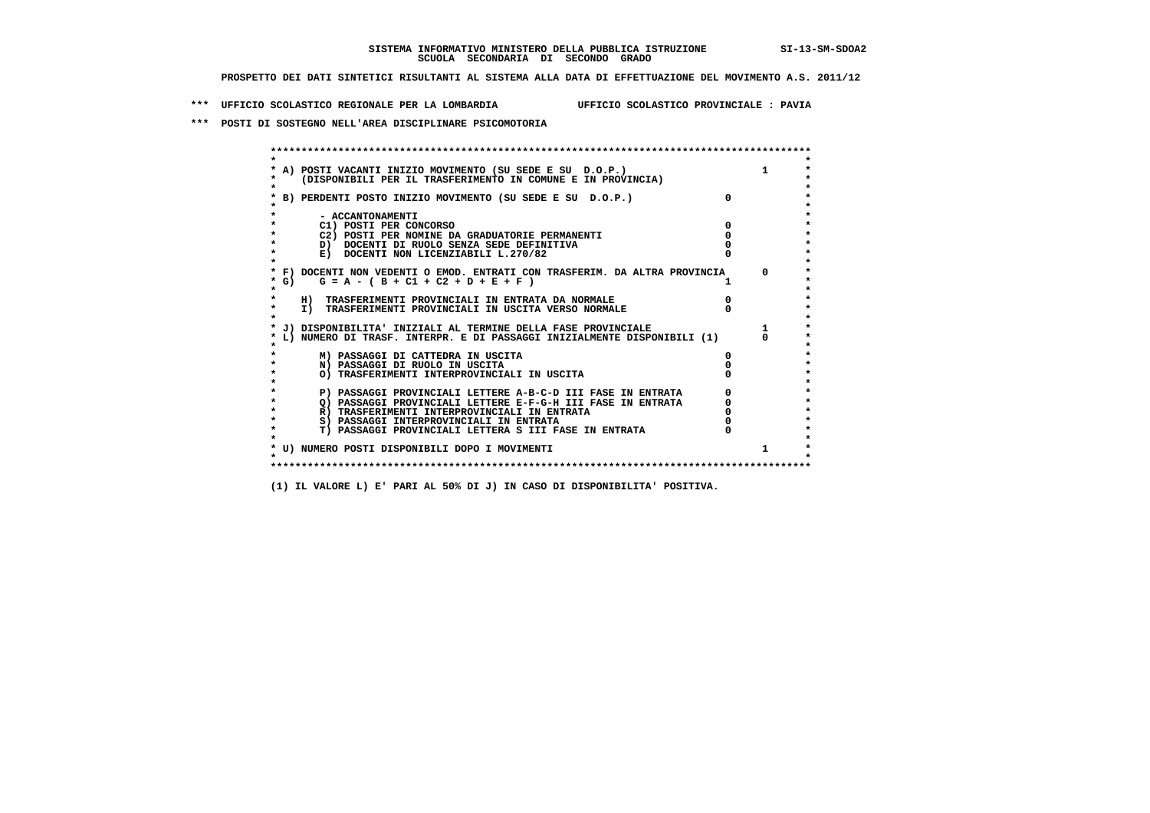**\*\*\* UFFICIO SCOLASTICO REGIONALE PER LA LOMBARDIA UFFICIO SCOLASTICO PROVINCIALE : PAVIA**

 **\*\*\* POSTI DI SOSTEGNO NELL'AREA DISCIPLINARE PSICOMOTORIA**

|        | A) POSTI VACANTI INIZIO MOVIMENTO (SU SEDE E SU D.O.P.)<br>(DISPONIBILI PER IL TRASFERIMENTO IN COMUNE E IN PROVINCIA) |          |
|--------|------------------------------------------------------------------------------------------------------------------------|----------|
|        | B) PERDENTI POSTO INIZIO MOVIMENTO (SU SEDE E SU D.O.P.)                                                               |          |
|        | - ACCANTONAMENTI                                                                                                       |          |
|        | C1) POSTI PER CONCORSO                                                                                                 |          |
|        | C2) POSTI PER NOMINE DA GRADUATORIE PERMANENTI                                                                         |          |
|        | D) DOCENTI DI RUOLO SENZA SEDE DEFINITIVA                                                                              |          |
|        | E) DOCENTI NON LICENZIABILI L.270/82                                                                                   |          |
|        | * F) DOCENTI NON VEDENTI O EMOD. ENTRATI CON TRASFERIM. DA ALTRA PROVINCIA                                             | $\Omega$ |
| $*$ G) | $G = A - (B + C1 + C2 + D + E + F)$                                                                                    |          |
|        | H) TRASFERIMENTI PROVINCIALI IN ENTRATA DA NORMALE                                                                     |          |
|        | I) TRASFERIMENTI PROVINCIALI IN USCITA VERSO NORMALE                                                                   |          |
|        | J) DISPONIBILITA' INIZIALI AL TERMINE DELLA FASE PROVINCIALE                                                           |          |
|        | L) NUMERO DI TRASF. INTERPR. E DI PASSAGGI INIZIALMENTE DISPONIBILI (1)                                                |          |
|        | M) PASSAGGI DI CATTEDRA IN USCITA                                                                                      |          |
|        | N) PASSAGGI DI RUOLO IN USCITA                                                                                         |          |
|        | O) TRASFERIMENTI INTERPROVINCIALI IN USCITA                                                                            |          |
|        | P) PASSAGGI PROVINCIALI LETTERE A-B-C-D III FASE IN ENTRATA                                                            |          |
|        | O) PASSAGGI PROVINCIALI LETTERE E-F-G-H III FASE IN ENTRATA                                                            |          |
|        | R) TRASFERIMENTI INTERPROVINCIALI IN ENTRATA                                                                           |          |
|        | S) PASSAGGI INTERPROVINCIALI IN ENTRATA                                                                                |          |
|        | T) PASSAGGI PROVINCIALI LETTERA S III FASE IN ENTRATA                                                                  |          |
|        |                                                                                                                        |          |
|        | * U) NUMERO POSTI DISPONIBILI DOPO I MOVIMENTI                                                                         | 1        |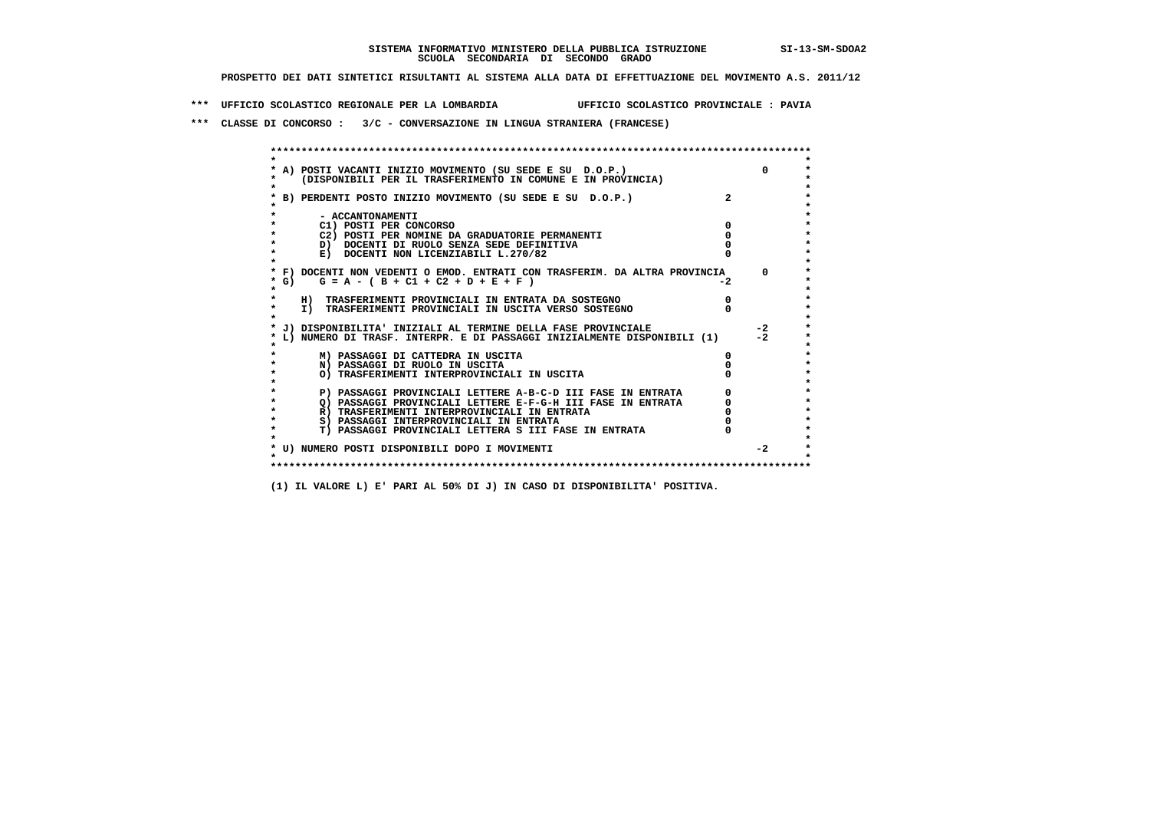**\*\*\* UFFICIO SCOLASTICO REGIONALE PER LA LOMBARDIA UFFICIO SCOLASTICO PROVINCIALE : PAVIA**

 **\*\*\* CLASSE DI CONCORSO : 3/C - CONVERSAZIONE IN LINGUA STRANIERA (FRANCESE)**

| A) POSTI VACANTI INIZIO MOVIMENTO (SU SEDE E SU D.O.P.)<br>(DISPONIBILI PER IL TRASFERIMENTO IN COMUNE E IN PROVINCIA)<br>B) PERDENTI POSTO INIZIO MOVIMENTO (SU SEDE E SU D.O.P.)<br>- ACCANTONAMENTI<br>C1) POSTI PER CONCORSO<br>C2) POSTI PER NOMINE DA GRADUATORIE PERMANENTI<br>D) DOCENTI DI RUOLO SENZA SEDE DEFINITIVA<br>E) DOCENTI NON LICENZIABILI L.270/82 |      |
|-------------------------------------------------------------------------------------------------------------------------------------------------------------------------------------------------------------------------------------------------------------------------------------------------------------------------------------------------------------------------|------|
|                                                                                                                                                                                                                                                                                                                                                                         |      |
|                                                                                                                                                                                                                                                                                                                                                                         |      |
|                                                                                                                                                                                                                                                                                                                                                                         |      |
|                                                                                                                                                                                                                                                                                                                                                                         |      |
|                                                                                                                                                                                                                                                                                                                                                                         |      |
|                                                                                                                                                                                                                                                                                                                                                                         |      |
|                                                                                                                                                                                                                                                                                                                                                                         |      |
|                                                                                                                                                                                                                                                                                                                                                                         |      |
|                                                                                                                                                                                                                                                                                                                                                                         |      |
| * F) DOCENTI NON VEDENTI O EMOD. ENTRATI CON TRASFERIM. DA ALTRA PROVINCIA                                                                                                                                                                                                                                                                                              |      |
| $G = A - (B + C1 + C2 + D + E + F)$<br>* G) =                                                                                                                                                                                                                                                                                                                           | $-2$ |
|                                                                                                                                                                                                                                                                                                                                                                         |      |
| H) TRASFERIMENTI PROVINCIALI IN ENTRATA DA SOSTEGNO                                                                                                                                                                                                                                                                                                                     |      |
| I) TRASFERIMENTI PROVINCIALI IN USCITA VERSO SOSTEGNO                                                                                                                                                                                                                                                                                                                   |      |
|                                                                                                                                                                                                                                                                                                                                                                         |      |
| J) DISPONIBILITA' INIZIALI AL TERMINE DELLA FASE PROVINCIALE                                                                                                                                                                                                                                                                                                            |      |
| L) NUMERO DI TRASF. INTERPR. E DI PASSAGGI INIZIALMENTE DISPONIBILI (1)                                                                                                                                                                                                                                                                                                 |      |
|                                                                                                                                                                                                                                                                                                                                                                         |      |
| M) PASSAGGI DI CATTEDRA IN USCITA                                                                                                                                                                                                                                                                                                                                       |      |
| N) PASSAGGI DI RUOLO IN USCITA<br>O) TRASFERIMENTI INTERPROVINCIALI IN USCITA                                                                                                                                                                                                                                                                                           |      |
|                                                                                                                                                                                                                                                                                                                                                                         |      |
| P) PASSAGGI PROVINCIALI LETTERE A-B-C-D III FASE IN ENTRATA                                                                                                                                                                                                                                                                                                             |      |
| O) PASSAGGI PROVINCIALI LETTERE E-F-G-H III FASE IN ENTRATA                                                                                                                                                                                                                                                                                                             |      |
| R) TRASFERIMENTI INTERPROVINCIALI IN ENTRATA                                                                                                                                                                                                                                                                                                                            |      |
| S) PASSAGGI INTERPROVINCIALI IN ENTRATA                                                                                                                                                                                                                                                                                                                                 |      |
| T) PASSAGGI PROVINCIALI LETTERA S III FASE IN ENTRATA                                                                                                                                                                                                                                                                                                                   |      |
|                                                                                                                                                                                                                                                                                                                                                                         |      |
| * U) NUMERO POSTI DISPONIBILI DOPO I MOVIMENTI                                                                                                                                                                                                                                                                                                                          |      |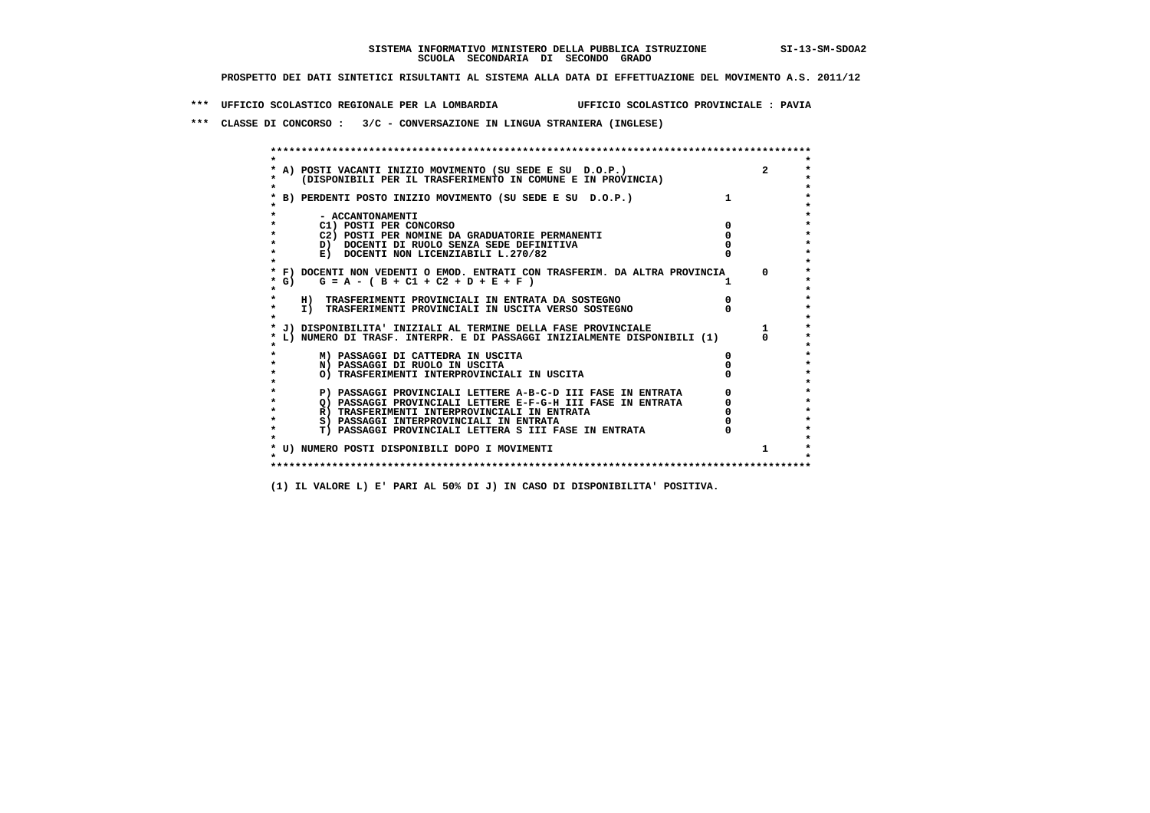**\*\*\* UFFICIO SCOLASTICO REGIONALE PER LA LOMBARDIA UFFICIO SCOLASTICO PROVINCIALE : PAVIA**

 **\*\*\* CLASSE DI CONCORSO : 3/C - CONVERSAZIONE IN LINGUA STRANIERA (INGLESE)**

|         | A) POSTI VACANTI INIZIO MOVIMENTO (SU SEDE E SU D.O.P.)                    |          |
|---------|----------------------------------------------------------------------------|----------|
|         | (DISPONIBILI PER IL TRASFERIMENTO IN COMUNE E IN PROVINCIA)                |          |
|         |                                                                            |          |
|         | B) PERDENTI POSTO INIZIO MOVIMENTO (SU SEDE E SU D.O.P.)                   |          |
|         |                                                                            |          |
|         | - ACCANTONAMENTI                                                           |          |
|         | C1) POSTI PER CONCORSO                                                     |          |
|         | C2) POSTI PER NOMINE DA GRADUATORIE PERMANENTI                             |          |
|         | D) DOCENTI DI RUOLO SENZA SEDE DEFINITIVA                                  |          |
|         | E) DOCENTI NON LICENZIABILI L.270/82                                       |          |
|         | * F) DOCENTI NON VEDENTI O EMOD. ENTRATI CON TRASFERIM. DA ALTRA PROVINCIA | $\Omega$ |
| * G) =  | $G = A - (B + C1 + C2 + D + E + F)$                                        |          |
| $\star$ |                                                                            |          |
|         | H) TRASFERIMENTI PROVINCIALI IN ENTRATA DA SOSTEGNO                        |          |
| $\star$ | I) TRASFERIMENTI PROVINCIALI IN USCITA VERSO SOSTEGNO                      |          |
|         |                                                                            |          |
|         | * J) DISPONIBILITA' INIZIALI AL TERMINE DELLA FASE PROVINCIALE             |          |
|         | L) NUMERO DI TRASF. INTERPR. E DI PASSAGGI INIZIALMENTE DISPONIBILI (1)    |          |
|         |                                                                            |          |
|         | M) PASSAGGI DI CATTEDRA IN USCITA                                          |          |
|         | N) PASSAGGI DI RUOLO IN USCITA                                             |          |
|         | O) TRASFERIMENTI INTERPROVINCIALI IN USCITA                                |          |
|         | P) PASSAGGI PROVINCIALI LETTERE A-B-C-D III FASE IN ENTRATA                |          |
|         | O) PASSAGGI PROVINCIALI LETTERE E-F-G-H III FASE IN ENTRATA                |          |
|         | R) TRASFERIMENTI INTERPROVINCIALI IN ENTRATA                               |          |
| $\star$ | S) PASSAGGI INTERPROVINCIALI IN ENTRATA                                    |          |
| $\star$ | T) PASSAGGI PROVINCIALI LETTERA S III FASE IN ENTRATA                      |          |
|         |                                                                            |          |
|         | * U) NUMERO POSTI DISPONIBILI DOPO I MOVIMENTI                             |          |
|         |                                                                            |          |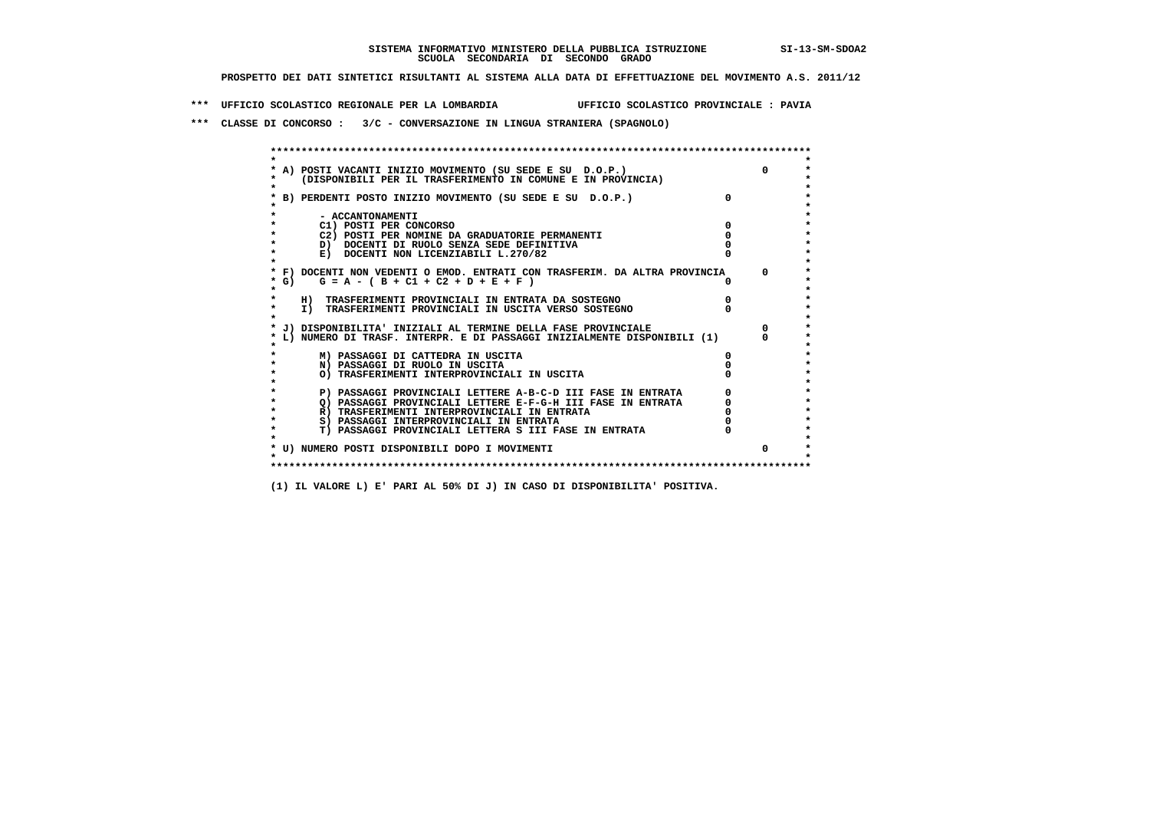**\*\*\* UFFICIO SCOLASTICO REGIONALE PER LA LOMBARDIA UFFICIO SCOLASTICO PROVINCIALE : PAVIA**

 **\*\*\* CLASSE DI CONCORSO : 3/C - CONVERSAZIONE IN LINGUA STRANIERA (SPAGNOLO)**

|         | * A) POSTI VACANTI INIZIO MOVIMENTO (SU SEDE E SU D.O.P.)                  |          |
|---------|----------------------------------------------------------------------------|----------|
|         | (DISPONIBILI PER IL TRASFERIMENTO IN COMUNE E IN PROVINCIA)                |          |
|         |                                                                            |          |
|         | B) PERDENTI POSTO INIZIO MOVIMENTO (SU SEDE E SU D.O.P.)                   |          |
|         |                                                                            |          |
|         | - ACCANTONAMENTI                                                           |          |
|         | C1) POSTI PER CONCORSO                                                     |          |
|         | C2) POSTI PER NOMINE DA GRADUATORIE PERMANENTI                             |          |
|         | D) DOCENTI DI RUOLO SENZA SEDE DEFINITIVA                                  |          |
|         | E) DOCENTI NON LICENZIABILI L.270/82                                       |          |
|         |                                                                            |          |
|         | * F) DOCENTI NON VEDENTI O EMOD. ENTRATI CON TRASFERIM. DA ALTRA PROVINCIA | $\Omega$ |
| * G) +  | $G = A - (B + C1 + C2 + D + E + F)$                                        |          |
| $\star$ |                                                                            |          |
|         | H) TRASFERIMENTI PROVINCIALI IN ENTRATA DA SOSTEGNO                        |          |
| $\star$ | I) TRASFERIMENTI PROVINCIALI IN USCITA VERSO SOSTEGNO                      |          |
|         |                                                                            |          |
|         | * J) DISPONIBILITA' INIZIALI AL TERMINE DELLA FASE PROVINCIALE             |          |
|         | L) NUMERO DI TRASF. INTERPR. E DI PASSAGGI INIZIALMENTE DISPONIBILI (1)    |          |
|         | M) PASSAGGI DI CATTEDRA IN USCITA                                          |          |
|         | N) PASSAGGI DI RUOLO IN USCITA                                             |          |
|         | O) TRASFERIMENTI INTERPROVINCIALI IN USCITA                                |          |
|         |                                                                            |          |
|         | P) PASSAGGI PROVINCIALI LETTERE A-B-C-D III FASE IN ENTRATA                |          |
|         | O) PASSAGGI PROVINCIALI LETTERE E-F-G-H III FASE IN ENTRATA                |          |
|         | R) TRASFERIMENTI INTERPROVINCIALI IN ENTRATA                               |          |
| $\star$ | S) PASSAGGI INTERPROVINCIALI IN ENTRATA                                    |          |
| $\star$ | T) PASSAGGI PROVINCIALI LETTERA S III FASE IN ENTRATA                      |          |
|         |                                                                            |          |
|         | * U) NUMERO POSTI DISPONIBILI DOPO I MOVIMENTI                             |          |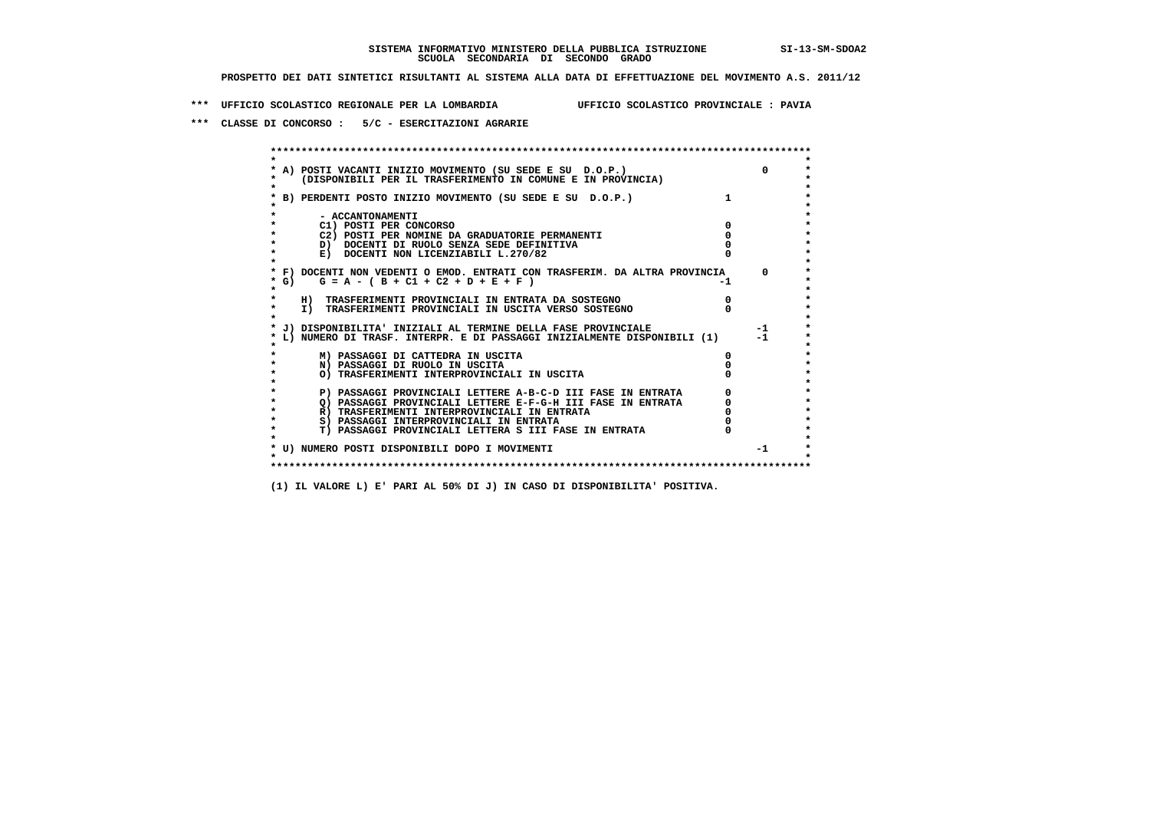**\*\*\* UFFICIO SCOLASTICO REGIONALE PER LA LOMBARDIA UFFICIO SCOLASTICO PROVINCIALE : PAVIA**

 **\*\*\* CLASSE DI CONCORSO : 5/C - ESERCITAZIONI AGRARIE**

 **\*\*\*\*\*\*\*\*\*\*\*\*\*\*\*\*\*\*\*\*\*\*\*\*\*\*\*\*\*\*\*\*\*\*\*\*\*\*\*\*\*\*\*\*\*\*\*\*\*\*\*\*\*\*\*\*\*\*\*\*\*\*\*\*\*\*\*\*\*\*\*\*\*\*\*\*\*\*\*\*\*\*\*\*\*\*\*\* \* \*** $\bullet$  **\* A) POSTI VACANTI INIZIO MOVIMENTO (SU SEDE E SU D.O.P.) 0 \* \* (DISPONIBILI PER IL TRASFERIMENTO IN COMUNE E IN PROVINCIA) \* \* \* \* B) PERDENTI POSTO INIZIO MOVIMENTO (SU SEDE E SU D.O.P.) 1 \* \* \* \* - ACCANTONAMENTI \* \* C1) POSTI PER CONCORSO 0 \* \* C2) POSTI PER NOMINE DA GRADUATORIE PERMANENTI 0 \*D)** DOCENTI DI RUOLO SENZA SEDE DEFINITIVA  $\overline{a}$  0  $\overline{b}$  0  $\overline{c}$  0  $\overline{c}$  0  $\overline{c}$  0  $\overline{a}$  0  $\overline{b}$ **E) DOCENTI NON LICENZIABILI L.270/82 \* \* \* F) DOCENTI NON VEDENTI O EMOD. ENTRATI CON TRASFERIM. DA ALTRA PROVINCIA 0 \***  $\star$  **G)** G = A - ( B + C1 + C2 + D + E + F)  **\* \* \* H) TRASFERIMENTI PROVINCIALI IN ENTRATA DA SOSTEGNO 0 \*The CONSTRUCTION CONSTRUCTED IN CONSTRUCTION CONSTRUES IN TRASFERIMENTI PROVINCIALI IN USCITA VERSO SOSTEGNO \* \* \* J) DISPONIBILITA' INIZIALI AL TERMINE DELLA FASE PROVINCIALE -1 \* \* L) NUMERO DI TRASF. INTERPR. E DI PASSAGGI INIZIALMENTE DISPONIBILI (1) -1 \* \* \* \* M) PASSAGGI DI CATTEDRA IN USCITA 0 \* \* N) PASSAGGI DI RUOLO IN USCITA 0 \* \* O) TRASFERIMENTI INTERPROVINCIALI IN USCITA 0 \* \* \* P) PASSAGGI PROVINCIALI LETTERE A-B-C-D III FASE IN ENTRATA** 0 <sup>0</sup> **DASSAGGI PROVINCIALI LETTERE E-F-G-H** III FASE IN ENTRATA 0 <sup>0</sup>  **\* Q) PASSAGGI PROVINCIALI LETTERE E-F-G-H III FASE IN ENTRATA 0 \*R)** TRASFERIMENTI INTERPROVINCIALI IN ENTRATA  $\begin{bmatrix} 0 & 0 \\ 0 & 0 \\ 0 & 0 \end{bmatrix}$  PASSAGGI INTERPROVINCIALI IN ENTRATA  $\begin{bmatrix} 0 & 0 \\ 0 & 0 \\ 0 & 0 \end{bmatrix}$  **\* S) PASSAGGI INTERPROVINCIALI IN ENTRATA 0 \*** $\ddot{\phantom{1}}$  **\* T) PASSAGGI PROVINCIALI LETTERA S III FASE IN ENTRATA 0 \*** $\star$  **\* \* \* U) NUMERO POSTI DISPONIBILI DOPO I MOVIMENTI -1 \* \* \* \*\*\*\*\*\*\*\*\*\*\*\*\*\*\*\*\*\*\*\*\*\*\*\*\*\*\*\*\*\*\*\*\*\*\*\*\*\*\*\*\*\*\*\*\*\*\*\*\*\*\*\*\*\*\*\*\*\*\*\*\*\*\*\*\*\*\*\*\*\*\*\*\*\*\*\*\*\*\*\*\*\*\*\*\*\*\*\***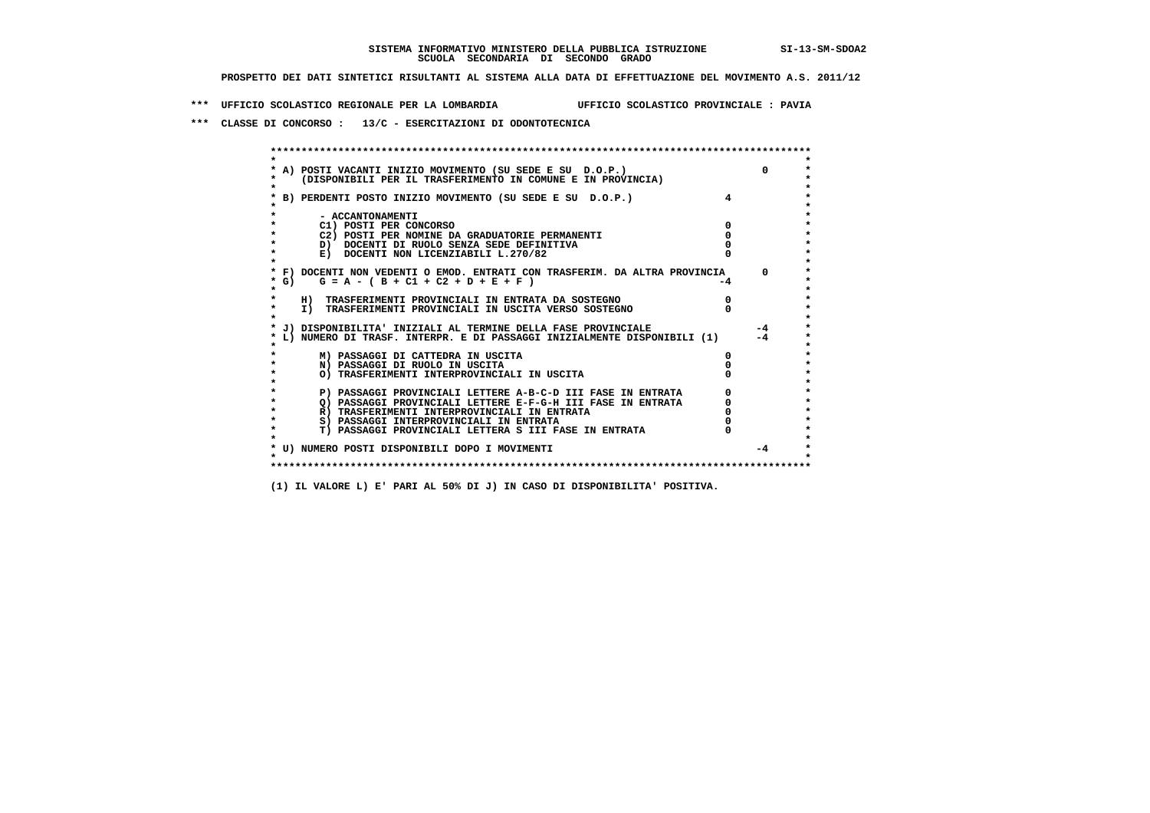**\*\*\* UFFICIO SCOLASTICO REGIONALE PER LA LOMBARDIA UFFICIO SCOLASTICO PROVINCIALE : PAVIA**

 **\*\*\* CLASSE DI CONCORSO : 13/C - ESERCITAZIONI DI ODONTOTECNICA**

| A) POSTI VACANTI INIZIO MOVIMENTO (SU SEDE E SU D.O.P.)                  |    |          |
|--------------------------------------------------------------------------|----|----------|
| (DISPONIBILI PER IL TRASFERIMENTO IN COMUNE E IN PROVINCIA)              |    |          |
|                                                                          |    |          |
| B) PERDENTI POSTO INIZIO MOVIMENTO (SU SEDE E SU D.O.P.)                 |    |          |
|                                                                          |    |          |
| - ACCANTONAMENTI                                                         |    |          |
| C1) POSTI PER CONCORSO                                                   |    |          |
| C2) POSTI PER NOMINE DA GRADUATORIE PERMANENTI                           |    |          |
| D) DOCENTI DI RUOLO SENZA SEDE DEFINITIVA                                |    |          |
| E) DOCENTI NON LICENZIABILI L.270/82                                     |    |          |
|                                                                          |    |          |
| F) DOCENTI NON VEDENTI O EMOD. ENTRATI CON TRASFERIM. DA ALTRA PROVINCIA |    | $\Omega$ |
| G) $G = A - (B + C1 + C2 + D + E + F)$                                   | -4 |          |
|                                                                          |    |          |
| H) TRASFERIMENTI PROVINCIALI IN ENTRATA DA SOSTEGNO                      |    |          |
| I) TRASFERIMENTI PROVINCIALI IN USCITA VERSO SOSTEGNO                    |    |          |
| J) DISPONIBILITA' INIZIALI AL TERMINE DELLA FASE PROVINCIALE             |    | $-4$     |
| L) NUMERO DI TRASF. INTERPR. E DI PASSAGGI INIZIALMENTE DISPONIBILI (1)  |    | $-4$     |
|                                                                          |    |          |
| M) PASSAGGI DI CATTEDRA IN USCITA                                        |    |          |
| N) PASSAGGI DI RUOLO IN USCITA                                           |    |          |
| O) TRASFERIMENTI INTERPROVINCIALI IN USCITA                              |    |          |
|                                                                          |    |          |
| P) PASSAGGI PROVINCIALI LETTERE A-B-C-D III FASE IN ENTRATA              |    |          |
| O) PASSAGGI PROVINCIALI LETTERE E-F-G-H III FASE IN ENTRATA              |    |          |
| R) TRASFERIMENTI INTERPROVINCIALI IN ENTRATA                             |    |          |
| S) PASSAGGI INTERPROVINCIALI IN ENTRATA                                  |    |          |
| T) PASSAGGI PROVINCIALI LETTERA S III FASE IN ENTRATA                    |    |          |
| * U) NUMERO POSTI DISPONIBILI DOPO I MOVIMENTI                           |    | $-4$     |
|                                                                          |    |          |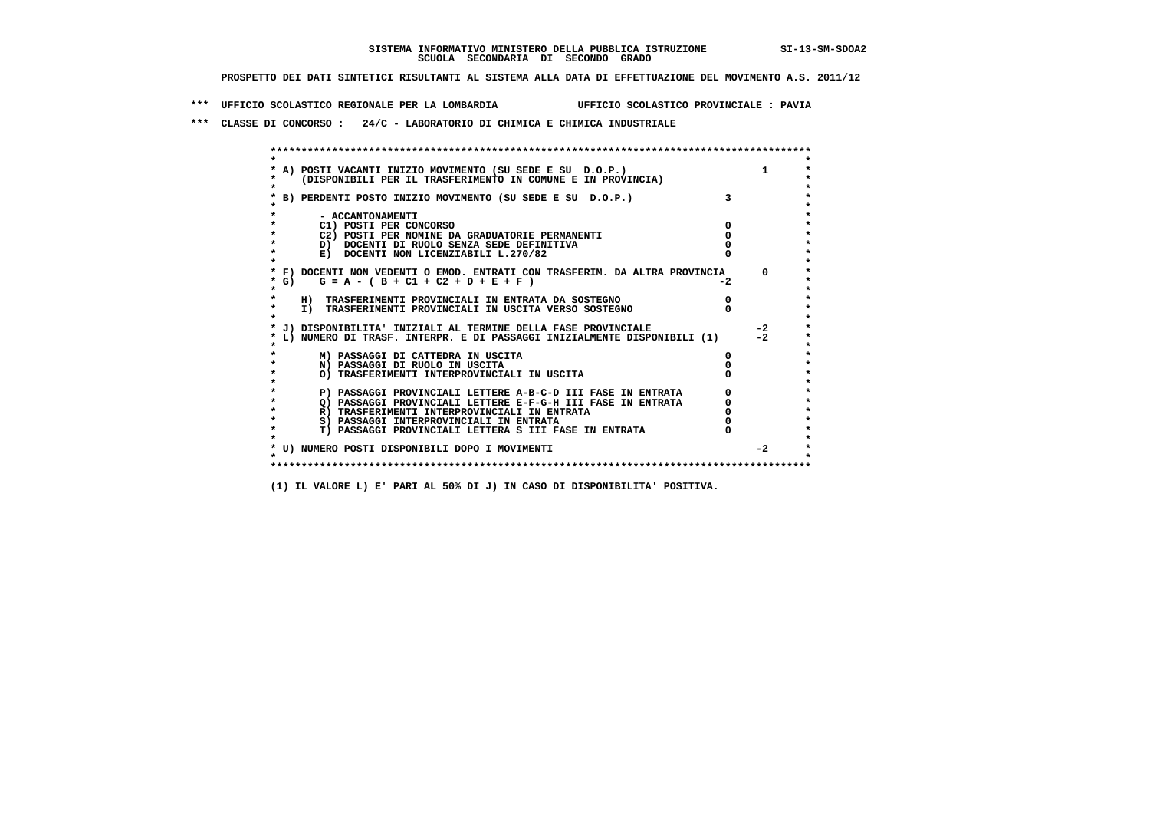**\*\*\* UFFICIO SCOLASTICO REGIONALE PER LA LOMBARDIA UFFICIO SCOLASTICO PROVINCIALE : PAVIA**

 **\*\*\* CLASSE DI CONCORSO : 24/C - LABORATORIO DI CHIMICA E CHIMICA INDUSTRIALE**

 **\*\*\*\*\*\*\*\*\*\*\*\*\*\*\*\*\*\*\*\*\*\*\*\*\*\*\*\*\*\*\*\*\*\*\*\*\*\*\*\*\*\*\*\*\*\*\*\*\*\*\*\*\*\*\*\*\*\*\*\*\*\*\*\*\*\*\*\*\*\*\*\*\*\*\*\*\*\*\*\*\*\*\*\*\*\*\*\* \* \*** $\bullet$  **\* A) POSTI VACANTI INIZIO MOVIMENTO (SU SEDE E SU D.O.P.) 1 \*** $\star$  **\* (DISPONIBILI PER IL TRASFERIMENTO IN COMUNE E IN PROVINCIA) \* \* \* \* B) PERDENTI POSTO INIZIO MOVIMENTO (SU SEDE E SU D.O.P.) 3 \* \* \* \* - ACCANTONAMENTI \* \* C1) POSTI PER CONCORSO 0 \* \* C2) POSTI PER NOMINE DA GRADUATORIE PERMANENTI 0 \*D)** DOCENTI DI RUOLO SENZA SEDE DEFINITIVA  $\overline{a}$  0  $\overline{b}$  0  $\overline{c}$  0  $\overline{c}$  0  $\overline{c}$  0  $\overline{a}$  0  $\overline{c}$ **E) DOCENTI NON LICENZIABILI L.270/82 \* \* \* F) DOCENTI NON VEDENTI O EMOD. ENTRATI CON TRASFERIM. DA ALTRA PROVINCIA 0 \*** $\star$  G) G = A - ( B + C1 + C2 + D + E + F )  **\* \* \* H) TRASFERIMENTI PROVINCIALI IN ENTRATA DA SOSTEGNO 0 \*The CONSTRUCTION CONSTRUCTED IN CONTRACT CONSTRUES I TRASFERIMENTI PROVINCIALI IN USCITA VERSO SOSTEGNO \* \* \* J) DISPONIBILITA' INIZIALI AL TERMINE DELLA FASE PROVINCIALE -2 \* \* L) NUMERO DI TRASF. INTERPR. E DI PASSAGGI INIZIALMENTE DISPONIBILI (1) -2 \* \* \* \* M) PASSAGGI DI CATTEDRA IN USCITA 0 \* \* N) PASSAGGI DI RUOLO IN USCITA 0 \* \* O) TRASFERIMENTI INTERPROVINCIALI IN USCITA 0 \* \* \* P) PASSAGGI PROVINCIALI LETTERE A-B-C-D III FASE IN ENTRATA** 0 <sup>0</sup> **DASSAGGI PROVINCIALI LETTERE E-F-G-H** III FASE IN ENTRATA 0 <sup>0</sup> **2) PASSAGGI PROVINCIALI LETTERE E-F-G-H III FASE IN ENTRATA 6 0 R**) TRASFERIMENTI INTERPROVINCIALI IN ENTRATA 6 **0 R)** TRASFERIMENTI INTERPROVINCIALI IN ENTRATA  $\begin{bmatrix} 0 & 0 \\ 0 & 0 \\ 0 & 0 \end{bmatrix}$  PASSAGGI INTERPROVINCIALI IN ENTRATA  $\begin{bmatrix} 0 & 0 \\ 0 & 0 \\ 0 & 0 \end{bmatrix}$  **\* S) PASSAGGI INTERPROVINCIALI IN ENTRATA 0 \*** $\ddot{\phantom{1}}$  **\* T) PASSAGGI PROVINCIALI LETTERA S III FASE IN ENTRATA 0 \* \* \* \* U) NUMERO POSTI DISPONIBILI DOPO I MOVIMENTI -2 \* \* \* \*\*\*\*\*\*\*\*\*\*\*\*\*\*\*\*\*\*\*\*\*\*\*\*\*\*\*\*\*\*\*\*\*\*\*\*\*\*\*\*\*\*\*\*\*\*\*\*\*\*\*\*\*\*\*\*\*\*\*\*\*\*\*\*\*\*\*\*\*\*\*\*\*\*\*\*\*\*\*\*\*\*\*\*\*\*\*\***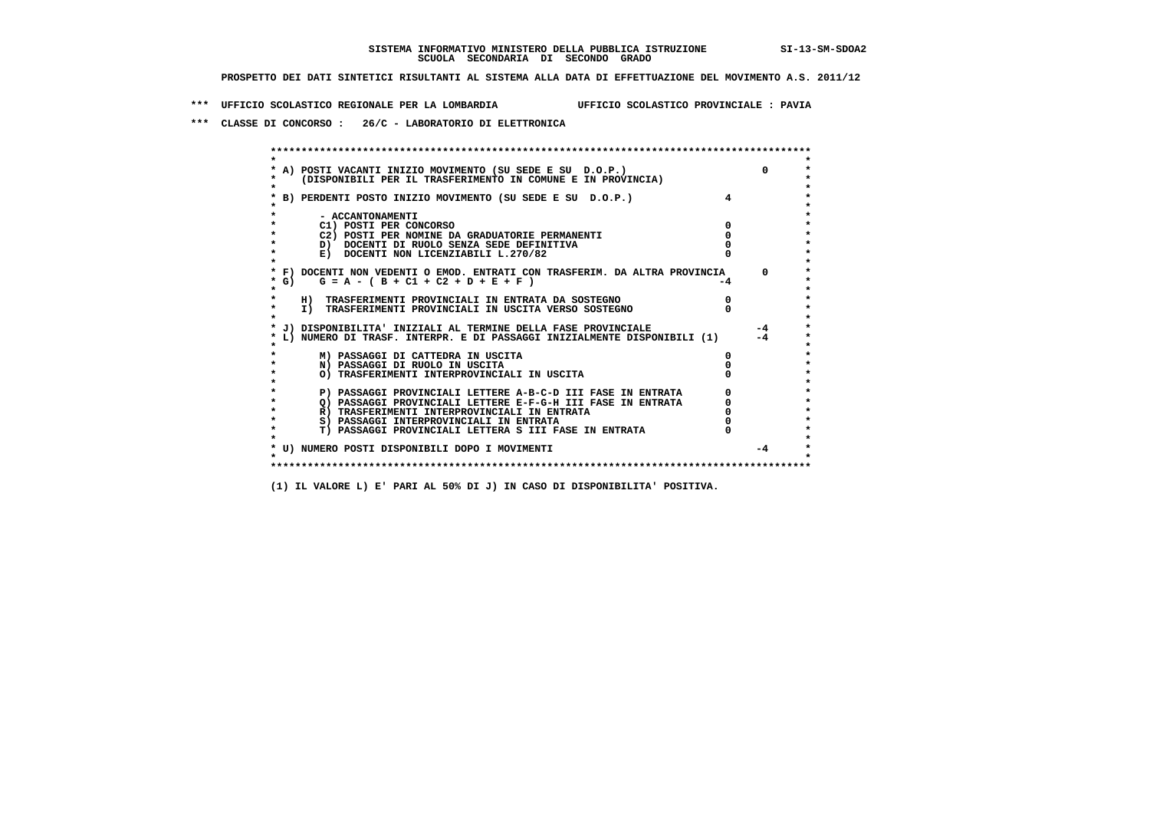**\*\*\* UFFICIO SCOLASTICO REGIONALE PER LA LOMBARDIA UFFICIO SCOLASTICO PROVINCIALE : PAVIA**

 **\*\*\* CLASSE DI CONCORSO : 26/C - LABORATORIO DI ELETTRONICA**

 **\*\*\*\*\*\*\*\*\*\*\*\*\*\*\*\*\*\*\*\*\*\*\*\*\*\*\*\*\*\*\*\*\*\*\*\*\*\*\*\*\*\*\*\*\*\*\*\*\*\*\*\*\*\*\*\*\*\*\*\*\*\*\*\*\*\*\*\*\*\*\*\*\*\*\*\*\*\*\*\*\*\*\*\*\*\*\*\* \* \*** $\bullet$  **\* A) POSTI VACANTI INIZIO MOVIMENTO (SU SEDE E SU D.O.P.) 0 \* \* (DISPONIBILI PER IL TRASFERIMENTO IN COMUNE E IN PROVINCIA) \* \* \* \* B) PERDENTI POSTO INIZIO MOVIMENTO (SU SEDE E SU D.O.P.) 4 \* \* \* \* - ACCANTONAMENTI \* \* C1) POSTI PER CONCORSO 0 \* \* C2) POSTI PER NOMINE DA GRADUATORIE PERMANENTI 0 \*D)** DOCENTI DI RUOLO SENZA SEDE DEFINITIVA  $\overline{a}$  0  $\overline{b}$  0  $\overline{c}$  0  $\overline{c}$  0  $\overline{c}$  0  $\overline{a}$  0  $\overline{b}$ **E) DOCENTI NON LICENZIABILI L.270/82 \* \* \* F) DOCENTI NON VEDENTI O EMOD. ENTRATI CON TRASFERIM. DA ALTRA PROVINCIA 0 \*** $*$  G)  $G = A - (B + C1 + C2 + D + E + F)$  **\* \* \* H) TRASFERIMENTI PROVINCIALI IN ENTRATA DA SOSTEGNO 0 \*The CONSTRUCTION CONSTRUCTED IN CONSTRUCTION CONSTRUES IN TRASFERIMENTI PROVINCIALI IN USCITA VERSO SOSTEGNO \* \* \* J) DISPONIBILITA' INIZIALI AL TERMINE DELLA FASE PROVINCIALE -4 \* \* L) NUMERO DI TRASF. INTERPR. E DI PASSAGGI INIZIALMENTE DISPONIBILI (1) -4 \* \* \* \* M) PASSAGGI DI CATTEDRA IN USCITA 0 \* \* N) PASSAGGI DI RUOLO IN USCITA 0 \* \* O) TRASFERIMENTI INTERPROVINCIALI IN USCITA 0 \* \* \* P) PASSAGGI PROVINCIALI LETTERE A-B-C-D III FASE IN ENTRATA** 0 <sup>0</sup> **DASSAGGI PROVINCIALI LETTERE E-F-G-H** III FASE IN ENTRATA 0 <sup>0</sup>  $\star$  **\* Q) PASSAGGI PROVINCIALI LETTERE E-F-G-H III FASE IN ENTRATA 0 \*R)** TRASFERIMENTI INTERPROVINCIALI IN ENTRATA  $\begin{bmatrix} 0 & 0 \\ 0 & 0 \\ 0 & 0 \end{bmatrix}$  PASSAGGI INTERPROVINCIALI IN ENTRATA  $\begin{bmatrix} 0 & 0 \\ 0 & 0 \\ 0 & 0 \end{bmatrix}$ **8) PASSAGGI INTERPROVINCIALI IN ENTRATA 6 \*\*\*** 0 \*\*\*<br> **T) PASSAGGI PROVINCIALI LETTERA S III FASE IN ENTRATA** 0 \*\*\*  $\ddot{\phantom{1}}$  **\* T) PASSAGGI PROVINCIALI LETTERA S III FASE IN ENTRATA 0 \*** $\star$  **\* \* \* U) NUMERO POSTI DISPONIBILI DOPO I MOVIMENTI -4 \* \* \* \*\*\*\*\*\*\*\*\*\*\*\*\*\*\*\*\*\*\*\*\*\*\*\*\*\*\*\*\*\*\*\*\*\*\*\*\*\*\*\*\*\*\*\*\*\*\*\*\*\*\*\*\*\*\*\*\*\*\*\*\*\*\*\*\*\*\*\*\*\*\*\*\*\*\*\*\*\*\*\*\*\*\*\*\*\*\*\***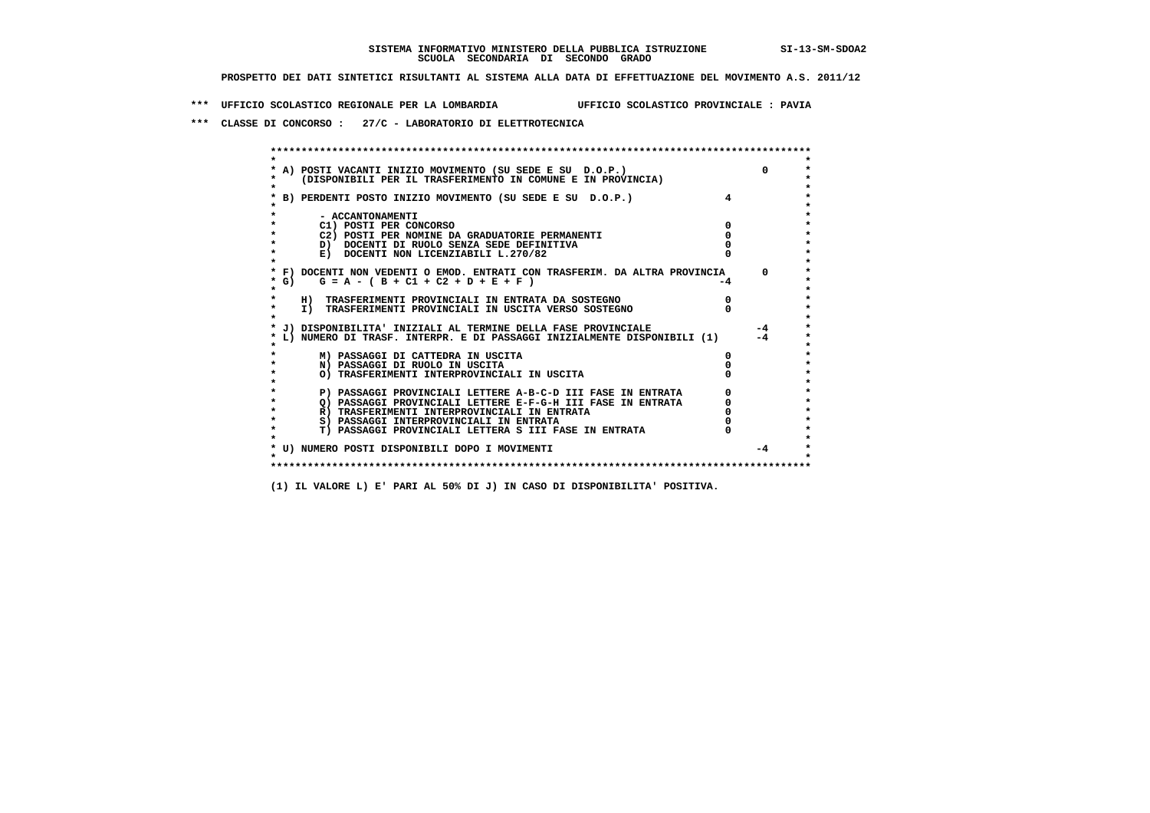**\*\*\* UFFICIO SCOLASTICO REGIONALE PER LA LOMBARDIA UFFICIO SCOLASTICO PROVINCIALE : PAVIA**

 **\*\*\* CLASSE DI CONCORSO : 27/C - LABORATORIO DI ELETTROTECNICA**

|                                                                                                                        |    | $\Omega$ |
|------------------------------------------------------------------------------------------------------------------------|----|----------|
| A) POSTI VACANTI INIZIO MOVIMENTO (SU SEDE E SU D.O.P.)<br>(DISPONIBILI PER IL TRASFERIMENTO IN COMUNE E IN PROVINCIA) |    |          |
|                                                                                                                        |    |          |
| B) PERDENTI POSTO INIZIO MOVIMENTO (SU SEDE E SU D.O.P.)                                                               |    |          |
|                                                                                                                        |    |          |
| - ACCANTONAMENTI                                                                                                       |    |          |
| C1) POSTI PER CONCORSO                                                                                                 |    |          |
| C2) POSTI PER NOMINE DA GRADUATORIE PERMANENTI                                                                         |    |          |
| D) DOCENTI DI RUOLO SENZA SEDE DEFINITIVA                                                                              |    |          |
| E) DOCENTI NON LICENZIABILI L.270/82                                                                                   |    |          |
|                                                                                                                        |    |          |
| * F) DOCENTI NON VEDENTI O EMOD. ENTRATI CON TRASFERIM. DA ALTRA PROVINCIA                                             |    | $\Omega$ |
| G) $G = A - (B + C1 + C2 + D + E + F)$                                                                                 | -4 |          |
|                                                                                                                        |    |          |
| H) TRASFERIMENTI PROVINCIALI IN ENTRATA DA SOSTEGNO<br>I) TRASFERIMENTI PROVINCIALI IN USCITA VERSO SOSTEGNO           |    |          |
|                                                                                                                        |    |          |
| J) DISPONIBILITA' INIZIALI AL TERMINE DELLA FASE PROVINCIALE                                                           |    | $-4$     |
| L) NUMERO DI TRASF. INTERPR. E DI PASSAGGI INIZIALMENTE DISPONIBILI (1)                                                |    | $-4$     |
|                                                                                                                        |    |          |
| M) PASSAGGI DI CATTEDRA IN USCITA                                                                                      |    |          |
| N) PASSAGGI DI RUOLO IN USCITA                                                                                         |    |          |
| O) TRASFERIMENTI INTERPROVINCIALI IN USCITA                                                                            |    |          |
|                                                                                                                        |    |          |
| P) PASSAGGI PROVINCIALI LETTERE A-B-C-D III FASE IN ENTRATA                                                            |    |          |
| O) PASSAGGI PROVINCIALI LETTERE E-F-G-H III FASE IN ENTRATA                                                            |    |          |
| R) TRASFERIMENTI INTERPROVINCIALI IN ENTRATA                                                                           |    |          |
| S) PASSAGGI INTERPROVINCIALI IN ENTRATA                                                                                |    |          |
| T) PASSAGGI PROVINCIALI LETTERA S III FASE IN ENTRATA                                                                  |    |          |
| * U) NUMERO POSTI DISPONIBILI DOPO I MOVIMENTI                                                                         |    | $-4$     |
|                                                                                                                        |    |          |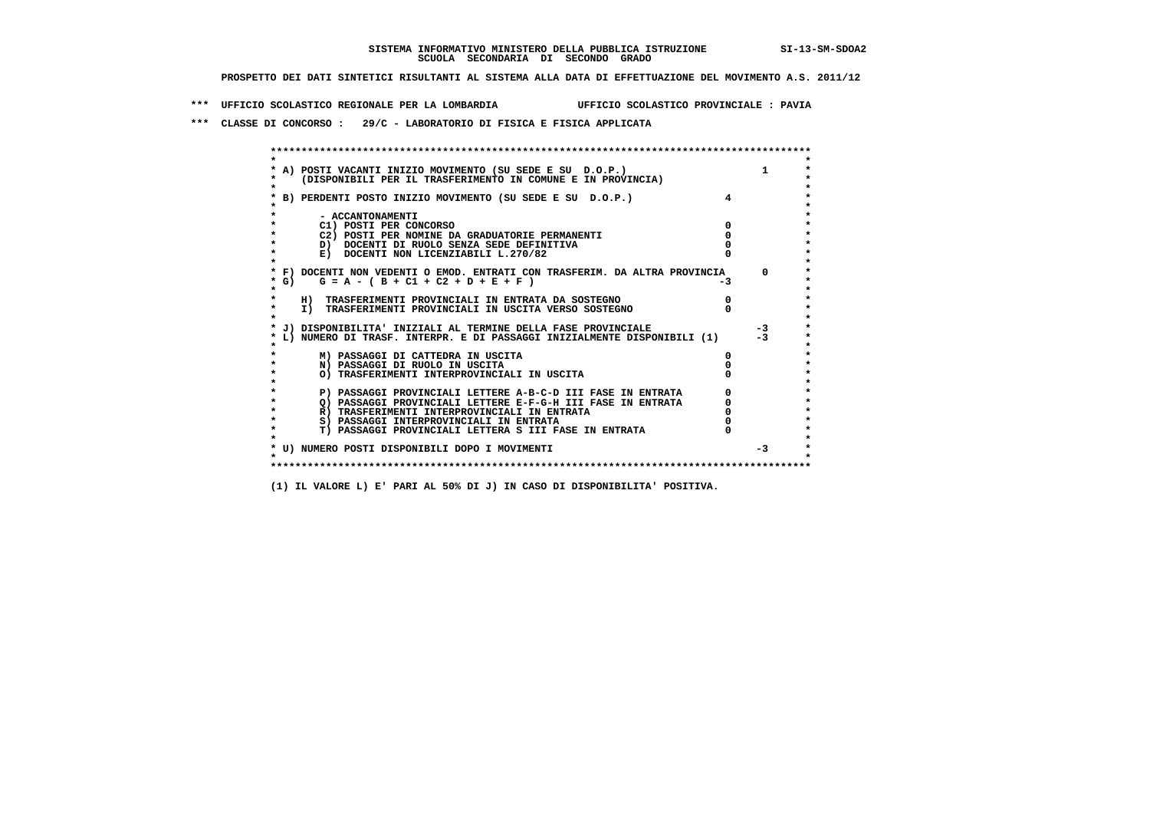**\*\*\* UFFICIO SCOLASTICO REGIONALE PER LA LOMBARDIA UFFICIO SCOLASTICO PROVINCIALE : PAVIA**

 **\*\*\* CLASSE DI CONCORSO : 29/C - LABORATORIO DI FISICA E FISICA APPLICATA**

|         | A) POSTI VACANTI INIZIO MOVIMENTO (SU SEDE E SU D.O.P.)                                                     |    |      |
|---------|-------------------------------------------------------------------------------------------------------------|----|------|
|         | (DISPONIBILI PER IL TRASFERIMENTO IN COMUNE E IN PROVINCIA)                                                 |    |      |
|         | B) PERDENTI POSTO INIZIO MOVIMENTO (SU SEDE E SU D.O.P.)                                                    |    |      |
|         |                                                                                                             |    |      |
|         | - ACCANTONAMENTI                                                                                            |    |      |
|         | C1) POSTI PER CONCORSO                                                                                      |    |      |
|         | C2) POSTI PER NOMINE DA GRADUATORIE PERMANENTI                                                              |    |      |
|         | D) DOCENTI DI RUOLO SENZA SEDE DEFINITIVA                                                                   |    |      |
|         | E) DOCENTI NON LICENZIABILI L.270/82                                                                        |    |      |
|         | * F) DOCENTI NON VEDENTI O EMOD. ENTRATI CON TRASFERIM. DA ALTRA PROVINCIA                                  |    | n.   |
|         | * G) $G = A - (B + C1 + C2 + D + E + F)$                                                                    | -3 |      |
| $\star$ |                                                                                                             |    |      |
|         | H) TRASFERIMENTI PROVINCIALI IN ENTRATA DA SOSTEGNO                                                         |    |      |
| $\star$ | I) TRASFERIMENTI PROVINCIALI IN USCITA VERSO SOSTEGNO                                                       |    |      |
|         |                                                                                                             |    |      |
|         | J) DISPONIBILITA' INIZIALI AL TERMINE DELLA FASE PROVINCIALE                                                |    | $-3$ |
|         | L) NUMERO DI TRASF. INTERPR. E DI PASSAGGI INIZIALMENTE DISPONIBILI (1)                                     |    | $-3$ |
|         | M) PASSAGGI DI CATTEDRA IN USCITA                                                                           |    |      |
|         | N) PASSAGGI DI RUOLO IN USCITA                                                                              |    |      |
| *       | O) TRASFERIMENTI INTERPROVINCIALI IN USCITA                                                                 |    |      |
|         |                                                                                                             |    |      |
|         | P) PASSAGGI PROVINCIALI LETTERE A-B-C-D III FASE IN ENTRATA                                                 |    |      |
|         | O) PASSAGGI PROVINCIALI LETTERE E-F-G-H III FASE IN ENTRATA<br>R) TRASFERIMENTI INTERPROVINCIALI IN ENTRATA |    |      |
| $\star$ | S) PASSAGGI INTERPROVINCIALI IN ENTRATA                                                                     |    |      |
| $\star$ | T) PASSAGGI PROVINCIALI LETTERA S III FASE IN ENTRATA                                                       |    |      |
|         |                                                                                                             |    |      |
|         | * U) NUMERO POSTI DISPONIBILI DOPO I MOVIMENTI                                                              |    | $-3$ |
|         |                                                                                                             |    |      |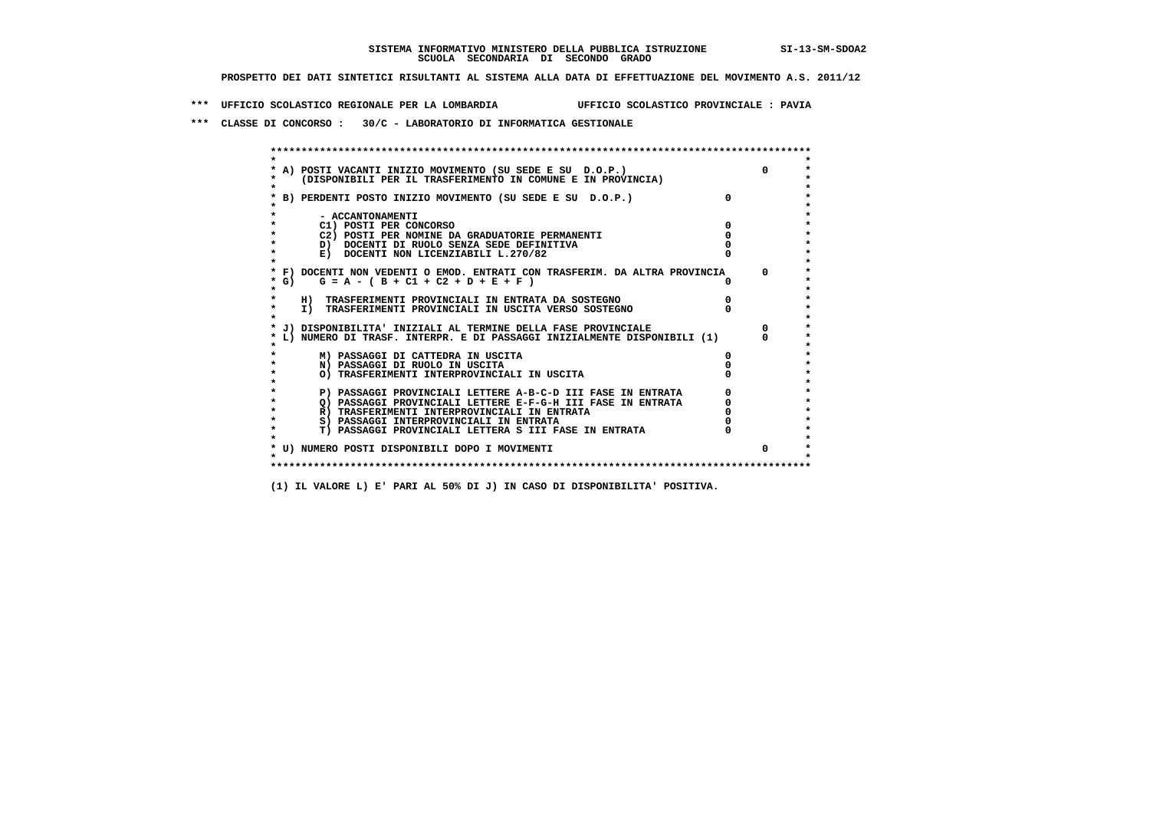**\*\*\* UFFICIO SCOLASTICO REGIONALE PER LA LOMBARDIA UFFICIO SCOLASTICO PROVINCIALE : PAVIA**

 **\*\*\* CLASSE DI CONCORSO : 30/C - LABORATORIO DI INFORMATICA GESTIONALE**

| A) POSTI VACANTI INIZIO MOVIMENTO (SU SEDE E SU D.O.P.)                    |          |          |
|----------------------------------------------------------------------------|----------|----------|
| (DISPONIBILI PER IL TRASFERIMENTO IN COMUNE E IN PROVINCIA)                |          |          |
|                                                                            | $\Omega$ |          |
| B) PERDENTI POSTO INIZIO MOVIMENTO (SU SEDE E SU D.O.P.)                   |          |          |
| - ACCANTONAMENTI                                                           |          |          |
| C1) POSTI PER CONCORSO                                                     |          |          |
| C2) POSTI PER NOMINE DA GRADUATORIE PERMANENTI                             |          |          |
| D) DOCENTI DI RUOLO SENZA SEDE DEFINITIVA                                  |          |          |
| E) DOCENTI NON LICENZIABILI L.270/82                                       |          |          |
| * F) DOCENTI NON VEDENTI O EMOD. ENTRATI CON TRASFERIM. DA ALTRA PROVINCIA |          | $\Omega$ |
| G) $G = A - (B + C1 + C2 + D + E + F)$                                     |          |          |
|                                                                            |          |          |
| H) TRASFERIMENTI PROVINCIALI IN ENTRATA DA SOSTEGNO                        |          |          |
| I) TRASFERIMENTI PROVINCIALI IN USCITA VERSO SOSTEGNO                      |          |          |
| J) DISPONIBILITA' INIZIALI AL TERMINE DELLA FASE PROVINCIALE               |          |          |
| L) NUMERO DI TRASF. INTERPR. E DI PASSAGGI INIZIALMENTE DISPONIBILI (1)    |          |          |
| M) PASSAGGI DI CATTEDRA IN USCITA                                          |          |          |
| N) PASSAGGI DI RUOLO IN USCITA                                             |          |          |
| O) TRASFERIMENTI INTERPROVINCIALI IN USCITA                                |          |          |
|                                                                            |          |          |
| P) PASSAGGI PROVINCIALI LETTERE A-B-C-D III FASE IN ENTRATA                |          |          |
| O) PASSAGGI PROVINCIALI LETTERE E-F-G-H III FASE IN ENTRATA                |          |          |
| R) TRASFERIMENTI INTERPROVINCIALI IN ENTRATA                               |          |          |
| S) PASSAGGI INTERPROVINCIALI IN ENTRATA                                    |          |          |
| T) PASSAGGI PROVINCIALI LETTERA S III FASE IN ENTRATA                      |          |          |
| * U) NUMERO POSTI DISPONIBILI DOPO I MOVIMENTI                             |          |          |
|                                                                            |          |          |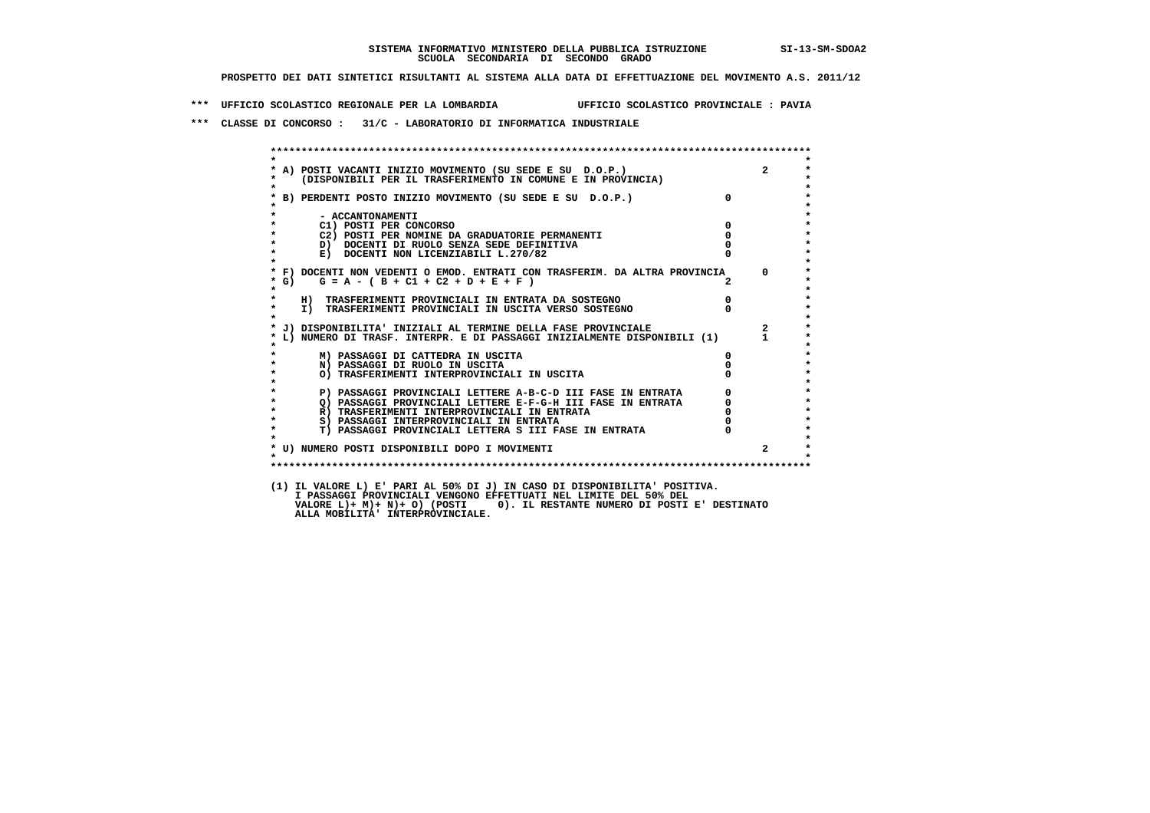**\*\*\* UFFICIO SCOLASTICO REGIONALE PER LA LOMBARDIA UFFICIO SCOLASTICO PROVINCIALE : PAVIA**

 **\*\*\* CLASSE DI CONCORSO : 31/C - LABORATORIO DI INFORMATICA INDUSTRIALE**

| $\star$            |                                                                                                                                                                                             |                                                      |                         |
|--------------------|---------------------------------------------------------------------------------------------------------------------------------------------------------------------------------------------|------------------------------------------------------|-------------------------|
| $\star$            | * A) POSTI VACANTI INIZIO MOVIMENTO (SU SEDE E SU D.O.P.)<br>* (DISPONIBILI PER IL TRASFERIMENTO IN COMUNE E IN PROVINCIA)                                                                  |                                                      | $2^{\circ}$             |
|                    | * B) PERDENTI POSTO INIZIO MOVIMENTO (SU SEDE E SU D.O.P.)                                                                                                                                  | $\overline{0}$                                       |                         |
| $\star$            | - ACCANTONAMENTI                                                                                                                                                                            |                                                      |                         |
| $\star$            | $\overline{\phantom{a}}$<br>C1) POSTI PER CONCORSO                                                                                                                                          |                                                      |                         |
| $\star$            | C2) POSTI PER NOMINE DA GRADUATORIE PERMANENTI                                                                                                                                              | $^{\circ}$                                           |                         |
| $\star$            | D) DOCENTI DI RUOLO SENZA SEDE DEFINITIVA                                                                                                                                                   |                                                      |                         |
| $\star$<br>$\star$ | E) DOCENTI NON LICENZIABILI L.270/82                                                                                                                                                        |                                                      |                         |
|                    | * F) DOCENTI NON VEDENTI O EMOD. ENTRATI CON TRASFERIM. DA ALTRA PROVINCIA 0                                                                                                                |                                                      |                         |
| $*$ G)<br>$\star$  | $G = A - (B + C1 + C2 + D + E + F)$                                                                                                                                                         | $\overline{2}$                                       |                         |
| $\star$            | H) TRASFERIMENTI PROVINCIALI IN ENTRATA DA SOSTEGNO                                                                                                                                         | $\begin{matrix}0\\0\end{matrix}$                     |                         |
| $\star$<br>$\star$ | I) TRASFERIMENTI PROVINCIALI IN USCITA VERSO SOSTEGNO                                                                                                                                       |                                                      |                         |
|                    | * J) DISPONIBILITA' INIZIALI AL TERMINE DELLA FASE PROVINCIALE                                                                                                                              |                                                      | $\overline{\mathbf{2}}$ |
|                    | * L) NUMERO DI TRASF. INTERPR. E DI PASSAGGI INIZIALMENTE DISPONIBILI (1)                                                                                                                   |                                                      | $\mathbf{1}$            |
|                    | M) PASSAGGI DI CATTEDRA IN USCITA                                                                                                                                                           | $\Omega$                                             |                         |
| $\star$            | N) PASSAGGI DI RUOLO IN USCITA                                                                                                                                                              |                                                      |                         |
| $\star$<br>$\star$ | O) TRASFERIMENTI INTERPROVINCIALI IN USCITA                                                                                                                                                 |                                                      |                         |
| $\star$            | P) PASSAGGI PROVINCIALI LETTERE A-B-C-D III FASE IN ENTRATA                                                                                                                                 | $\begin{array}{c} 0 \\ 0 \\ 0 \\ 0 \\ 0 \end{array}$ |                         |
| $\star$            | THE TRIDING IN THE REPORT OF THE REPORT OF THE RESE IN ENTRATA R) TRASFERIMENTI INTERPROVINCIALI IN ENTRATA S) PASSAGGI INTERPROVINCIALI IN ENTRATA S) PASSAGGI INTERPROVINCIALI IN ENTRATA |                                                      |                         |
| $\star$            |                                                                                                                                                                                             |                                                      |                         |
| $\star$            |                                                                                                                                                                                             |                                                      |                         |
| $\star$            | T) PASSAGGI PROVINCIALI LETTERA S III FASE IN ENTRATA                                                                                                                                       |                                                      |                         |
|                    | * U) NUMERO POSTI DISPONIBILI DOPO I MOVIMENTI                                                                                                                                              |                                                      | $2^{\circ}$             |
| $\star$            |                                                                                                                                                                                             |                                                      |                         |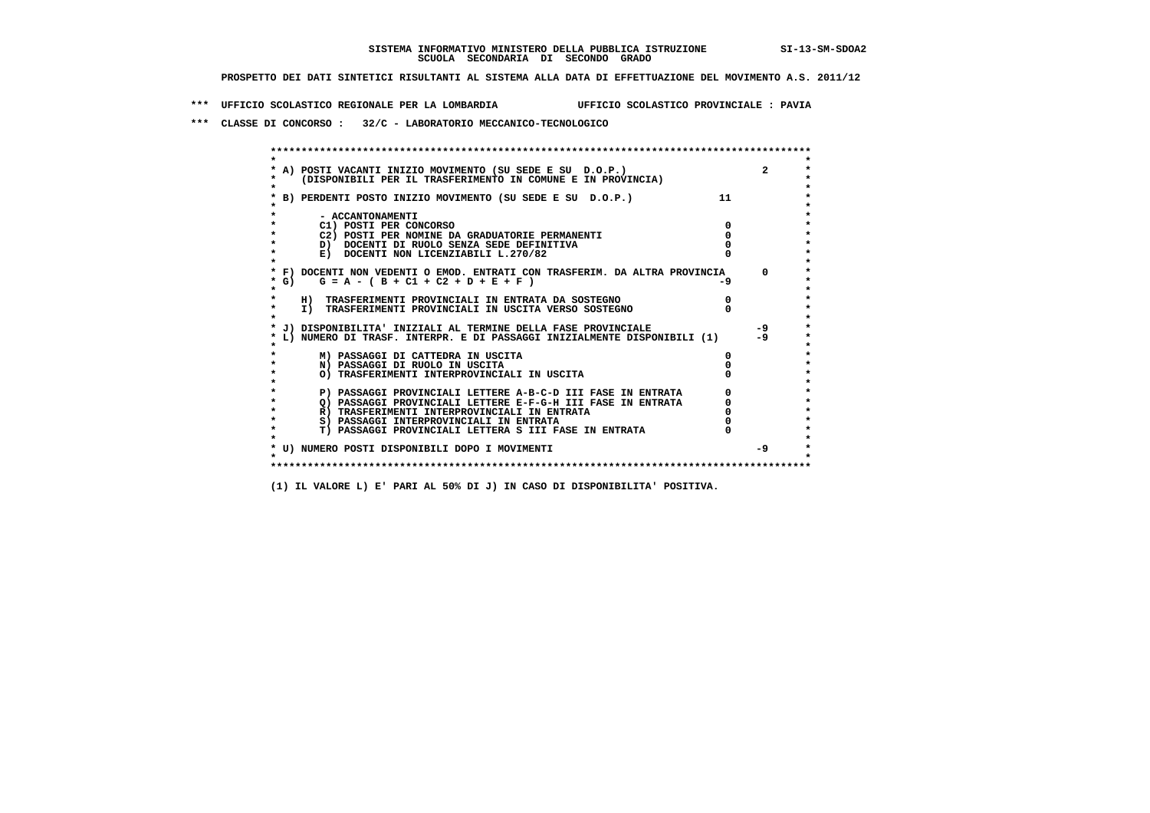**\*\*\* UFFICIO SCOLASTICO REGIONALE PER LA LOMBARDIA UFFICIO SCOLASTICO PROVINCIALE : PAVIA**

 **\*\*\* CLASSE DI CONCORSO : 32/C - LABORATORIO MECCANICO-TECNOLOGICO**

|                  | A) POSTI VACANTI INIZIO MOVIMENTO (SU SEDE E SU D.O.P.)                                                                |      |            |
|------------------|------------------------------------------------------------------------------------------------------------------------|------|------------|
|                  | (DISPONIBILI PER IL TRASFERIMENTO IN COMUNE E IN PROVINCIA)                                                            |      |            |
|                  | B) PERDENTI POSTO INIZIO MOVIMENTO (SU SEDE E SU D.O.P.)                                                               | 11   |            |
|                  |                                                                                                                        |      |            |
| - ACCANTONAMENTI |                                                                                                                        |      |            |
|                  | C1) POSTI PER CONCORSO                                                                                                 |      |            |
|                  | C2) POSTI PER NOMINE DA GRADUATORIE PERMANENTI                                                                         |      |            |
|                  | D) DOCENTI DI RUOLO SENZA SEDE DEFINITIVA                                                                              |      |            |
|                  | E) DOCENTI NON LICENZIABILI L.270/82                                                                                   |      |            |
|                  |                                                                                                                        |      |            |
|                  | * F) DOCENTI NON VEDENTI O EMOD. ENTRATI CON TRASFERIM. DA ALTRA PROVINCIA<br>* G) $G = A - (B + C1 + C2 + D + E + F)$ | $-9$ | $^{\circ}$ |
|                  |                                                                                                                        |      |            |
|                  | H) TRASFERIMENTI PROVINCIALI IN ENTRATA DA SOSTEGNO                                                                    |      |            |
|                  | I) TRASFERIMENTI PROVINCIALI IN USCITA VERSO SOSTEGNO                                                                  |      |            |
|                  |                                                                                                                        |      |            |
|                  | * J) DISPONIBILITA' INIZIALI AL TERMINE DELLA FASE PROVINCIALE                                                         |      | $-9$       |
|                  | L) NUMERO DI TRASF. INTERPR. E DI PASSAGGI INIZIALMENTE DISPONIBILI (1)                                                |      | $-9$       |
|                  |                                                                                                                        |      |            |
|                  | M) PASSAGGI DI CATTEDRA IN USCITA                                                                                      |      |            |
|                  | N) PASSAGGI DI RUOLO IN USCITA                                                                                         |      |            |
|                  | O) TRASFERIMENTI INTERPROVINCIALI IN USCITA                                                                            |      |            |
|                  | P) PASSAGGI PROVINCIALI LETTERE A-B-C-D III FASE IN ENTRATA                                                            |      |            |
|                  | O) PASSAGGI PROVINCIALI LETTERE E-F-G-H III FASE IN ENTRATA                                                            |      |            |
|                  | R) TRASFERIMENTI INTERPROVINCIALI IN ENTRATA                                                                           |      |            |
|                  | S) PASSAGGI INTERPROVINCIALI IN ENTRATA                                                                                |      |            |
|                  | T) PASSAGGI PROVINCIALI LETTERA S III FASE IN ENTRATA                                                                  |      |            |
|                  |                                                                                                                        |      |            |
|                  | * U) NUMERO POSTI DISPONIBILI DOPO I MOVIMENTI                                                                         |      | $-9$       |
|                  |                                                                                                                        |      |            |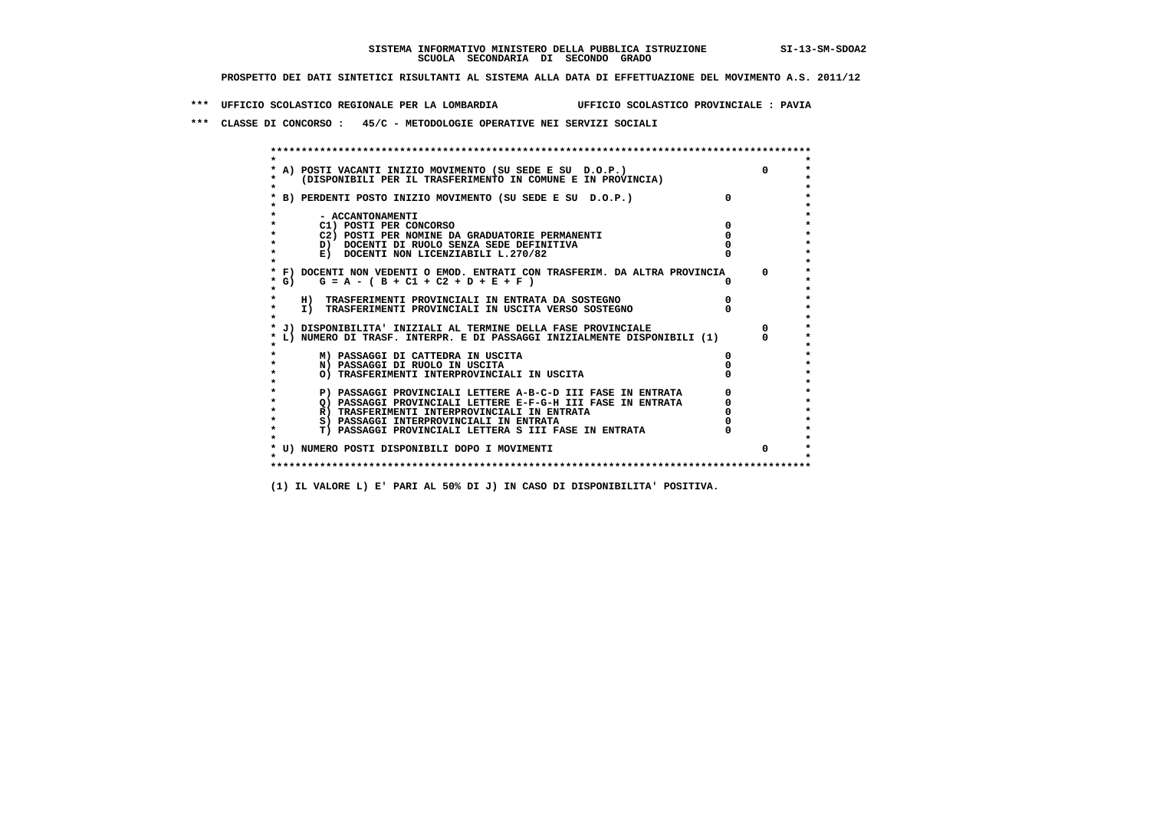**\*\*\* UFFICIO SCOLASTICO REGIONALE PER LA LOMBARDIA UFFICIO SCOLASTICO PROVINCIALE : PAVIA**

 **\*\*\* CLASSE DI CONCORSO : 45/C - METODOLOGIE OPERATIVE NEI SERVIZI SOCIALI**

|         | A) POSTI VACANTI INIZIO MOVIMENTO (SU SEDE E SU D.O.P.)                    |              |
|---------|----------------------------------------------------------------------------|--------------|
|         | (DISPONIBILI PER IL TRASFERIMENTO IN COMUNE E IN PROVINCIA)                |              |
|         |                                                                            |              |
|         | B) PERDENTI POSTO INIZIO MOVIMENTO (SU SEDE E SU D.O.P.)                   |              |
|         |                                                                            |              |
|         | - ACCANTONAMENTI                                                           |              |
|         | C1) POSTI PER CONCORSO                                                     |              |
|         | C2) POSTI PER NOMINE DA GRADUATORIE PERMANENTI                             |              |
|         | D) DOCENTI DI RUOLO SENZA SEDE DEFINITIVA                                  |              |
|         | E) DOCENTI NON LICENZIABILI L.270/82                                       |              |
|         | * F) DOCENTI NON VEDENTI O EMOD. ENTRATI CON TRASFERIM. DA ALTRA PROVINCIA | <sup>o</sup> |
| * G) +  | $G = A - (B + C1 + C2 + D + E + F)$                                        |              |
| $\star$ |                                                                            |              |
|         | H) TRASFERIMENTI PROVINCIALI IN ENTRATA DA SOSTEGNO                        |              |
| $\star$ | I) TRASFERIMENTI PROVINCIALI IN USCITA VERSO SOSTEGNO                      |              |
|         |                                                                            |              |
|         | J) DISPONIBILITA' INIZIALI AL TERMINE DELLA FASE PROVINCIALE               |              |
|         | L) NUMERO DI TRASF. INTERPR. E DI PASSAGGI INIZIALMENTE DISPONIBILI (1)    |              |
|         | M) PASSAGGI DI CATTEDRA IN USCITA                                          |              |
|         | N) PASSAGGI DI RUOLO IN USCITA                                             |              |
|         | O) TRASFERIMENTI INTERPROVINCIALI IN USCITA                                |              |
|         |                                                                            |              |
|         | P) PASSAGGI PROVINCIALI LETTERE A-B-C-D III FASE IN ENTRATA                |              |
|         | O) PASSAGGI PROVINCIALI LETTERE E-F-G-H III FASE IN ENTRATA                |              |
|         | R) TRASFERIMENTI INTERPROVINCIALI IN ENTRATA                               |              |
| $\star$ | S) PASSAGGI INTERPROVINCIALI IN ENTRATA                                    |              |
| $\star$ | T) PASSAGGI PROVINCIALI LETTERA S III FASE IN ENTRATA                      |              |
|         |                                                                            |              |
|         | * U) NUMERO POSTI DISPONIBILI DOPO I MOVIMENTI                             |              |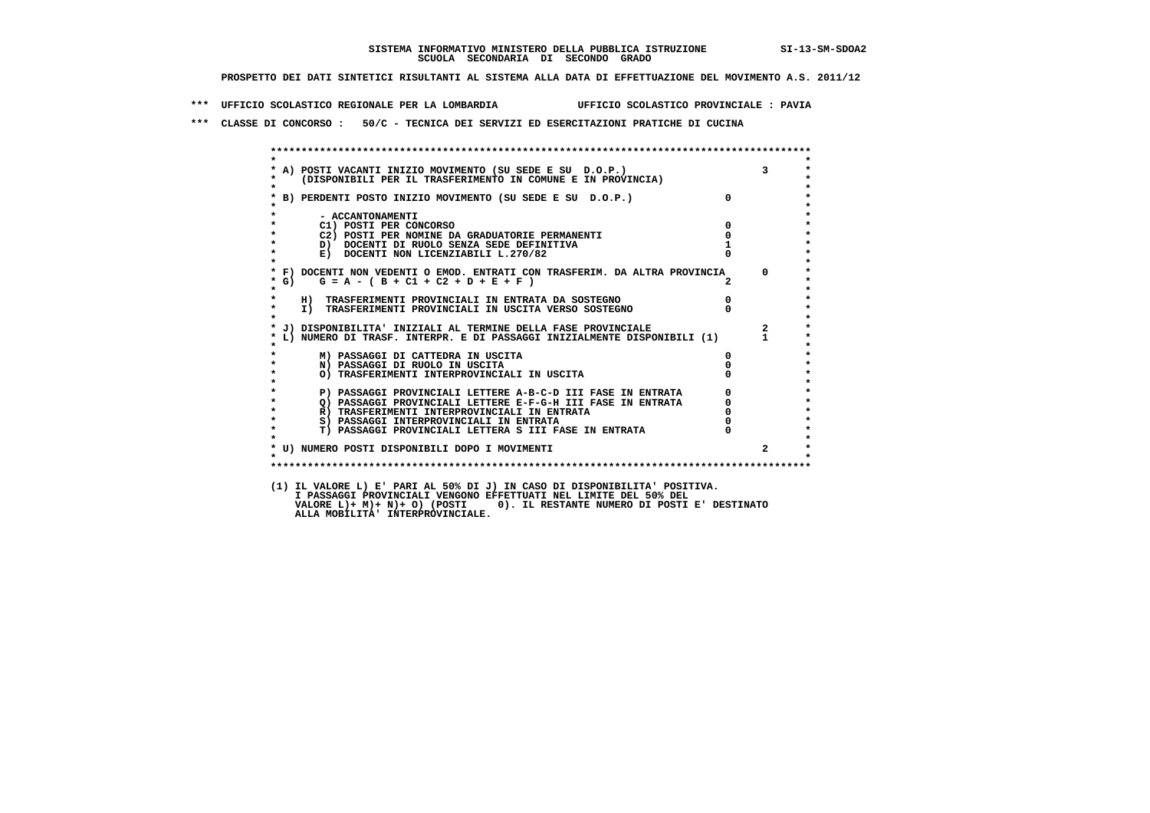**\*\*\* UFFICIO SCOLASTICO REGIONALE PER LA LOMBARDIA UFFICIO SCOLASTICO PROVINCIALE : PAVIA**

 **\*\*\* CLASSE DI CONCORSO : 50/C - TECNICA DEI SERVIZI ED ESERCITAZIONI PRATICHE DI CUCINA**

 **\*\*\*\*\*\*\*\*\*\*\*\*\*\*\*\*\*\*\*\*\*\*\*\*\*\*\*\*\*\*\*\*\*\*\*\*\*\*\*\*\*\*\*\*\*\*\*\*\*\*\*\*\*\*\*\*\*\*\*\*\*\*\*\*\*\*\*\*\*\*\*\*\*\*\*\*\*\*\*\*\*\*\*\*\*\*\*\* \* \* \* A) POSTI VACANTI INIZIO MOVIMENTO (SU SEDE E SU D.O.P.) 3 \* \* (DISPONIBILI PER IL TRASFERIMENTO IN COMUNE E IN PROVINCIA) \* \* \* \* B) PERDENTI POSTO INIZIO MOVIMENTO (SU SEDE E SU D.O.P.) 0 \* \* \* \* - ACCANTONAMENTI \* \* C1) POSTI PER CONCORSO 0 \* \* C2) POSTI PER NOMINE DA GRADUATORIE PERMANENTI 0 \*b**  $\overline{D}$  **docenti di RUOLO SENZA SEDE DEFINITIVA**  $\overline{D}$  **1**  $\overline{D}$  **1**  $\overline{D}$  **1**  $\overline{D}$  **1**  $\overline{D}$  **1**  $\overline{D}$  **1**  $\overline{D}$  **1**  $\overline{D}$  **1**  $\overline{D}$  **1**  $\overline{D}$  **1**  $\overline{D}$  **1**  $\overline{D}$  **1**  $\overline{D}$  **1 E) DOCENTI NON LICENZIABILI L.270/82 \* \* \* F) DOCENTI NON VEDENTI O EMOD. ENTRATI CON TRASFERIM. DA ALTRA PROVINCIA 0 \* \* G) G = A - ( B + C1 + C2 + D + E + F ) 2 \* \* \* \* H) TRASFERIMENTI PROVINCIALI IN ENTRATA DA SOSTEGNO 0 \* \* I) TRASFERIMENTI PROVINCIALI IN USCITA VERSO SOSTEGNO 0 \* \* \* \* J) DISPONIBILITA' INIZIALI AL TERMINE DELLA FASE PROVINCIALE 2 \* \* L) NUMERO DI TRASF. INTERPR. E DI PASSAGGI INIZIALMENTE DISPONIBILI (1) 1 \* \* \* \* M) PASSAGGI DI CATTEDRA IN USCITA 0 \* \* N) PASSAGGI DI RUOLO IN USCITA 0 \* \* O) TRASFERIMENTI INTERPROVINCIALI IN USCITA 0 \* \* \* P) PASSAGGI PROVINCIALI LETTERE A-B-C-D III FASE IN ENTRATA** 0 <sup>0</sup> **DASSAGGI PROVINCIALI LETTERE E-F-G-H** III FASE IN ENTRATA 0 <sup>0</sup> **2) PASSAGGI PROVINCIALI LETTERE E-F-G-H III FASE IN ENTRATA 6 0 R**) TRASFERIMENTI INTERPROVINCIALI IN ENTRATA 6 **0 R**) TRASFERIMENTI INTERPROVINCIALI IN ENTRATA  $\begin{bmatrix} 0 & 0 \\ 0 & 0 \\ 0 & 0 \end{bmatrix}$  **\* S) PASSAGGI INTERPROVINCIALI IN ENTRATA 0 \*** $\ddot{\phantom{1}}$  **\* T) PASSAGGI PROVINCIALI LETTERA S III FASE IN ENTRATA 0 \*** $\star$  **\* \* \* U) NUMERO POSTI DISPONIBILI DOPO I MOVIMENTI 2 \* \* \* \*\*\*\*\*\*\*\*\*\*\*\*\*\*\*\*\*\*\*\*\*\*\*\*\*\*\*\*\*\*\*\*\*\*\*\*\*\*\*\*\*\*\*\*\*\*\*\*\*\*\*\*\*\*\*\*\*\*\*\*\*\*\*\*\*\*\*\*\*\*\*\*\*\*\*\*\*\*\*\*\*\*\*\*\*\*\*\* (1) IL VALORE L) E' PARI AL 50% DI J) IN CASO DI DISPONIBILITA' POSITIVA. I PASSAGGI PROVINCIALI VENGONO EFFETTUATI NEL LIMITE DEL 50% DEL VALORE L)+ M)+ N)+ O) (POSTI 0). IL RESTANTE NUMERO DI POSTI E' DESTINATO ALLA MOBILITA' INTERPROVINCIALE.**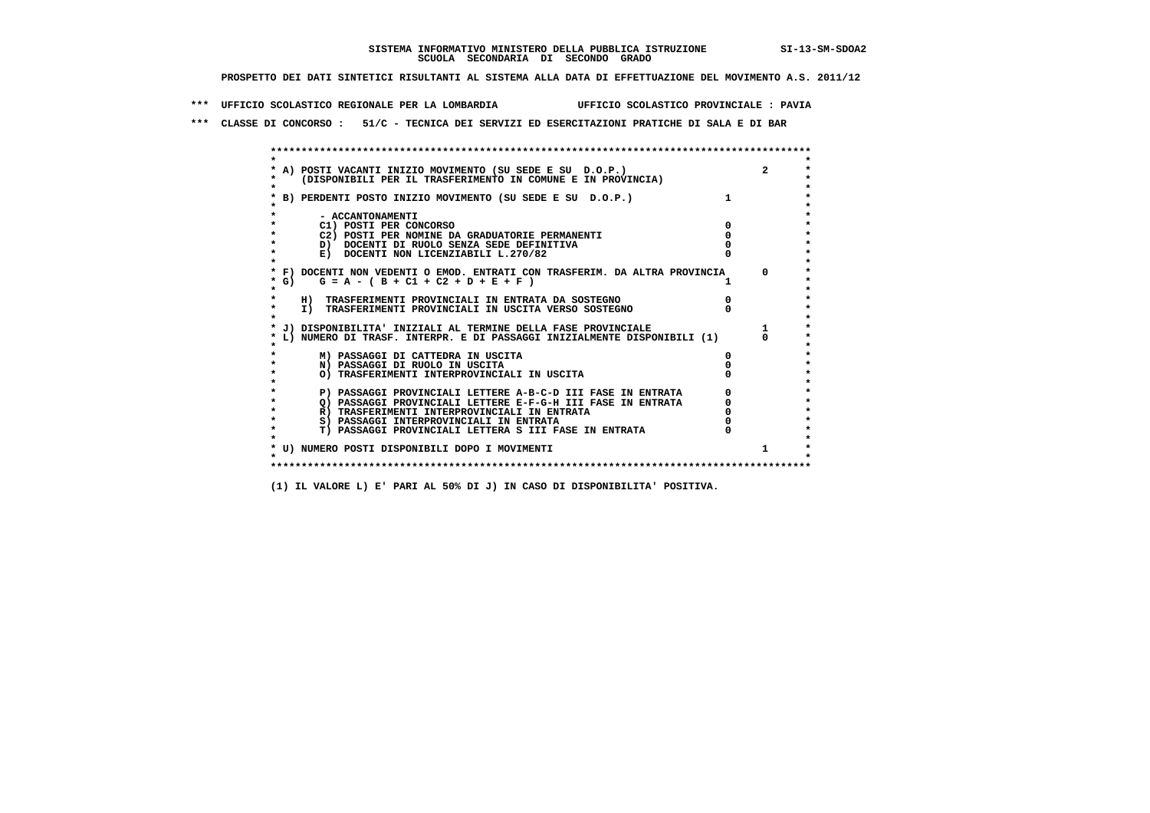**\*\*\* UFFICIO SCOLASTICO REGIONALE PER LA LOMBARDIA UFFICIO SCOLASTICO PROVINCIALE : PAVIA**

 **\*\*\* CLASSE DI CONCORSO : 51/C - TECNICA DEI SERVIZI ED ESERCITAZIONI PRATICHE DI SALA E DI BAR**

 **\*\*\*\*\*\*\*\*\*\*\*\*\*\*\*\*\*\*\*\*\*\*\*\*\*\*\*\*\*\*\*\*\*\*\*\*\*\*\*\*\*\*\*\*\*\*\*\*\*\*\*\*\*\*\*\*\*\*\*\*\*\*\*\*\*\*\*\*\*\*\*\*\*\*\*\*\*\*\*\*\*\*\*\*\*\*\*\* \* \*** $\ddot{\phantom{0}}$  **\* A) POSTI VACANTI INIZIO MOVIMENTO (SU SEDE E SU D.O.P.) 2 \*** $\star$  **\* (DISPONIBILI PER IL TRASFERIMENTO IN COMUNE E IN PROVINCIA) \* \* \* \* B) PERDENTI POSTO INIZIO MOVIMENTO (SU SEDE E SU D.O.P.) 1 \* \* \* \* - ACCANTONAMENTI \* \* C1) POSTI PER CONCORSO 0 \* \* C2) POSTI PER NOMINE DA GRADUATORIE PERMANENTI 0 \*b**  $\overline{D}$  **docenti di RUOLO SENZA SEDE DEFINITIVA**  $\overline{D}$  **0**  $\overline{D}$  **0**  $\overline{D}$  **0**  $\overline{D}$  **0**  $\overline{D}$  **0**  $\overline{D}$  **0**  $\overline{D}$  **0**  $\overline{D}$  **0**  $\overline{D}$  **0**  $\overline{D}$  **0**  $\overline{D}$  **0**  $\overline{D}$  **0**  $\overline{D}$  **0 E) DOCENTI NON LICENZIABILI L.270/82 \* \* \* F) DOCENTI NON VEDENTI O EMOD. ENTRATI CON TRASFERIM. DA ALTRA PROVINCIA 0 \***  $\star$  **G)** G = A - ( B + C1 + C2 + D + E + F )  **\* \* \* H) TRASFERIMENTI PROVINCIALI IN ENTRATA DA SOSTEGNO 0 \* \* I) TRASFERIMENTI PROVINCIALI IN USCITA VERSO SOSTEGNO 0 \* \* \* \* J) DISPONIBILITA' INIZIALI AL TERMINE DELLA FASE PROVINCIALE 1 \* \* L) NUMERO DI TRASF. INTERPR. E DI PASSAGGI INIZIALMENTE DISPONIBILI (1) 0 \* \* \* \* M) PASSAGGI DI CATTEDRA IN USCITA 0 \* \* N) PASSAGGI DI RUOLO IN USCITA 0 \* \* O) TRASFERIMENTI INTERPROVINCIALI IN USCITA 0 \* \* \* \* P) PASSAGGI PROVINCIALI LETTERE A-B-C-D III FASE IN ENTRATA 0 \*** $\star$  **\* Q) PASSAGGI PROVINCIALI LETTERE E-F-G-H III FASE IN ENTRATA 0 \*R)** TRASFERIMENTI INTERPROVINCIALI IN ENTRATA  $\begin{bmatrix} 0 & 0 \\ 0 & 0 \\ 0 & 0 \end{bmatrix}$  PASSAGGI INTERPROVINCIALI IN ENTRATA  $\begin{bmatrix} 0 & 0 \\ 0 & 0 \\ 0 & 0 \end{bmatrix}$  **\* S) PASSAGGI INTERPROVINCIALI IN ENTRATA 0 \*** $\ddot{\phantom{1}}$  **\* T) PASSAGGI PROVINCIALI LETTERA S III FASE IN ENTRATA 0 \*** $\star$  **\* \* \* U) NUMERO POSTI DISPONIBILI DOPO I MOVIMENTI 1 \* \* \* \*\*\*\*\*\*\*\*\*\*\*\*\*\*\*\*\*\*\*\*\*\*\*\*\*\*\*\*\*\*\*\*\*\*\*\*\*\*\*\*\*\*\*\*\*\*\*\*\*\*\*\*\*\*\*\*\*\*\*\*\*\*\*\*\*\*\*\*\*\*\*\*\*\*\*\*\*\*\*\*\*\*\*\*\*\*\*\***